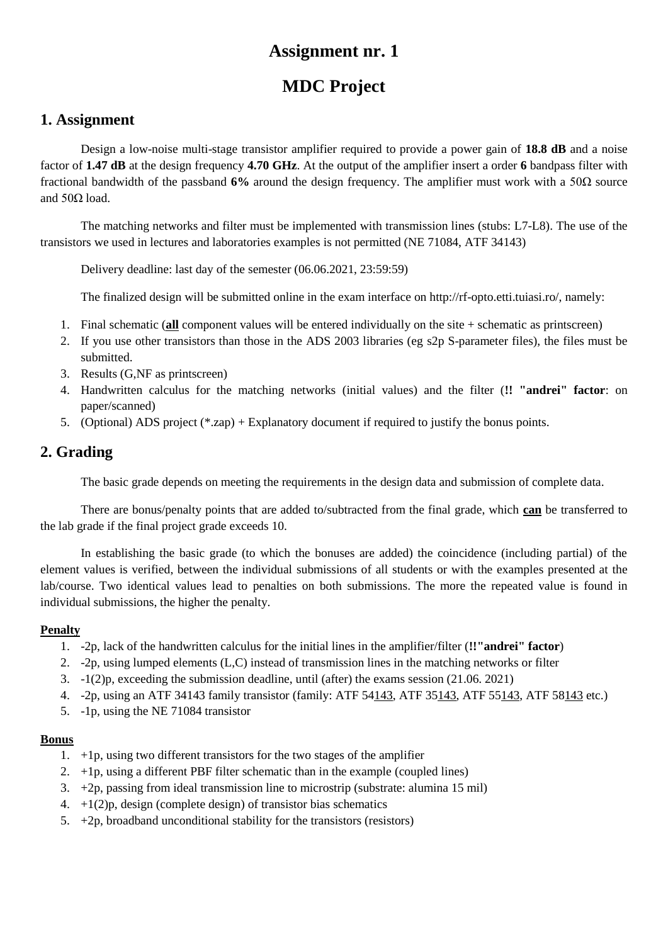# **MDC Project**

### **1. Assignment**

Design a low-noise multi-stage transistor amplifier required to provide a power gain of **18.8 dB** and a noise factor of **1.47 dB** at the design frequency **4.70 GHz**. At the output of the amplifier insert a order **6** bandpass filter with fractional bandwidth of the passband **6%** around the design frequency. The amplifier must work with a 50Ω source and  $50Ω$  load.

The matching networks and filter must be implemented with transmission lines (stubs: L7-L8). The use of the transistors we used in lectures and laboratories examples is not permitted (NE 71084, ATF 34143)

Delivery deadline: last day of the semester (06.06.2021, 23:59:59)

The finalized design will be submitted online in the exam interface on http://rf-opto.etti.tuiasi.ro/, namely:

- 1. Final schematic (**all** component values will be entered individually on the site + schematic as printscreen)
- 2. If you use other transistors than those in the ADS 2003 libraries (eg s2p S-parameter files), the files must be submitted.
- 3. Results (G,NF as printscreen)
- 4. Handwritten calculus for the matching networks (initial values) and the filter (**!! "andrei" factor**: on paper/scanned)
- 5. (Optional) ADS project (\*.zap) + Explanatory document if required to justify the bonus points.

## **2. Grading**

The basic grade depends on meeting the requirements in the design data and submission of complete data.

There are bonus/penalty points that are added to/subtracted from the final grade, which **can** be transferred to the lab grade if the final project grade exceeds 10.

In establishing the basic grade (to which the bonuses are added) the coincidence (including partial) of the element values is verified, between the individual submissions of all students or with the examples presented at the lab/course. Two identical values lead to penalties on both submissions. The more the repeated value is found in individual submissions, the higher the penalty.

#### **Penalty**

- 1. -2p, lack of the handwritten calculus for the initial lines in the amplifier/filter (**!!"andrei" factor**)
- 2. -2p, using lumped elements (L,C) instead of transmission lines in the matching networks or filter
- 3. -1(2)p, exceeding the submission deadline, until (after) the exams session (21.06. 2021)
- 4. -2p, using an ATF 34143 family transistor (family: ATF 54143, ATF 35143, ATF 55143, ATF 58143 etc.)
- 5. -1p, using the NE 71084 transistor

- 1. +1p, using two different transistors for the two stages of the amplifier
- 2.  $+1p$ , using a different PBF filter schematic than in the example (coupled lines)
- 3. +2p, passing from ideal transmission line to microstrip (substrate: alumina 15 mil)
- 4.  $+1(2)p$ , design (complete design) of transistor bias schematics
- 5.  $+2p$ , broadband unconditional stability for the transistors (resistors)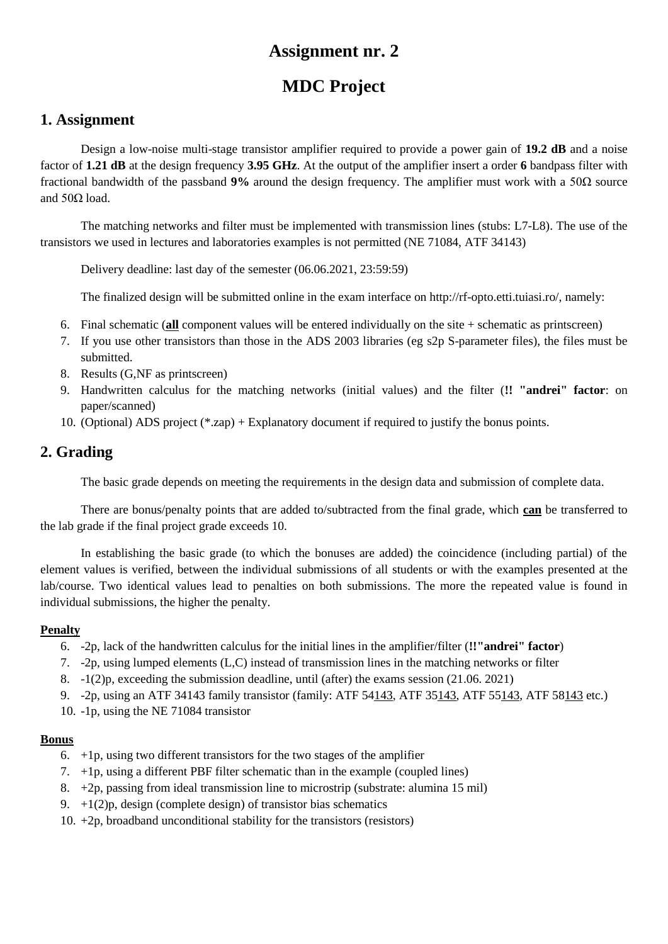# **MDC Project**

### **1. Assignment**

Design a low-noise multi-stage transistor amplifier required to provide a power gain of **19.2 dB** and a noise factor of **1.21 dB** at the design frequency **3.95 GHz**. At the output of the amplifier insert a order **6** bandpass filter with fractional bandwidth of the passband **9%** around the design frequency. The amplifier must work with a 50Ω source and  $50Ω$  load.

The matching networks and filter must be implemented with transmission lines (stubs: L7-L8). The use of the transistors we used in lectures and laboratories examples is not permitted (NE 71084, ATF 34143)

Delivery deadline: last day of the semester (06.06.2021, 23:59:59)

The finalized design will be submitted online in the exam interface on http://rf-opto.etti.tuiasi.ro/, namely:

- 6. Final schematic (**all** component values will be entered individually on the site + schematic as printscreen)
- 7. If you use other transistors than those in the ADS 2003 libraries (eg s2p S-parameter files), the files must be submitted.
- 8. Results (G,NF as printscreen)
- 9. Handwritten calculus for the matching networks (initial values) and the filter (**!! "andrei" factor**: on paper/scanned)
- 10. (Optional) ADS project (\*.zap) + Explanatory document if required to justify the bonus points.

## **2. Grading**

The basic grade depends on meeting the requirements in the design data and submission of complete data.

There are bonus/penalty points that are added to/subtracted from the final grade, which **can** be transferred to the lab grade if the final project grade exceeds 10.

In establishing the basic grade (to which the bonuses are added) the coincidence (including partial) of the element values is verified, between the individual submissions of all students or with the examples presented at the lab/course. Two identical values lead to penalties on both submissions. The more the repeated value is found in individual submissions, the higher the penalty.

#### **Penalty**

- 6. -2p, lack of the handwritten calculus for the initial lines in the amplifier/filter (**!!"andrei" factor**)
- 7. -2p, using lumped elements (L,C) instead of transmission lines in the matching networks or filter
- 8. -1(2)p, exceeding the submission deadline, until (after) the exams session (21.06. 2021)
- 9. -2p, using an ATF 34143 family transistor (family: ATF 54143, ATF 35143, ATF 55143, ATF 58143 etc.)
- 10. -1p, using the NE 71084 transistor

- $6. +1$ p, using two different transistors for the two stages of the amplifier
- 7. +1p, using a different PBF filter schematic than in the example (coupled lines)
- 8. +2p, passing from ideal transmission line to microstrip (substrate: alumina 15 mil)
- 9.  $+1(2)p$ , design (complete design) of transistor bias schematics
- 10. +2p, broadband unconditional stability for the transistors (resistors)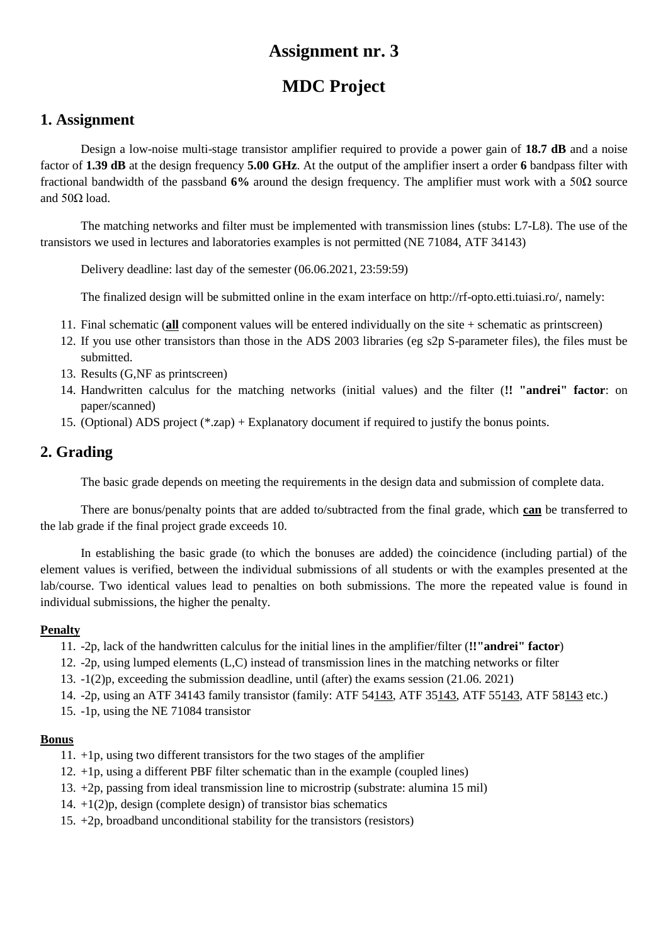# **MDC Project**

### **1. Assignment**

Design a low-noise multi-stage transistor amplifier required to provide a power gain of **18.7 dB** and a noise factor of **1.39 dB** at the design frequency **5.00 GHz**. At the output of the amplifier insert a order **6** bandpass filter with fractional bandwidth of the passband **6%** around the design frequency. The amplifier must work with a 50Ω source and  $50Ω$  load.

The matching networks and filter must be implemented with transmission lines (stubs: L7-L8). The use of the transistors we used in lectures and laboratories examples is not permitted (NE 71084, ATF 34143)

Delivery deadline: last day of the semester (06.06.2021, 23:59:59)

The finalized design will be submitted online in the exam interface on http://rf-opto.etti.tuiasi.ro/, namely:

- 11. Final schematic (**all** component values will be entered individually on the site + schematic as printscreen)
- 12. If you use other transistors than those in the ADS 2003 libraries (eg s2p S-parameter files), the files must be submitted.
- 13. Results (G,NF as printscreen)
- 14. Handwritten calculus for the matching networks (initial values) and the filter (**!! "andrei" factor**: on paper/scanned)
- 15. (Optional) ADS project (\*.zap) + Explanatory document if required to justify the bonus points.

## **2. Grading**

The basic grade depends on meeting the requirements in the design data and submission of complete data.

There are bonus/penalty points that are added to/subtracted from the final grade, which **can** be transferred to the lab grade if the final project grade exceeds 10.

In establishing the basic grade (to which the bonuses are added) the coincidence (including partial) of the element values is verified, between the individual submissions of all students or with the examples presented at the lab/course. Two identical values lead to penalties on both submissions. The more the repeated value is found in individual submissions, the higher the penalty.

#### **Penalty**

- 11. -2p, lack of the handwritten calculus for the initial lines in the amplifier/filter (**!!"andrei" factor**)
- 12. -2p, using lumped elements (L,C) instead of transmission lines in the matching networks or filter
- 13. -1(2)p, exceeding the submission deadline, until (after) the exams session (21.06. 2021)
- 14. -2p, using an ATF 34143 family transistor (family: ATF 54143, ATF 35143, ATF 55143, ATF 58143 etc.)
- 15. -1p, using the NE 71084 transistor

- 11. +1p, using two different transistors for the two stages of the amplifier
- 12. +1p, using a different PBF filter schematic than in the example (coupled lines)
- 13. +2p, passing from ideal transmission line to microstrip (substrate: alumina 15 mil)
- 14.  $+1(2)p$ , design (complete design) of transistor bias schematics
- 15. +2p, broadband unconditional stability for the transistors (resistors)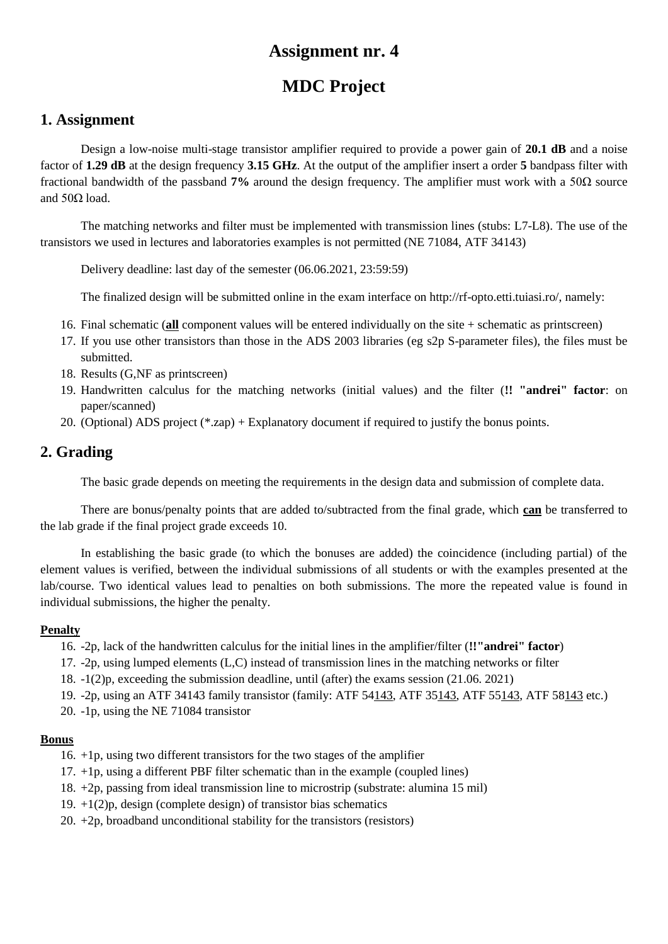# **MDC Project**

### **1. Assignment**

Design a low-noise multi-stage transistor amplifier required to provide a power gain of **20.1 dB** and a noise factor of **1.29 dB** at the design frequency **3.15 GHz**. At the output of the amplifier insert a order **5** bandpass filter with fractional bandwidth of the passband **7%** around the design frequency. The amplifier must work with a 50Ω source and  $50Ω$  load.

The matching networks and filter must be implemented with transmission lines (stubs: L7-L8). The use of the transistors we used in lectures and laboratories examples is not permitted (NE 71084, ATF 34143)

Delivery deadline: last day of the semester (06.06.2021, 23:59:59)

The finalized design will be submitted online in the exam interface on http://rf-opto.etti.tuiasi.ro/, namely:

- 16. Final schematic (**all** component values will be entered individually on the site + schematic as printscreen)
- 17. If you use other transistors than those in the ADS 2003 libraries (eg s2p S-parameter files), the files must be submitted.
- 18. Results (G,NF as printscreen)
- 19. Handwritten calculus for the matching networks (initial values) and the filter (**!! "andrei" factor**: on paper/scanned)
- 20. (Optional) ADS project (\*.zap) + Explanatory document if required to justify the bonus points.

## **2. Grading**

The basic grade depends on meeting the requirements in the design data and submission of complete data.

There are bonus/penalty points that are added to/subtracted from the final grade, which **can** be transferred to the lab grade if the final project grade exceeds 10.

In establishing the basic grade (to which the bonuses are added) the coincidence (including partial) of the element values is verified, between the individual submissions of all students or with the examples presented at the lab/course. Two identical values lead to penalties on both submissions. The more the repeated value is found in individual submissions, the higher the penalty.

#### **Penalty**

- 16. -2p, lack of the handwritten calculus for the initial lines in the amplifier/filter (**!!"andrei" factor**)
- 17. -2p, using lumped elements (L,C) instead of transmission lines in the matching networks or filter
- 18. -1(2)p, exceeding the submission deadline, until (after) the exams session (21.06. 2021)
- 19. -2p, using an ATF 34143 family transistor (family: ATF 54143, ATF 35143, ATF 55143, ATF 58143 etc.)
- 20. -1p, using the NE 71084 transistor

- 16. +1p, using two different transistors for the two stages of the amplifier
- 17. +1p, using a different PBF filter schematic than in the example (coupled lines)
- 18. +2p, passing from ideal transmission line to microstrip (substrate: alumina 15 mil)
- 19.  $+1(2)p$ , design (complete design) of transistor bias schematics
- 20.  $+2p$ , broadband unconditional stability for the transistors (resistors)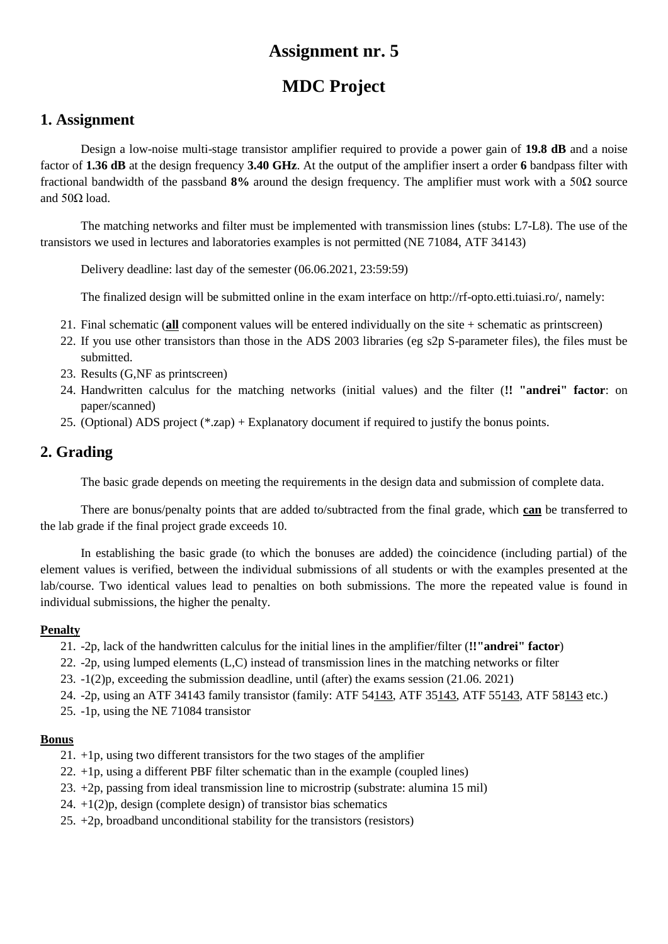# **MDC Project**

## **1. Assignment**

Design a low-noise multi-stage transistor amplifier required to provide a power gain of **19.8 dB** and a noise factor of **1.36 dB** at the design frequency **3.40 GHz**. At the output of the amplifier insert a order **6** bandpass filter with fractional bandwidth of the passband **8%** around the design frequency. The amplifier must work with a 50Ω source and  $50Ω$  load.

The matching networks and filter must be implemented with transmission lines (stubs: L7-L8). The use of the transistors we used in lectures and laboratories examples is not permitted (NE 71084, ATF 34143)

Delivery deadline: last day of the semester (06.06.2021, 23:59:59)

The finalized design will be submitted online in the exam interface on http://rf-opto.etti.tuiasi.ro/, namely:

- 21. Final schematic (**all** component values will be entered individually on the site + schematic as printscreen)
- 22. If you use other transistors than those in the ADS 2003 libraries (eg s2p S-parameter files), the files must be submitted.
- 23. Results (G,NF as printscreen)
- 24. Handwritten calculus for the matching networks (initial values) and the filter (**!! "andrei" factor**: on paper/scanned)
- 25. (Optional) ADS project (\*.zap) + Explanatory document if required to justify the bonus points.

## **2. Grading**

The basic grade depends on meeting the requirements in the design data and submission of complete data.

There are bonus/penalty points that are added to/subtracted from the final grade, which **can** be transferred to the lab grade if the final project grade exceeds 10.

In establishing the basic grade (to which the bonuses are added) the coincidence (including partial) of the element values is verified, between the individual submissions of all students or with the examples presented at the lab/course. Two identical values lead to penalties on both submissions. The more the repeated value is found in individual submissions, the higher the penalty.

#### **Penalty**

- 21. -2p, lack of the handwritten calculus for the initial lines in the amplifier/filter (**!!"andrei" factor**)
- 22. -2p, using lumped elements (L,C) instead of transmission lines in the matching networks or filter
- 23. -1(2)p, exceeding the submission deadline, until (after) the exams session (21.06. 2021)
- 24. -2p, using an ATF 34143 family transistor (family: ATF 54143, ATF 35143, ATF 55143, ATF 58143 etc.)
- 25. -1p, using the NE 71084 transistor

- 21. +1p, using two different transistors for the two stages of the amplifier
- 22. +1p, using a different PBF filter schematic than in the example (coupled lines)
- 23. +2p, passing from ideal transmission line to microstrip (substrate: alumina 15 mil)
- 24.  $+1(2)p$ , design (complete design) of transistor bias schematics
- 25.  $+2p$ , broadband unconditional stability for the transistors (resistors)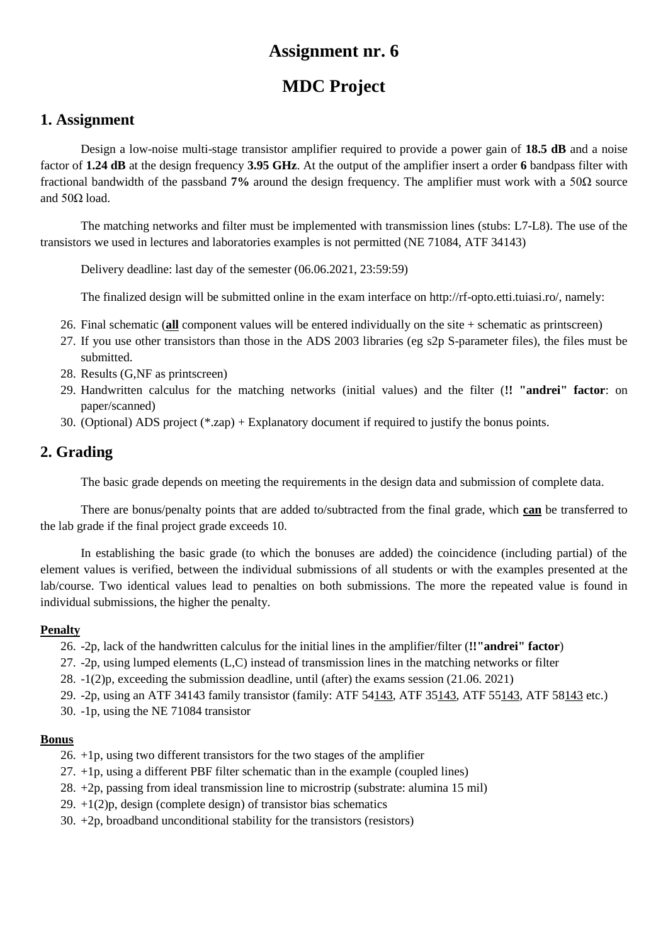# **MDC Project**

### **1. Assignment**

Design a low-noise multi-stage transistor amplifier required to provide a power gain of **18.5 dB** and a noise factor of **1.24 dB** at the design frequency **3.95 GHz**. At the output of the amplifier insert a order **6** bandpass filter with fractional bandwidth of the passband **7%** around the design frequency. The amplifier must work with a 50Ω source and  $50Ω$  load.

The matching networks and filter must be implemented with transmission lines (stubs: L7-L8). The use of the transistors we used in lectures and laboratories examples is not permitted (NE 71084, ATF 34143)

Delivery deadline: last day of the semester (06.06.2021, 23:59:59)

The finalized design will be submitted online in the exam interface on http://rf-opto.etti.tuiasi.ro/, namely:

- 26. Final schematic (**all** component values will be entered individually on the site + schematic as printscreen)
- 27. If you use other transistors than those in the ADS 2003 libraries (eg s2p S-parameter files), the files must be submitted.
- 28. Results (G,NF as printscreen)
- 29. Handwritten calculus for the matching networks (initial values) and the filter (**!! "andrei" factor**: on paper/scanned)
- 30. (Optional) ADS project (\*.zap) + Explanatory document if required to justify the bonus points.

## **2. Grading**

The basic grade depends on meeting the requirements in the design data and submission of complete data.

There are bonus/penalty points that are added to/subtracted from the final grade, which **can** be transferred to the lab grade if the final project grade exceeds 10.

In establishing the basic grade (to which the bonuses are added) the coincidence (including partial) of the element values is verified, between the individual submissions of all students or with the examples presented at the lab/course. Two identical values lead to penalties on both submissions. The more the repeated value is found in individual submissions, the higher the penalty.

#### **Penalty**

- 26. -2p, lack of the handwritten calculus for the initial lines in the amplifier/filter (**!!"andrei" factor**)
- 27. -2p, using lumped elements (L,C) instead of transmission lines in the matching networks or filter
- 28. -1(2)p, exceeding the submission deadline, until (after) the exams session (21.06. 2021)
- 29. -2p, using an ATF 34143 family transistor (family: ATF 54143, ATF 35143, ATF 55143, ATF 58143 etc.)
- 30. -1p, using the NE 71084 transistor

- 26. +1p, using two different transistors for the two stages of the amplifier
- 27. +1p, using a different PBF filter schematic than in the example (coupled lines)
- 28. +2p, passing from ideal transmission line to microstrip (substrate: alumina 15 mil)
- 29.  $+1(2)p$ , design (complete design) of transistor bias schematics
- 30. +2p, broadband unconditional stability for the transistors (resistors)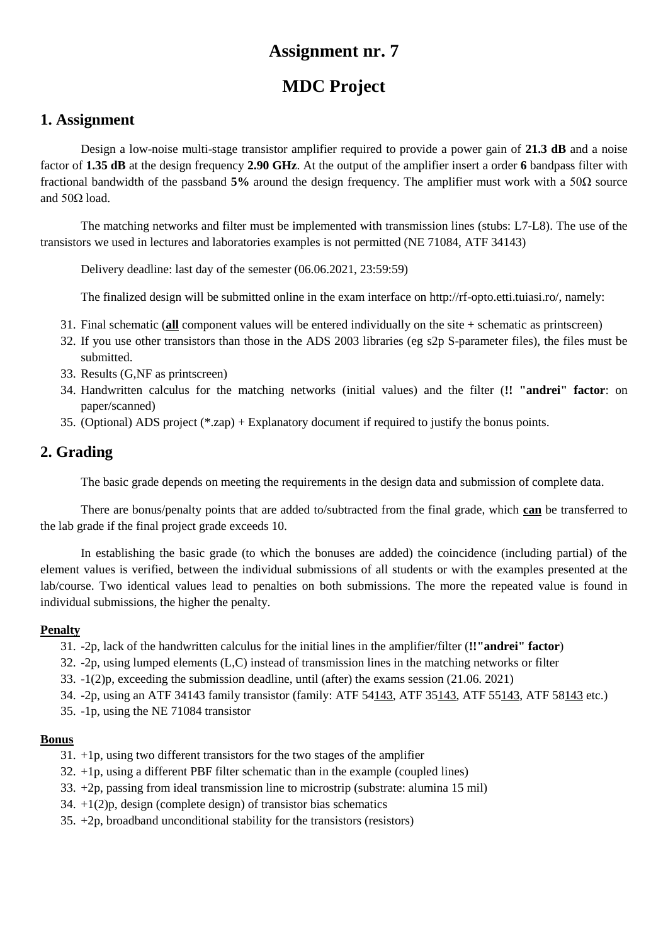# **MDC Project**

### **1. Assignment**

Design a low-noise multi-stage transistor amplifier required to provide a power gain of **21.3 dB** and a noise factor of **1.35 dB** at the design frequency **2.90 GHz**. At the output of the amplifier insert a order **6** bandpass filter with fractional bandwidth of the passband **5%** around the design frequency. The amplifier must work with a 50Ω source and  $50Ω$  load.

The matching networks and filter must be implemented with transmission lines (stubs: L7-L8). The use of the transistors we used in lectures and laboratories examples is not permitted (NE 71084, ATF 34143)

Delivery deadline: last day of the semester (06.06.2021, 23:59:59)

The finalized design will be submitted online in the exam interface on http://rf-opto.etti.tuiasi.ro/, namely:

- 31. Final schematic (**all** component values will be entered individually on the site + schematic as printscreen)
- 32. If you use other transistors than those in the ADS 2003 libraries (eg s2p S-parameter files), the files must be submitted.
- 33. Results (G,NF as printscreen)
- 34. Handwritten calculus for the matching networks (initial values) and the filter (**!! "andrei" factor**: on paper/scanned)
- 35. (Optional) ADS project (\*.zap) + Explanatory document if required to justify the bonus points.

## **2. Grading**

The basic grade depends on meeting the requirements in the design data and submission of complete data.

There are bonus/penalty points that are added to/subtracted from the final grade, which **can** be transferred to the lab grade if the final project grade exceeds 10.

In establishing the basic grade (to which the bonuses are added) the coincidence (including partial) of the element values is verified, between the individual submissions of all students or with the examples presented at the lab/course. Two identical values lead to penalties on both submissions. The more the repeated value is found in individual submissions, the higher the penalty.

#### **Penalty**

- 31. -2p, lack of the handwritten calculus for the initial lines in the amplifier/filter (**!!"andrei" factor**)
- 32. -2p, using lumped elements (L,C) instead of transmission lines in the matching networks or filter
- 33. -1(2)p, exceeding the submission deadline, until (after) the exams session (21.06. 2021)
- 34. -2p, using an ATF 34143 family transistor (family: ATF 54143, ATF 35143, ATF 55143, ATF 58143 etc.)
- 35. -1p, using the NE 71084 transistor

- 31. +1p, using two different transistors for the two stages of the amplifier
- 32. +1p, using a different PBF filter schematic than in the example (coupled lines)
- 33. +2p, passing from ideal transmission line to microstrip (substrate: alumina 15 mil)
- 34.  $+1(2)p$ , design (complete design) of transistor bias schematics
- 35. +2p, broadband unconditional stability for the transistors (resistors)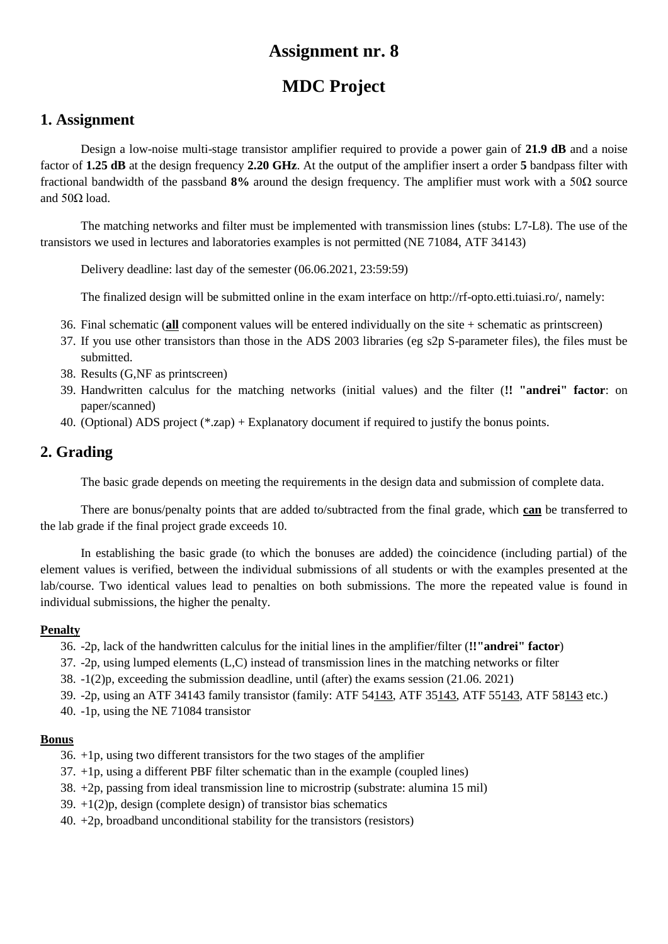# **MDC Project**

### **1. Assignment**

Design a low-noise multi-stage transistor amplifier required to provide a power gain of **21.9 dB** and a noise factor of **1.25 dB** at the design frequency **2.20 GHz**. At the output of the amplifier insert a order **5** bandpass filter with fractional bandwidth of the passband **8%** around the design frequency. The amplifier must work with a 50Ω source and  $50Ω$  load.

The matching networks and filter must be implemented with transmission lines (stubs: L7-L8). The use of the transistors we used in lectures and laboratories examples is not permitted (NE 71084, ATF 34143)

Delivery deadline: last day of the semester (06.06.2021, 23:59:59)

The finalized design will be submitted online in the exam interface on http://rf-opto.etti.tuiasi.ro/, namely:

- 36. Final schematic (**all** component values will be entered individually on the site + schematic as printscreen)
- 37. If you use other transistors than those in the ADS 2003 libraries (eg s2p S-parameter files), the files must be submitted.
- 38. Results (G,NF as printscreen)
- 39. Handwritten calculus for the matching networks (initial values) and the filter (**!! "andrei" factor**: on paper/scanned)
- 40. (Optional) ADS project (\*.zap) + Explanatory document if required to justify the bonus points.

## **2. Grading**

The basic grade depends on meeting the requirements in the design data and submission of complete data.

There are bonus/penalty points that are added to/subtracted from the final grade, which **can** be transferred to the lab grade if the final project grade exceeds 10.

In establishing the basic grade (to which the bonuses are added) the coincidence (including partial) of the element values is verified, between the individual submissions of all students or with the examples presented at the lab/course. Two identical values lead to penalties on both submissions. The more the repeated value is found in individual submissions, the higher the penalty.

#### **Penalty**

- 36. -2p, lack of the handwritten calculus for the initial lines in the amplifier/filter (**!!"andrei" factor**)
- 37. -2p, using lumped elements (L,C) instead of transmission lines in the matching networks or filter
- 38. -1(2)p, exceeding the submission deadline, until (after) the exams session (21.06. 2021)
- 39. -2p, using an ATF 34143 family transistor (family: ATF 54143, ATF 35143, ATF 55143, ATF 58143 etc.)
- 40. -1p, using the NE 71084 transistor

- 36. +1p, using two different transistors for the two stages of the amplifier
- 37. +1p, using a different PBF filter schematic than in the example (coupled lines)
- 38. +2p, passing from ideal transmission line to microstrip (substrate: alumina 15 mil)
- 39.  $+1(2)p$ , design (complete design) of transistor bias schematics
- 40.  $+2p$ , broadband unconditional stability for the transistors (resistors)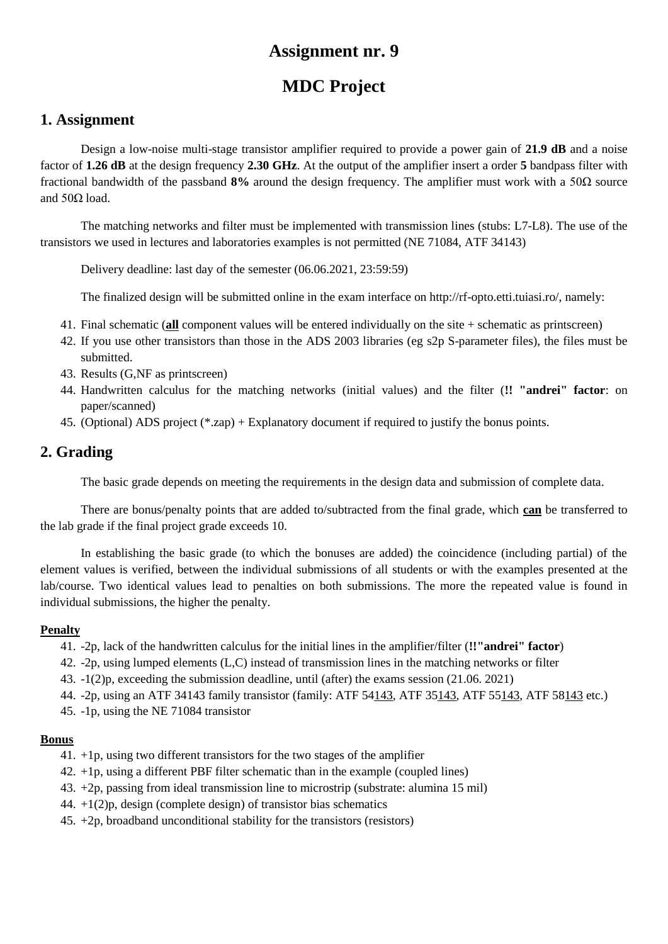# **MDC Project**

### **1. Assignment**

Design a low-noise multi-stage transistor amplifier required to provide a power gain of **21.9 dB** and a noise factor of **1.26 dB** at the design frequency **2.30 GHz**. At the output of the amplifier insert a order **5** bandpass filter with fractional bandwidth of the passband **8%** around the design frequency. The amplifier must work with a 50Ω source and  $50Ω$  load.

The matching networks and filter must be implemented with transmission lines (stubs: L7-L8). The use of the transistors we used in lectures and laboratories examples is not permitted (NE 71084, ATF 34143)

Delivery deadline: last day of the semester (06.06.2021, 23:59:59)

The finalized design will be submitted online in the exam interface on http://rf-opto.etti.tuiasi.ro/, namely:

- 41. Final schematic (**all** component values will be entered individually on the site + schematic as printscreen)
- 42. If you use other transistors than those in the ADS 2003 libraries (eg s2p S-parameter files), the files must be submitted.
- 43. Results (G,NF as printscreen)
- 44. Handwritten calculus for the matching networks (initial values) and the filter (**!! "andrei" factor**: on paper/scanned)
- 45. (Optional) ADS project (\*.zap) + Explanatory document if required to justify the bonus points.

## **2. Grading**

The basic grade depends on meeting the requirements in the design data and submission of complete data.

There are bonus/penalty points that are added to/subtracted from the final grade, which **can** be transferred to the lab grade if the final project grade exceeds 10.

In establishing the basic grade (to which the bonuses are added) the coincidence (including partial) of the element values is verified, between the individual submissions of all students or with the examples presented at the lab/course. Two identical values lead to penalties on both submissions. The more the repeated value is found in individual submissions, the higher the penalty.

#### **Penalty**

- 41. -2p, lack of the handwritten calculus for the initial lines in the amplifier/filter (**!!"andrei" factor**)
- 42. -2p, using lumped elements (L,C) instead of transmission lines in the matching networks or filter
- 43. -1(2)p, exceeding the submission deadline, until (after) the exams session (21.06. 2021)
- 44. -2p, using an ATF 34143 family transistor (family: ATF 54143, ATF 35143, ATF 55143, ATF 58143 etc.)
- 45. -1p, using the NE 71084 transistor

- 41. +1p, using two different transistors for the two stages of the amplifier
- 42. +1p, using a different PBF filter schematic than in the example (coupled lines)
- 43. +2p, passing from ideal transmission line to microstrip (substrate: alumina 15 mil)
- 44.  $+1(2)p$ , design (complete design) of transistor bias schematics
- 45. +2p, broadband unconditional stability for the transistors (resistors)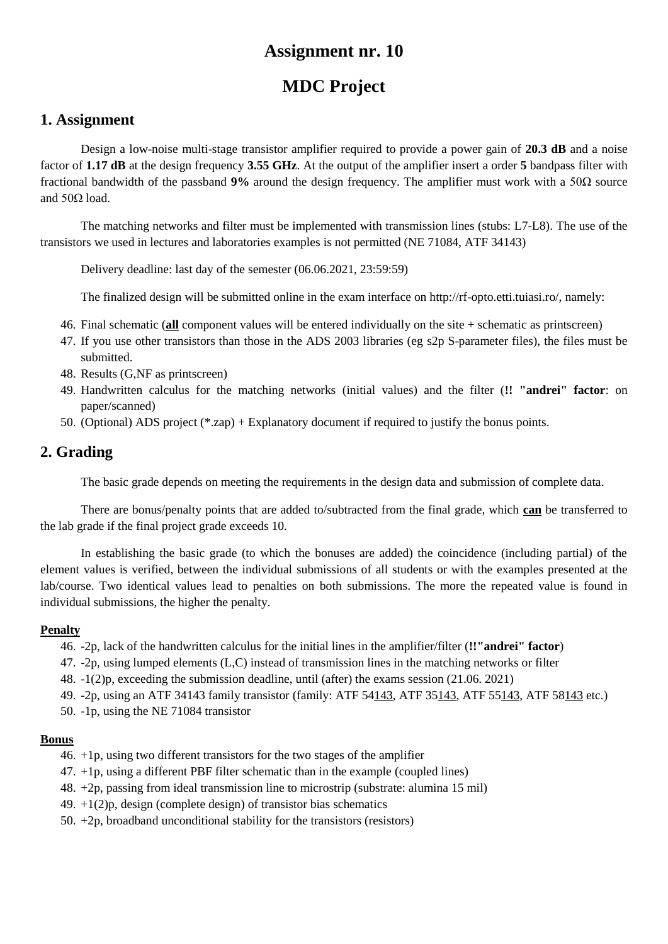# **MDC Project**

### **1. Assignment**

Design a low-noise multi-stage transistor amplifier required to provide a power gain of **20.3 dB** and a noise factor of **1.17 dB** at the design frequency **3.55 GHz**. At the output of the amplifier insert a order **5** bandpass filter with fractional bandwidth of the passband **9%** around the design frequency. The amplifier must work with a 50Ω source and  $50Ω$  load.

The matching networks and filter must be implemented with transmission lines (stubs: L7-L8). The use of the transistors we used in lectures and laboratories examples is not permitted (NE 71084, ATF 34143)

Delivery deadline: last day of the semester (06.06.2021, 23:59:59)

The finalized design will be submitted online in the exam interface on http://rf-opto.etti.tuiasi.ro/, namely:

- 46. Final schematic (**all** component values will be entered individually on the site + schematic as printscreen)
- 47. If you use other transistors than those in the ADS 2003 libraries (eg s2p S-parameter files), the files must be submitted.
- 48. Results (G,NF as printscreen)
- 49. Handwritten calculus for the matching networks (initial values) and the filter (**!! "andrei" factor**: on paper/scanned)
- 50. (Optional) ADS project (\*.zap) + Explanatory document if required to justify the bonus points.

## **2. Grading**

The basic grade depends on meeting the requirements in the design data and submission of complete data.

There are bonus/penalty points that are added to/subtracted from the final grade, which **can** be transferred to the lab grade if the final project grade exceeds 10.

In establishing the basic grade (to which the bonuses are added) the coincidence (including partial) of the element values is verified, between the individual submissions of all students or with the examples presented at the lab/course. Two identical values lead to penalties on both submissions. The more the repeated value is found in individual submissions, the higher the penalty.

#### **Penalty**

- 46. -2p, lack of the handwritten calculus for the initial lines in the amplifier/filter (**!!"andrei" factor**)
- 47. -2p, using lumped elements (L,C) instead of transmission lines in the matching networks or filter
- 48. -1(2)p, exceeding the submission deadline, until (after) the exams session (21.06. 2021)
- 49. -2p, using an ATF 34143 family transistor (family: ATF 54143, ATF 35143, ATF 55143, ATF 58143 etc.)
- 50. -1p, using the NE 71084 transistor

- 46. +1p, using two different transistors for the two stages of the amplifier
- 47. +1p, using a different PBF filter schematic than in the example (coupled lines)
- 48. +2p, passing from ideal transmission line to microstrip (substrate: alumina 15 mil)
- 49.  $+1(2)p$ , design (complete design) of transistor bias schematics
- 50. +2p, broadband unconditional stability for the transistors (resistors)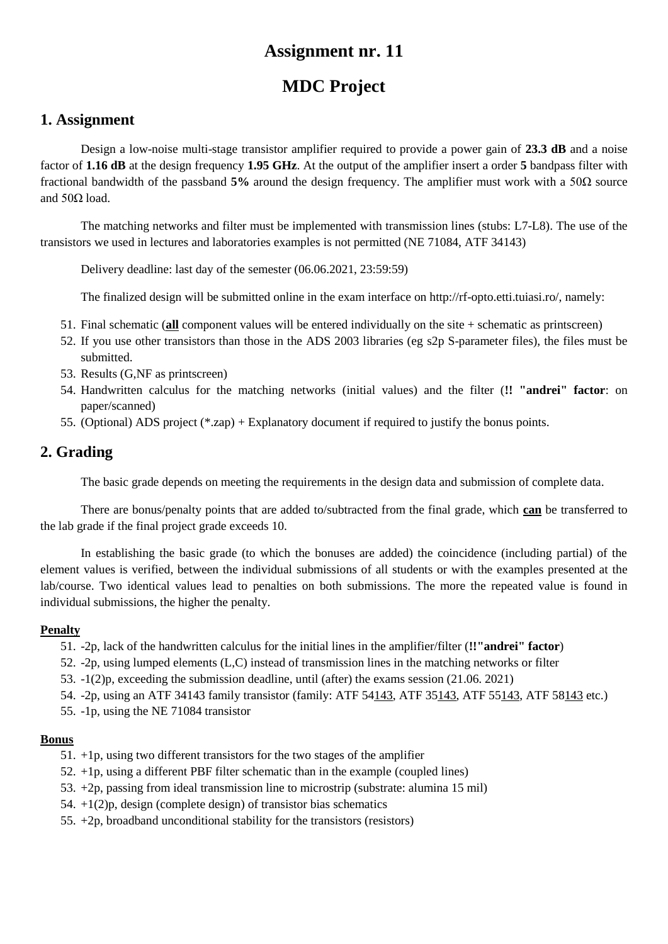# **MDC Project**

### **1. Assignment**

Design a low-noise multi-stage transistor amplifier required to provide a power gain of **23.3 dB** and a noise factor of **1.16 dB** at the design frequency **1.95 GHz**. At the output of the amplifier insert a order **5** bandpass filter with fractional bandwidth of the passband **5%** around the design frequency. The amplifier must work with a 50Ω source and  $50Ω$  load.

The matching networks and filter must be implemented with transmission lines (stubs: L7-L8). The use of the transistors we used in lectures and laboratories examples is not permitted (NE 71084, ATF 34143)

Delivery deadline: last day of the semester (06.06.2021, 23:59:59)

The finalized design will be submitted online in the exam interface on http://rf-opto.etti.tuiasi.ro/, namely:

- 51. Final schematic (**all** component values will be entered individually on the site + schematic as printscreen)
- 52. If you use other transistors than those in the ADS 2003 libraries (eg s2p S-parameter files), the files must be submitted.
- 53. Results (G,NF as printscreen)
- 54. Handwritten calculus for the matching networks (initial values) and the filter (**!! "andrei" factor**: on paper/scanned)
- 55. (Optional) ADS project (\*.zap) + Explanatory document if required to justify the bonus points.

## **2. Grading**

The basic grade depends on meeting the requirements in the design data and submission of complete data.

There are bonus/penalty points that are added to/subtracted from the final grade, which **can** be transferred to the lab grade if the final project grade exceeds 10.

In establishing the basic grade (to which the bonuses are added) the coincidence (including partial) of the element values is verified, between the individual submissions of all students or with the examples presented at the lab/course. Two identical values lead to penalties on both submissions. The more the repeated value is found in individual submissions, the higher the penalty.

#### **Penalty**

- 51. -2p, lack of the handwritten calculus for the initial lines in the amplifier/filter (**!!"andrei" factor**)
- 52. -2p, using lumped elements (L,C) instead of transmission lines in the matching networks or filter
- 53. -1(2)p, exceeding the submission deadline, until (after) the exams session (21.06. 2021)
- 54. -2p, using an ATF 34143 family transistor (family: ATF 54143, ATF 35143, ATF 55143, ATF 58143 etc.)
- 55. -1p, using the NE 71084 transistor

- 51. +1p, using two different transistors for the two stages of the amplifier
- 52. +1p, using a different PBF filter schematic than in the example (coupled lines)
- 53. +2p, passing from ideal transmission line to microstrip (substrate: alumina 15 mil)
- 54. +1(2)p, design (complete design) of transistor bias schematics
- 55. +2p, broadband unconditional stability for the transistors (resistors)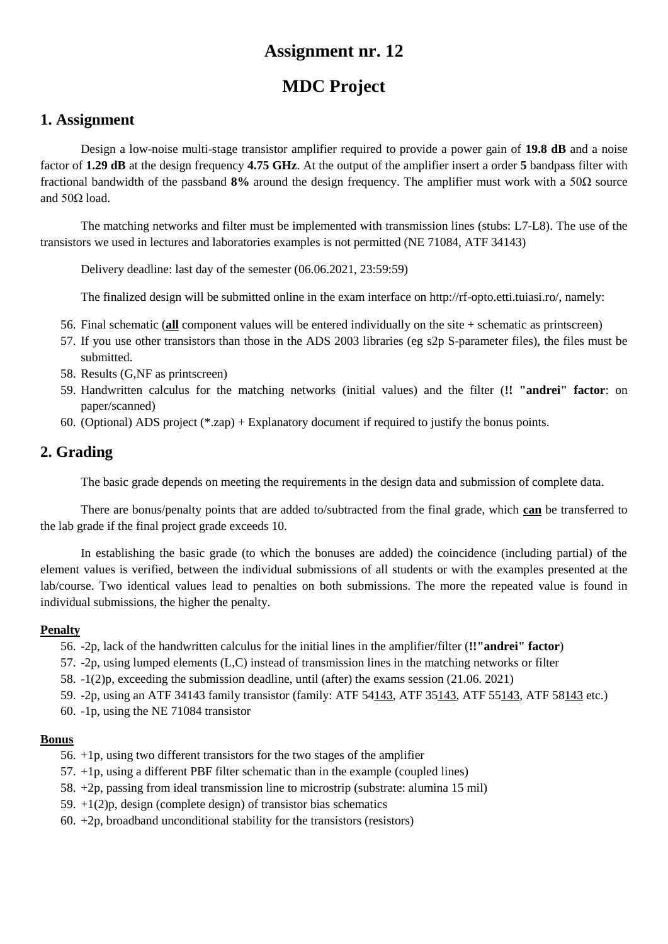# **MDC Project**

### **1. Assignment**

Design a low-noise multi-stage transistor amplifier required to provide a power gain of **19.8 dB** and a noise factor of **1.29 dB** at the design frequency **4.75 GHz**. At the output of the amplifier insert a order **5** bandpass filter with fractional bandwidth of the passband **8%** around the design frequency. The amplifier must work with a 50Ω source and  $50Ω$  load.

The matching networks and filter must be implemented with transmission lines (stubs: L7-L8). The use of the transistors we used in lectures and laboratories examples is not permitted (NE 71084, ATF 34143)

Delivery deadline: last day of the semester (06.06.2021, 23:59:59)

The finalized design will be submitted online in the exam interface on http://rf-opto.etti.tuiasi.ro/, namely:

- 56. Final schematic (**all** component values will be entered individually on the site + schematic as printscreen)
- 57. If you use other transistors than those in the ADS 2003 libraries (eg s2p S-parameter files), the files must be submitted.
- 58. Results (G,NF as printscreen)
- 59. Handwritten calculus for the matching networks (initial values) and the filter (**!! "andrei" factor**: on paper/scanned)
- 60. (Optional) ADS project (\*.zap) + Explanatory document if required to justify the bonus points.

## **2. Grading**

The basic grade depends on meeting the requirements in the design data and submission of complete data.

There are bonus/penalty points that are added to/subtracted from the final grade, which **can** be transferred to the lab grade if the final project grade exceeds 10.

In establishing the basic grade (to which the bonuses are added) the coincidence (including partial) of the element values is verified, between the individual submissions of all students or with the examples presented at the lab/course. Two identical values lead to penalties on both submissions. The more the repeated value is found in individual submissions, the higher the penalty.

#### **Penalty**

- 56. -2p, lack of the handwritten calculus for the initial lines in the amplifier/filter (**!!"andrei" factor**)
- 57. -2p, using lumped elements (L,C) instead of transmission lines in the matching networks or filter
- 58. -1(2)p, exceeding the submission deadline, until (after) the exams session (21.06. 2021)
- 59. -2p, using an ATF 34143 family transistor (family: ATF 54143, ATF 35143, ATF 55143, ATF 58143 etc.)
- 60. -1p, using the NE 71084 transistor

- 56. +1p, using two different transistors for the two stages of the amplifier
- 57. +1p, using a different PBF filter schematic than in the example (coupled lines)
- 58. +2p, passing from ideal transmission line to microstrip (substrate: alumina 15 mil)
- 59.  $+1(2)p$ , design (complete design) of transistor bias schematics
- 60.  $+2p$ , broadband unconditional stability for the transistors (resistors)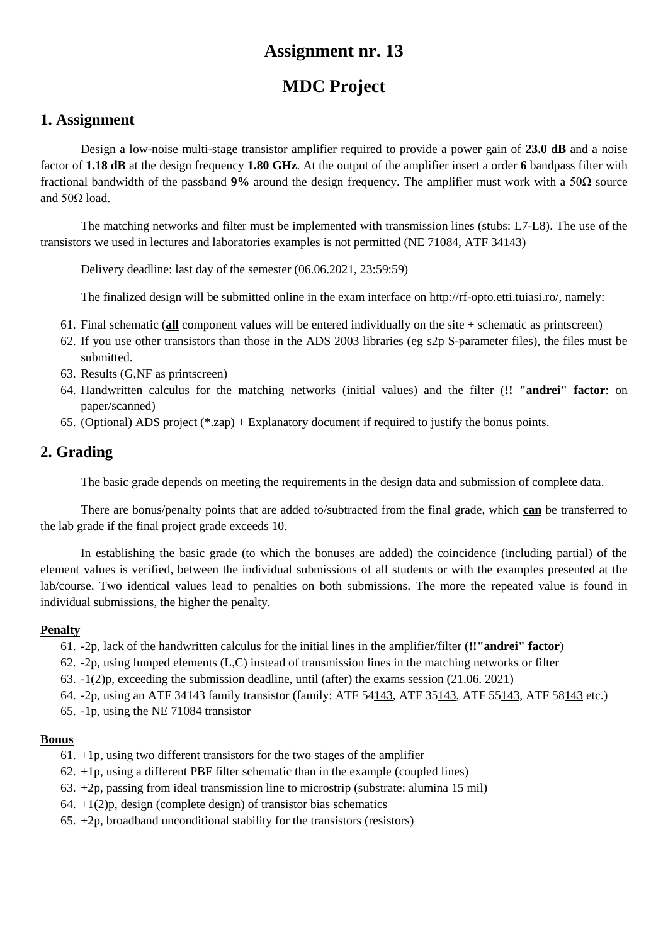# **MDC Project**

### **1. Assignment**

Design a low-noise multi-stage transistor amplifier required to provide a power gain of **23.0 dB** and a noise factor of **1.18 dB** at the design frequency **1.80 GHz**. At the output of the amplifier insert a order **6** bandpass filter with fractional bandwidth of the passband **9%** around the design frequency. The amplifier must work with a 50Ω source and  $50Ω$  load.

The matching networks and filter must be implemented with transmission lines (stubs: L7-L8). The use of the transistors we used in lectures and laboratories examples is not permitted (NE 71084, ATF 34143)

Delivery deadline: last day of the semester (06.06.2021, 23:59:59)

The finalized design will be submitted online in the exam interface on http://rf-opto.etti.tuiasi.ro/, namely:

- 61. Final schematic (**all** component values will be entered individually on the site + schematic as printscreen)
- 62. If you use other transistors than those in the ADS 2003 libraries (eg s2p S-parameter files), the files must be submitted.
- 63. Results (G,NF as printscreen)
- 64. Handwritten calculus for the matching networks (initial values) and the filter (**!! "andrei" factor**: on paper/scanned)
- 65. (Optional) ADS project (\*.zap) + Explanatory document if required to justify the bonus points.

## **2. Grading**

The basic grade depends on meeting the requirements in the design data and submission of complete data.

There are bonus/penalty points that are added to/subtracted from the final grade, which **can** be transferred to the lab grade if the final project grade exceeds 10.

In establishing the basic grade (to which the bonuses are added) the coincidence (including partial) of the element values is verified, between the individual submissions of all students or with the examples presented at the lab/course. Two identical values lead to penalties on both submissions. The more the repeated value is found in individual submissions, the higher the penalty.

#### **Penalty**

- 61. -2p, lack of the handwritten calculus for the initial lines in the amplifier/filter (**!!"andrei" factor**)
- 62. -2p, using lumped elements (L,C) instead of transmission lines in the matching networks or filter
- 63. -1(2)p, exceeding the submission deadline, until (after) the exams session (21.06. 2021)
- 64. -2p, using an ATF 34143 family transistor (family: ATF 54143, ATF 35143, ATF 55143, ATF 58143 etc.)
- 65. -1p, using the NE 71084 transistor

- $61. +1$ p, using two different transistors for the two stages of the amplifier
- $62. +1p$ , using a different PBF filter schematic than in the example (coupled lines)
- 63. +2p, passing from ideal transmission line to microstrip (substrate: alumina 15 mil)
- 64.  $+1(2)p$ , design (complete design) of transistor bias schematics
- $65. +2p$ , broadband unconditional stability for the transistors (resistors)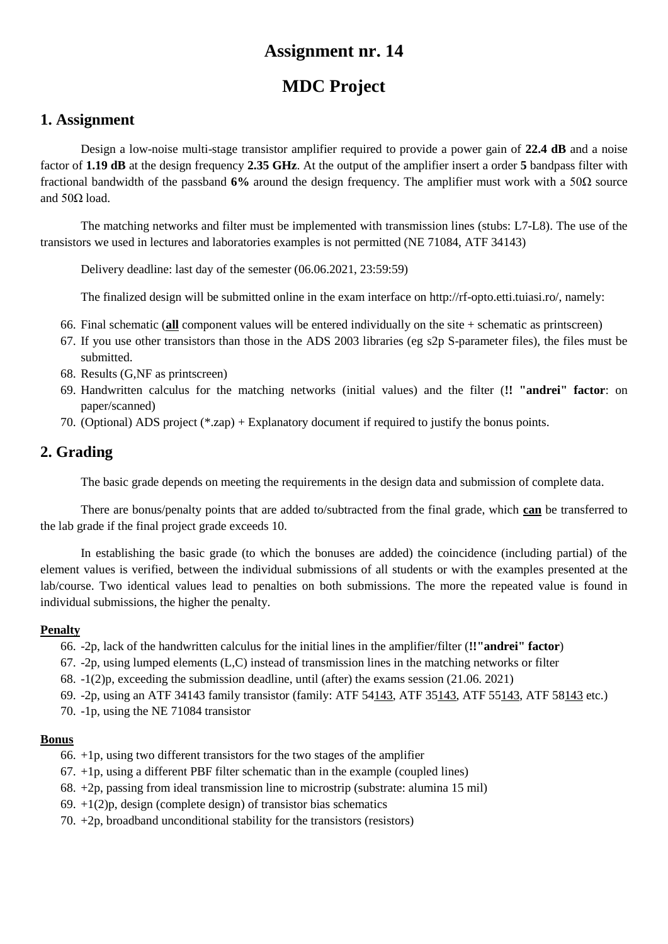# **MDC Project**

### **1. Assignment**

Design a low-noise multi-stage transistor amplifier required to provide a power gain of **22.4 dB** and a noise factor of **1.19 dB** at the design frequency **2.35 GHz**. At the output of the amplifier insert a order **5** bandpass filter with fractional bandwidth of the passband **6%** around the design frequency. The amplifier must work with a 50Ω source and  $50Ω$  load.

The matching networks and filter must be implemented with transmission lines (stubs: L7-L8). The use of the transistors we used in lectures and laboratories examples is not permitted (NE 71084, ATF 34143)

Delivery deadline: last day of the semester (06.06.2021, 23:59:59)

The finalized design will be submitted online in the exam interface on http://rf-opto.etti.tuiasi.ro/, namely:

- 66. Final schematic (**all** component values will be entered individually on the site + schematic as printscreen)
- 67. If you use other transistors than those in the ADS 2003 libraries (eg s2p S-parameter files), the files must be submitted.
- 68. Results (G,NF as printscreen)
- 69. Handwritten calculus for the matching networks (initial values) and the filter (**!! "andrei" factor**: on paper/scanned)
- 70. (Optional) ADS project (\*.zap) + Explanatory document if required to justify the bonus points.

## **2. Grading**

The basic grade depends on meeting the requirements in the design data and submission of complete data.

There are bonus/penalty points that are added to/subtracted from the final grade, which **can** be transferred to the lab grade if the final project grade exceeds 10.

In establishing the basic grade (to which the bonuses are added) the coincidence (including partial) of the element values is verified, between the individual submissions of all students or with the examples presented at the lab/course. Two identical values lead to penalties on both submissions. The more the repeated value is found in individual submissions, the higher the penalty.

#### **Penalty**

- 66. -2p, lack of the handwritten calculus for the initial lines in the amplifier/filter (**!!"andrei" factor**)
- 67. -2p, using lumped elements (L,C) instead of transmission lines in the matching networks or filter
- 68. -1(2)p, exceeding the submission deadline, until (after) the exams session (21.06. 2021)
- 69. -2p, using an ATF 34143 family transistor (family: ATF 54143, ATF 35143, ATF 55143, ATF 58143 etc.)
- 70. -1p, using the NE 71084 transistor

- $66. +1$  p, using two different transistors for the two stages of the amplifier
- $67. +1p$ , using a different PBF filter schematic than in the example (coupled lines)
- 68. +2p, passing from ideal transmission line to microstrip (substrate: alumina 15 mil)
- 69.  $+1(2)p$ , design (complete design) of transistor bias schematics
- 70. +2p, broadband unconditional stability for the transistors (resistors)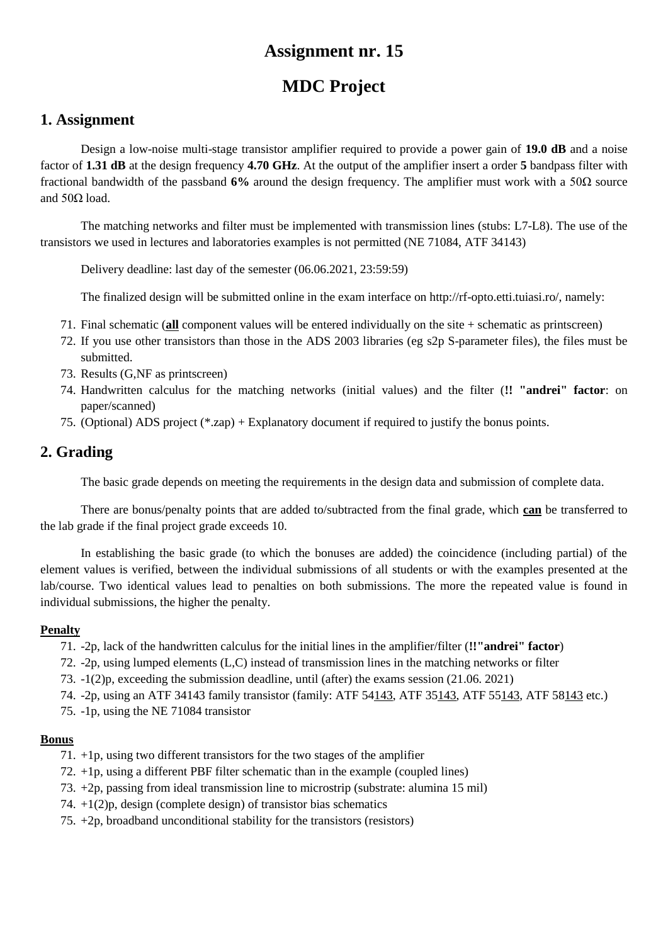# **MDC Project**

### **1. Assignment**

Design a low-noise multi-stage transistor amplifier required to provide a power gain of **19.0 dB** and a noise factor of **1.31 dB** at the design frequency **4.70 GHz**. At the output of the amplifier insert a order **5** bandpass filter with fractional bandwidth of the passband **6%** around the design frequency. The amplifier must work with a 50Ω source and  $50Ω$  load.

The matching networks and filter must be implemented with transmission lines (stubs: L7-L8). The use of the transistors we used in lectures and laboratories examples is not permitted (NE 71084, ATF 34143)

Delivery deadline: last day of the semester (06.06.2021, 23:59:59)

The finalized design will be submitted online in the exam interface on http://rf-opto.etti.tuiasi.ro/, namely:

- 71. Final schematic (**all** component values will be entered individually on the site + schematic as printscreen)
- 72. If you use other transistors than those in the ADS 2003 libraries (eg s2p S-parameter files), the files must be submitted.
- 73. Results (G,NF as printscreen)
- 74. Handwritten calculus for the matching networks (initial values) and the filter (**!! "andrei" factor**: on paper/scanned)
- 75. (Optional) ADS project (\*.zap) + Explanatory document if required to justify the bonus points.

## **2. Grading**

The basic grade depends on meeting the requirements in the design data and submission of complete data.

There are bonus/penalty points that are added to/subtracted from the final grade, which **can** be transferred to the lab grade if the final project grade exceeds 10.

In establishing the basic grade (to which the bonuses are added) the coincidence (including partial) of the element values is verified, between the individual submissions of all students or with the examples presented at the lab/course. Two identical values lead to penalties on both submissions. The more the repeated value is found in individual submissions, the higher the penalty.

#### **Penalty**

- 71. -2p, lack of the handwritten calculus for the initial lines in the amplifier/filter (**!!"andrei" factor**)
- 72. -2p, using lumped elements (L,C) instead of transmission lines in the matching networks or filter
- 73. -1(2)p, exceeding the submission deadline, until (after) the exams session (21.06. 2021)
- 74. -2p, using an ATF 34143 family transistor (family: ATF 54143, ATF 35143, ATF 55143, ATF 58143 etc.)
- 75. -1p, using the NE 71084 transistor

- 71. +1p, using two different transistors for the two stages of the amplifier
- 72. +1p, using a different PBF filter schematic than in the example (coupled lines)
- 73. +2p, passing from ideal transmission line to microstrip (substrate: alumina 15 mil)
- 74. +1(2)p, design (complete design) of transistor bias schematics
- 75. +2p, broadband unconditional stability for the transistors (resistors)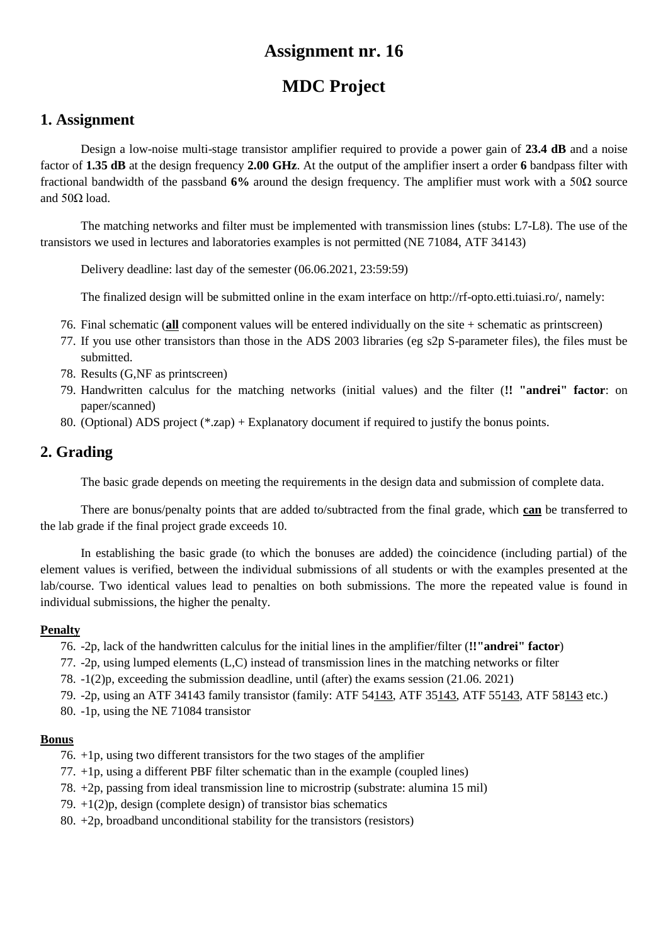# **MDC Project**

### **1. Assignment**

Design a low-noise multi-stage transistor amplifier required to provide a power gain of **23.4 dB** and a noise factor of **1.35 dB** at the design frequency **2.00 GHz**. At the output of the amplifier insert a order **6** bandpass filter with fractional bandwidth of the passband **6%** around the design frequency. The amplifier must work with a 50Ω source and  $50Ω$  load.

The matching networks and filter must be implemented with transmission lines (stubs: L7-L8). The use of the transistors we used in lectures and laboratories examples is not permitted (NE 71084, ATF 34143)

Delivery deadline: last day of the semester (06.06.2021, 23:59:59)

The finalized design will be submitted online in the exam interface on http://rf-opto.etti.tuiasi.ro/, namely:

- 76. Final schematic (**all** component values will be entered individually on the site + schematic as printscreen)
- 77. If you use other transistors than those in the ADS 2003 libraries (eg s2p S-parameter files), the files must be submitted.
- 78. Results (G,NF as printscreen)
- 79. Handwritten calculus for the matching networks (initial values) and the filter (**!! "andrei" factor**: on paper/scanned)
- 80. (Optional) ADS project (\*.zap) + Explanatory document if required to justify the bonus points.

## **2. Grading**

The basic grade depends on meeting the requirements in the design data and submission of complete data.

There are bonus/penalty points that are added to/subtracted from the final grade, which **can** be transferred to the lab grade if the final project grade exceeds 10.

In establishing the basic grade (to which the bonuses are added) the coincidence (including partial) of the element values is verified, between the individual submissions of all students or with the examples presented at the lab/course. Two identical values lead to penalties on both submissions. The more the repeated value is found in individual submissions, the higher the penalty.

#### **Penalty**

- 76. -2p, lack of the handwritten calculus for the initial lines in the amplifier/filter (**!!"andrei" factor**)
- 77. -2p, using lumped elements (L,C) instead of transmission lines in the matching networks or filter
- 78. -1(2)p, exceeding the submission deadline, until (after) the exams session (21.06. 2021)
- 79. -2p, using an ATF 34143 family transistor (family: ATF 54143, ATF 35143, ATF 55143, ATF 58143 etc.)
- 80. -1p, using the NE 71084 transistor

- 76. +1p, using two different transistors for the two stages of the amplifier
- 77. +1p, using a different PBF filter schematic than in the example (coupled lines)
- 78. +2p, passing from ideal transmission line to microstrip (substrate: alumina 15 mil)
- 79. +1(2)p, design (complete design) of transistor bias schematics
- 80.  $+2p$ , broadband unconditional stability for the transistors (resistors)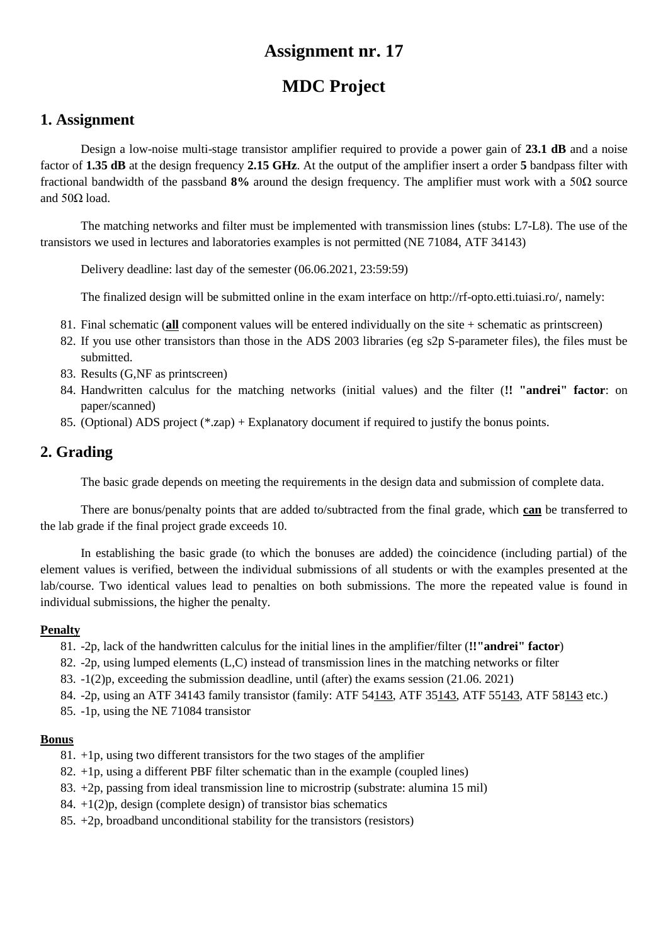# **MDC Project**

### **1. Assignment**

Design a low-noise multi-stage transistor amplifier required to provide a power gain of **23.1 dB** and a noise factor of **1.35 dB** at the design frequency **2.15 GHz**. At the output of the amplifier insert a order **5** bandpass filter with fractional bandwidth of the passband **8%** around the design frequency. The amplifier must work with a 50Ω source and  $50Ω$  load.

The matching networks and filter must be implemented with transmission lines (stubs: L7-L8). The use of the transistors we used in lectures and laboratories examples is not permitted (NE 71084, ATF 34143)

Delivery deadline: last day of the semester (06.06.2021, 23:59:59)

The finalized design will be submitted online in the exam interface on http://rf-opto.etti.tuiasi.ro/, namely:

- 81. Final schematic (**all** component values will be entered individually on the site + schematic as printscreen)
- 82. If you use other transistors than those in the ADS 2003 libraries (eg s2p S-parameter files), the files must be submitted.
- 83. Results (G,NF as printscreen)
- 84. Handwritten calculus for the matching networks (initial values) and the filter (**!! "andrei" factor**: on paper/scanned)
- 85. (Optional) ADS project (\*.zap) + Explanatory document if required to justify the bonus points.

## **2. Grading**

The basic grade depends on meeting the requirements in the design data and submission of complete data.

There are bonus/penalty points that are added to/subtracted from the final grade, which **can** be transferred to the lab grade if the final project grade exceeds 10.

In establishing the basic grade (to which the bonuses are added) the coincidence (including partial) of the element values is verified, between the individual submissions of all students or with the examples presented at the lab/course. Two identical values lead to penalties on both submissions. The more the repeated value is found in individual submissions, the higher the penalty.

#### **Penalty**

- 81. -2p, lack of the handwritten calculus for the initial lines in the amplifier/filter (**!!"andrei" factor**)
- 82. -2p, using lumped elements (L,C) instead of transmission lines in the matching networks or filter
- 83. -1(2)p, exceeding the submission deadline, until (after) the exams session (21.06. 2021)
- 84. -2p, using an ATF 34143 family transistor (family: ATF 54143, ATF 35143, ATF 55143, ATF 58143 etc.)
- 85. -1p, using the NE 71084 transistor

- 81. +1p, using two different transistors for the two stages of the amplifier
- 82. +1p, using a different PBF filter schematic than in the example (coupled lines)
- 83. +2p, passing from ideal transmission line to microstrip (substrate: alumina 15 mil)
- 84.  $+1(2)p$ , design (complete design) of transistor bias schematics
- 85. +2p, broadband unconditional stability for the transistors (resistors)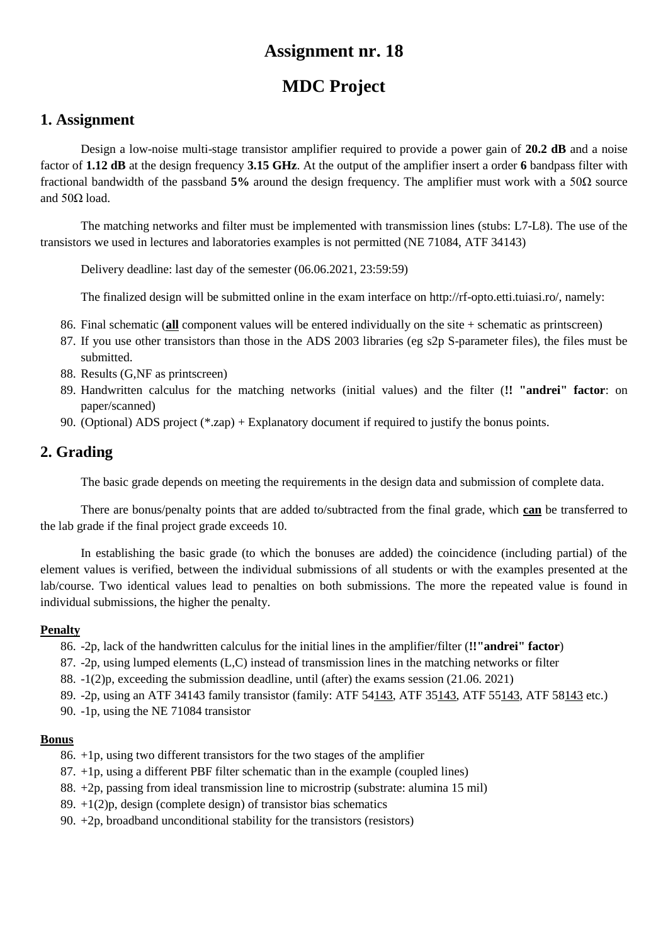# **MDC Project**

### **1. Assignment**

Design a low-noise multi-stage transistor amplifier required to provide a power gain of **20.2 dB** and a noise factor of **1.12 dB** at the design frequency **3.15 GHz**. At the output of the amplifier insert a order **6** bandpass filter with fractional bandwidth of the passband **5%** around the design frequency. The amplifier must work with a 50Ω source and  $50Ω$  load.

The matching networks and filter must be implemented with transmission lines (stubs: L7-L8). The use of the transistors we used in lectures and laboratories examples is not permitted (NE 71084, ATF 34143)

Delivery deadline: last day of the semester (06.06.2021, 23:59:59)

The finalized design will be submitted online in the exam interface on http://rf-opto.etti.tuiasi.ro/, namely:

- 86. Final schematic (**all** component values will be entered individually on the site + schematic as printscreen)
- 87. If you use other transistors than those in the ADS 2003 libraries (eg s2p S-parameter files), the files must be submitted.
- 88. Results (G,NF as printscreen)
- 89. Handwritten calculus for the matching networks (initial values) and the filter (**!! "andrei" factor**: on paper/scanned)
- 90. (Optional) ADS project (\*.zap) + Explanatory document if required to justify the bonus points.

## **2. Grading**

The basic grade depends on meeting the requirements in the design data and submission of complete data.

There are bonus/penalty points that are added to/subtracted from the final grade, which **can** be transferred to the lab grade if the final project grade exceeds 10.

In establishing the basic grade (to which the bonuses are added) the coincidence (including partial) of the element values is verified, between the individual submissions of all students or with the examples presented at the lab/course. Two identical values lead to penalties on both submissions. The more the repeated value is found in individual submissions, the higher the penalty.

#### **Penalty**

- 86. -2p, lack of the handwritten calculus for the initial lines in the amplifier/filter (**!!"andrei" factor**)
- 87. -2p, using lumped elements (L,C) instead of transmission lines in the matching networks or filter
- 88. -1(2)p, exceeding the submission deadline, until (after) the exams session (21.06. 2021)
- 89. -2p, using an ATF 34143 family transistor (family: ATF 54143, ATF 35143, ATF 55143, ATF 58143 etc.)
- 90. -1p, using the NE 71084 transistor

- 86. +1p, using two different transistors for the two stages of the amplifier
- 87. +1p, using a different PBF filter schematic than in the example (coupled lines)
- 88. +2p, passing from ideal transmission line to microstrip (substrate: alumina 15 mil)
- 89.  $+1(2)p$ , design (complete design) of transistor bias schematics
- 90. +2p, broadband unconditional stability for the transistors (resistors)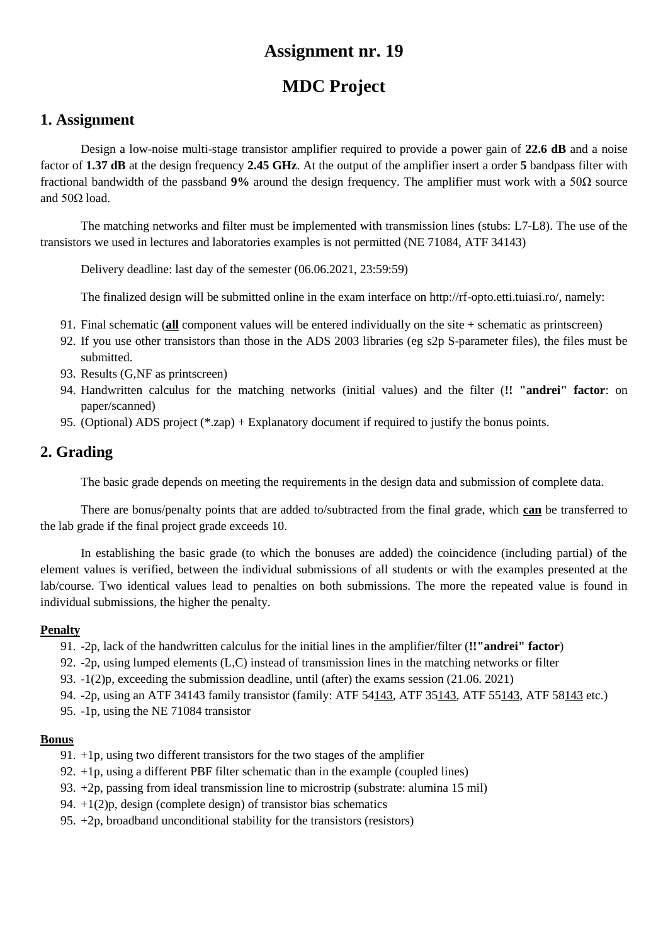# **MDC Project**

### **1. Assignment**

Design a low-noise multi-stage transistor amplifier required to provide a power gain of **22.6 dB** and a noise factor of **1.37 dB** at the design frequency **2.45 GHz**. At the output of the amplifier insert a order **5** bandpass filter with fractional bandwidth of the passband **9%** around the design frequency. The amplifier must work with a 50Ω source and  $50Ω$  load.

The matching networks and filter must be implemented with transmission lines (stubs: L7-L8). The use of the transistors we used in lectures and laboratories examples is not permitted (NE 71084, ATF 34143)

Delivery deadline: last day of the semester (06.06.2021, 23:59:59)

The finalized design will be submitted online in the exam interface on http://rf-opto.etti.tuiasi.ro/, namely:

- 91. Final schematic (**all** component values will be entered individually on the site + schematic as printscreen)
- 92. If you use other transistors than those in the ADS 2003 libraries (eg s2p S-parameter files), the files must be submitted.
- 93. Results (G,NF as printscreen)
- 94. Handwritten calculus for the matching networks (initial values) and the filter (**!! "andrei" factor**: on paper/scanned)
- 95. (Optional) ADS project (\*.zap) + Explanatory document if required to justify the bonus points.

## **2. Grading**

The basic grade depends on meeting the requirements in the design data and submission of complete data.

There are bonus/penalty points that are added to/subtracted from the final grade, which **can** be transferred to the lab grade if the final project grade exceeds 10.

In establishing the basic grade (to which the bonuses are added) the coincidence (including partial) of the element values is verified, between the individual submissions of all students or with the examples presented at the lab/course. Two identical values lead to penalties on both submissions. The more the repeated value is found in individual submissions, the higher the penalty.

#### **Penalty**

- 91. -2p, lack of the handwritten calculus for the initial lines in the amplifier/filter (**!!"andrei" factor**)
- 92. -2p, using lumped elements (L,C) instead of transmission lines in the matching networks or filter
- 93. -1(2)p, exceeding the submission deadline, until (after) the exams session (21.06. 2021)
- 94. -2p, using an ATF 34143 family transistor (family: ATF 54143, ATF 35143, ATF 55143, ATF 58143 etc.)
- 95. -1p, using the NE 71084 transistor

- 91. +1p, using two different transistors for the two stages of the amplifier
- 92. +1p, using a different PBF filter schematic than in the example (coupled lines)
- 93. +2p, passing from ideal transmission line to microstrip (substrate: alumina 15 mil)
- 94.  $+1(2)p$ , design (complete design) of transistor bias schematics
- 95. +2p, broadband unconditional stability for the transistors (resistors)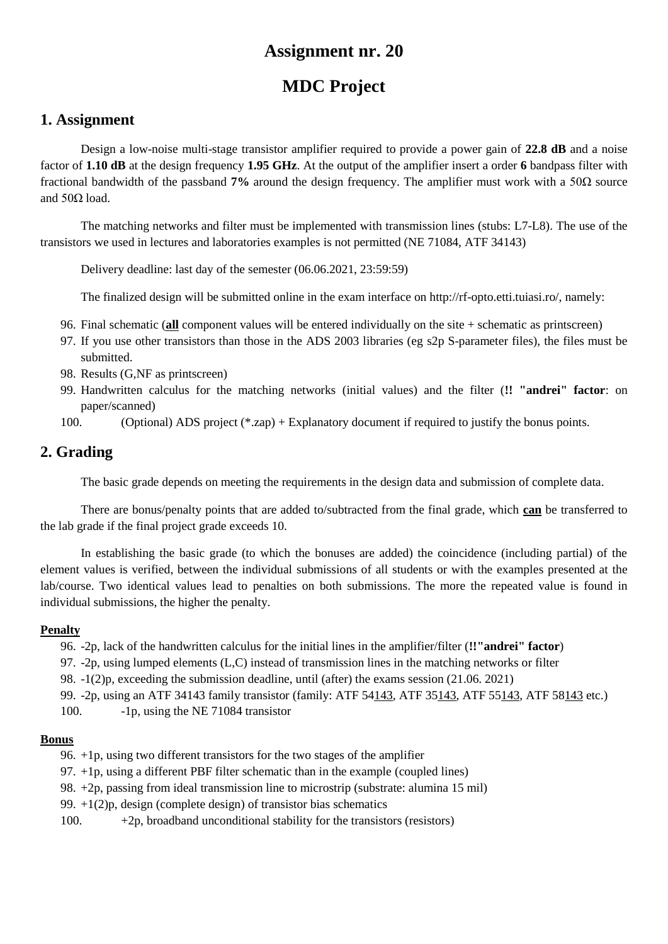# **MDC Project**

## **1. Assignment**

Design a low-noise multi-stage transistor amplifier required to provide a power gain of **22.8 dB** and a noise factor of **1.10 dB** at the design frequency **1.95 GHz**. At the output of the amplifier insert a order **6** bandpass filter with fractional bandwidth of the passband **7%** around the design frequency. The amplifier must work with a 50Ω source and  $50Ω$  load.

The matching networks and filter must be implemented with transmission lines (stubs: L7-L8). The use of the transistors we used in lectures and laboratories examples is not permitted (NE 71084, ATF 34143)

Delivery deadline: last day of the semester (06.06.2021, 23:59:59)

The finalized design will be submitted online in the exam interface on http://rf-opto.etti.tuiasi.ro/, namely:

- 96. Final schematic (**all** component values will be entered individually on the site + schematic as printscreen)
- 97. If you use other transistors than those in the ADS 2003 libraries (eg s2p S-parameter files), the files must be submitted.
- 98. Results (G,NF as printscreen)
- 99. Handwritten calculus for the matching networks (initial values) and the filter (**!! "andrei" factor**: on paper/scanned)
- 100. (Optional) ADS project (\*.zap) + Explanatory document if required to justify the bonus points.

## **2. Grading**

The basic grade depends on meeting the requirements in the design data and submission of complete data.

There are bonus/penalty points that are added to/subtracted from the final grade, which **can** be transferred to the lab grade if the final project grade exceeds 10.

In establishing the basic grade (to which the bonuses are added) the coincidence (including partial) of the element values is verified, between the individual submissions of all students or with the examples presented at the lab/course. Two identical values lead to penalties on both submissions. The more the repeated value is found in individual submissions, the higher the penalty.

#### **Penalty**

96. -2p, lack of the handwritten calculus for the initial lines in the amplifier/filter (**!!"andrei" factor**)

- 97. -2p, using lumped elements (L,C) instead of transmission lines in the matching networks or filter
- 98. -1(2)p, exceeding the submission deadline, until (after) the exams session (21.06. 2021)
- 99. -2p, using an ATF 34143 family transistor (family: ATF 54143, ATF 35143, ATF 55143, ATF 58143 etc.)

100. -1p, using the NE 71084 transistor

- 96. +1p, using two different transistors for the two stages of the amplifier
- 97. +1p, using a different PBF filter schematic than in the example (coupled lines)
- 98. +2p, passing from ideal transmission line to microstrip (substrate: alumina 15 mil)
- 99.  $+1(2)p$ , design (complete design) of transistor bias schematics
- 100.  $+2p$ , broadband unconditional stability for the transistors (resistors)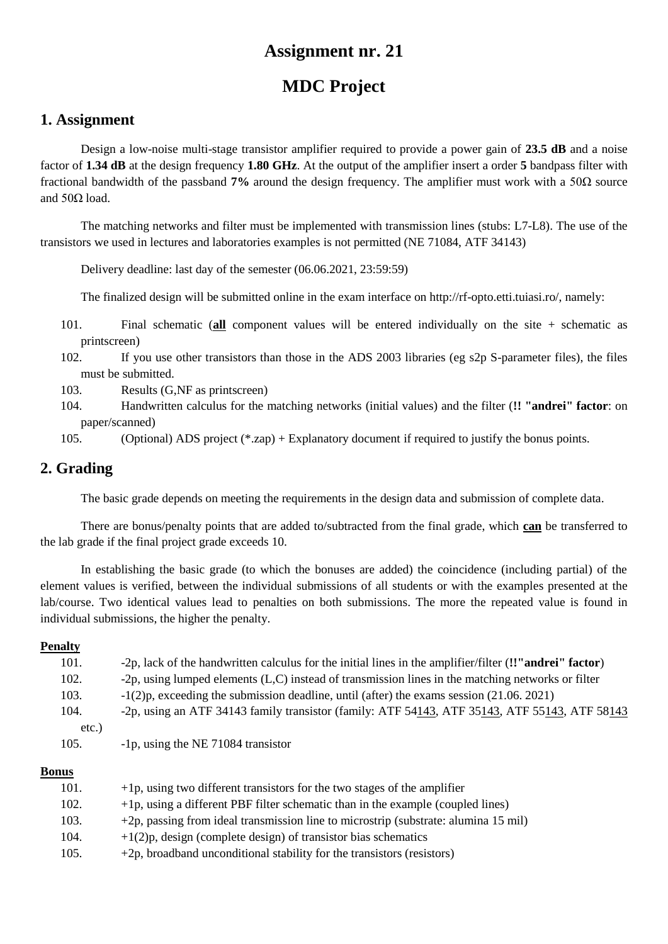# **MDC Project**

### **1. Assignment**

Design a low-noise multi-stage transistor amplifier required to provide a power gain of **23.5 dB** and a noise factor of **1.34 dB** at the design frequency **1.80 GHz**. At the output of the amplifier insert a order **5** bandpass filter with fractional bandwidth of the passband **7%** around the design frequency. The amplifier must work with a 50Ω source and  $50Ω$  load.

The matching networks and filter must be implemented with transmission lines (stubs: L7-L8). The use of the transistors we used in lectures and laboratories examples is not permitted (NE 71084, ATF 34143)

Delivery deadline: last day of the semester (06.06.2021, 23:59:59)

The finalized design will be submitted online in the exam interface on http://rf-opto.etti.tuiasi.ro/, namely:

- 101. Final schematic (**all** component values will be entered individually on the site + schematic as printscreen)
- 102. If you use other transistors than those in the ADS 2003 libraries (eg s2p S-parameter files), the files must be submitted.
- 103. Results (G,NF as printscreen)
- 104. Handwritten calculus for the matching networks (initial values) and the filter (**!! "andrei" factor**: on paper/scanned)

105. (Optional) ADS project (\*.zap) + Explanatory document if required to justify the bonus points.

## **2. Grading**

The basic grade depends on meeting the requirements in the design data and submission of complete data.

There are bonus/penalty points that are added to/subtracted from the final grade, which **can** be transferred to the lab grade if the final project grade exceeds 10.

In establishing the basic grade (to which the bonuses are added) the coincidence (including partial) of the element values is verified, between the individual submissions of all students or with the examples presented at the lab/course. Two identical values lead to penalties on both submissions. The more the repeated value is found in individual submissions, the higher the penalty.

#### **Penalty**

| 101.  | -2p, lack of the handwritten calculus for the initial lines in the amplifier/filter (!'"andrei" factor) |
|-------|---------------------------------------------------------------------------------------------------------|
| 102.  | -2p, using lumped elements $(L, C)$ instead of transmission lines in the matching networks or filter    |
| 103.  | $-1(2)p$ , exceeding the submission deadline, until (after) the exams session (21.06.2021)              |
| 104.  | -2p, using an ATF 34143 family transistor (family: ATF 54143, ATF 35143, ATF 55143, ATF 58143           |
| etc.) |                                                                                                         |
| 105.  | -1p, using the NE 71084 transistor                                                                      |
|       |                                                                                                         |

| 101. | $+1p$ , using two different transistors for the two stages of the amplifier         |
|------|-------------------------------------------------------------------------------------|
| 102. | $+1p$ , using a different PBF filter schematic than in the example (coupled lines)  |
| 103. | +2p, passing from ideal transmission line to microstrip (substrate: alumina 15 mil) |
| 104. | $+1(2)p$ , design (complete design) of transistor bias schematics                   |
| 105. | $+2p$ , broadband unconditional stability for the transistors (resistors)           |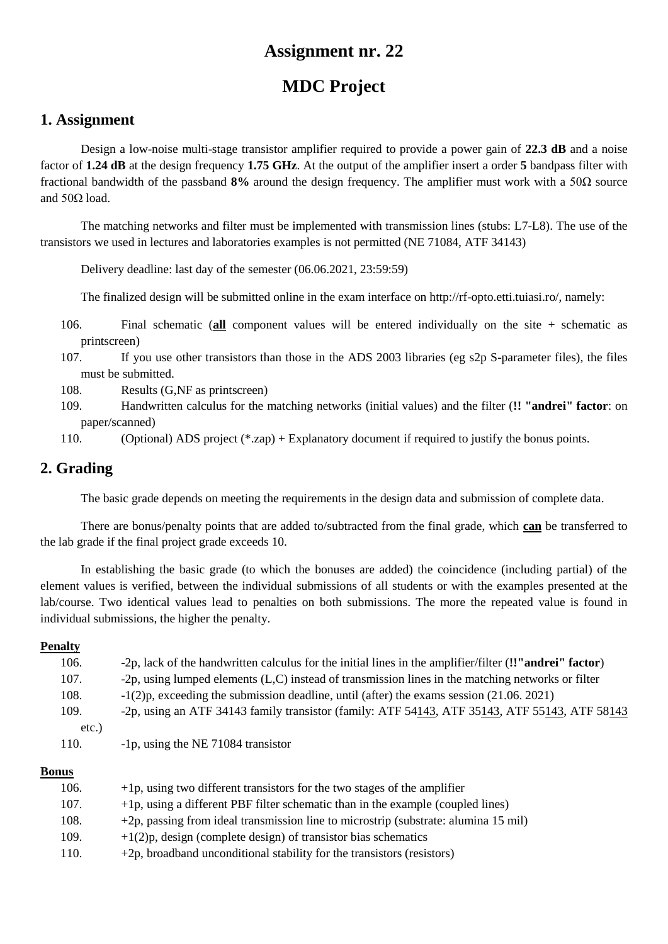# **MDC Project**

### **1. Assignment**

Design a low-noise multi-stage transistor amplifier required to provide a power gain of **22.3 dB** and a noise factor of **1.24 dB** at the design frequency **1.75 GHz**. At the output of the amplifier insert a order **5** bandpass filter with fractional bandwidth of the passband **8%** around the design frequency. The amplifier must work with a 50Ω source and  $50Ω$  load.

The matching networks and filter must be implemented with transmission lines (stubs: L7-L8). The use of the transistors we used in lectures and laboratories examples is not permitted (NE 71084, ATF 34143)

Delivery deadline: last day of the semester (06.06.2021, 23:59:59)

The finalized design will be submitted online in the exam interface on http://rf-opto.etti.tuiasi.ro/, namely:

- 106. Final schematic (**all** component values will be entered individually on the site + schematic as printscreen)
- 107. If you use other transistors than those in the ADS 2003 libraries (eg s2p S-parameter files), the files must be submitted.
- 108. Results (G,NF as printscreen)
- 109. Handwritten calculus for the matching networks (initial values) and the filter (**!! "andrei" factor**: on paper/scanned)
- 110. (Optional) ADS project (\*.zap) + Explanatory document if required to justify the bonus points.

## **2. Grading**

The basic grade depends on meeting the requirements in the design data and submission of complete data.

There are bonus/penalty points that are added to/subtracted from the final grade, which **can** be transferred to the lab grade if the final project grade exceeds 10.

In establishing the basic grade (to which the bonuses are added) the coincidence (including partial) of the element values is verified, between the individual submissions of all students or with the examples presented at the lab/course. Two identical values lead to penalties on both submissions. The more the repeated value is found in individual submissions, the higher the penalty.

#### **Penalty**

| 106.     | -2p, lack of the handwritten calculus for the initial lines in the amplifier/filter (!'"andrei" factor) |
|----------|---------------------------------------------------------------------------------------------------------|
| 107.     | -2p, using lumped elements (L,C) instead of transmission lines in the matching networks or filter       |
| 108.     | $-1(2)p$ , exceeding the submission deadline, until (after) the exams session (21.06.2021)              |
| 109.     | -2p, using an ATF 34143 family transistor (family: ATF 54143, ATF 35143, ATF 55143, ATF 58143           |
| $etc.$ ) |                                                                                                         |
| 110.     | -1p, using the NE 71084 transistor                                                                      |

| 106. | $+1p$ , using two different transistors for the two stages of the amplifier         |
|------|-------------------------------------------------------------------------------------|
| 107. | $+1p$ , using a different PBF filter schematic than in the example (coupled lines)  |
| 108. | +2p, passing from ideal transmission line to microstrip (substrate: alumina 15 mil) |
| 109. | $+1(2)p$ , design (complete design) of transistor bias schematics                   |
| 110. | $+2p$ , broadband unconditional stability for the transistors (resistors)           |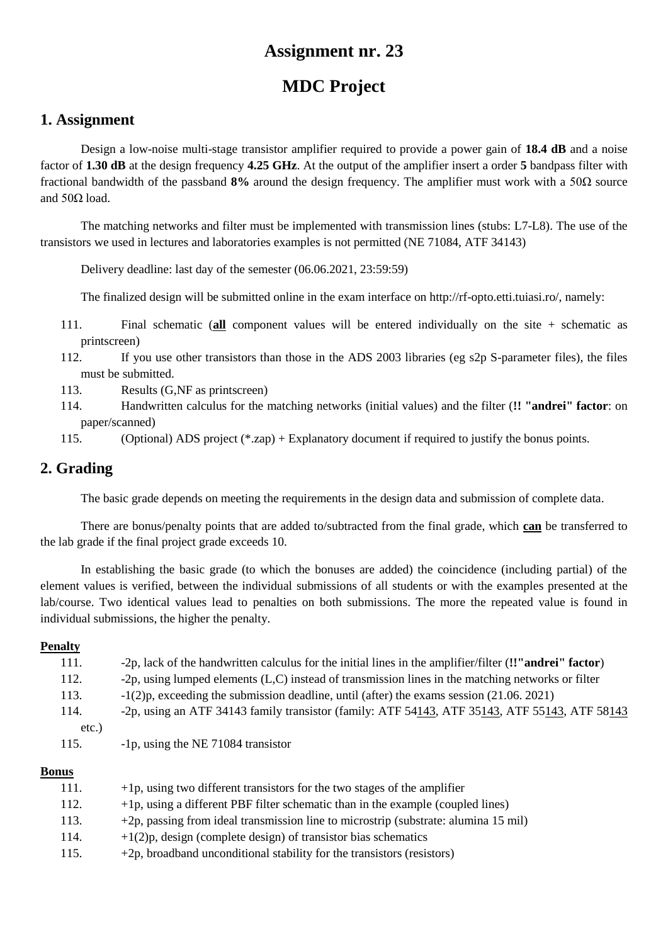# **MDC Project**

### **1. Assignment**

Design a low-noise multi-stage transistor amplifier required to provide a power gain of **18.4 dB** and a noise factor of **1.30 dB** at the design frequency **4.25 GHz**. At the output of the amplifier insert a order **5** bandpass filter with fractional bandwidth of the passband **8%** around the design frequency. The amplifier must work with a 50Ω source and  $50Ω$  load.

The matching networks and filter must be implemented with transmission lines (stubs: L7-L8). The use of the transistors we used in lectures and laboratories examples is not permitted (NE 71084, ATF 34143)

Delivery deadline: last day of the semester (06.06.2021, 23:59:59)

The finalized design will be submitted online in the exam interface on http://rf-opto.etti.tuiasi.ro/, namely:

- 111. Final schematic (**all** component values will be entered individually on the site + schematic as printscreen)
- 112. If you use other transistors than those in the ADS 2003 libraries (eg s2p S-parameter files), the files must be submitted.
- 113. Results (G,NF as printscreen)
- 114. Handwritten calculus for the matching networks (initial values) and the filter (**!! "andrei" factor**: on paper/scanned)
- 115. (Optional) ADS project (\*.zap) + Explanatory document if required to justify the bonus points.

## **2. Grading**

The basic grade depends on meeting the requirements in the design data and submission of complete data.

There are bonus/penalty points that are added to/subtracted from the final grade, which **can** be transferred to the lab grade if the final project grade exceeds 10.

In establishing the basic grade (to which the bonuses are added) the coincidence (including partial) of the element values is verified, between the individual submissions of all students or with the examples presented at the lab/course. Two identical values lead to penalties on both submissions. The more the repeated value is found in individual submissions, the higher the penalty.

#### **Penalty**

| 111.  | -2p, lack of the handwritten calculus for the initial lines in the amplifier/filter (!'"andrei" factor) |
|-------|---------------------------------------------------------------------------------------------------------|
| 112.  | -2p, using lumped elements (L,C) instead of transmission lines in the matching networks or filter       |
| 113.  | $-1(2)p$ , exceeding the submission deadline, until (after) the exams session (21.06.2021)              |
| 114.  | -2p, using an ATF 34143 family transistor (family: ATF 54143, ATF 35143, ATF 55143, ATF 58143           |
| etc.) |                                                                                                         |
| 115.  | -1p, using the NE 71084 transistor                                                                      |
|       |                                                                                                         |

| 111. | $+1p$ , using two different transistors for the two stages of the amplifier         |
|------|-------------------------------------------------------------------------------------|
| 112. | $+1p$ , using a different PBF filter schematic than in the example (coupled lines)  |
| 113. | +2p, passing from ideal transmission line to microstrip (substrate: alumina 15 mil) |
| 114. | $+1(2)p$ , design (complete design) of transistor bias schematics                   |
| 115. | $+2p$ , broadband unconditional stability for the transistors (resistors)           |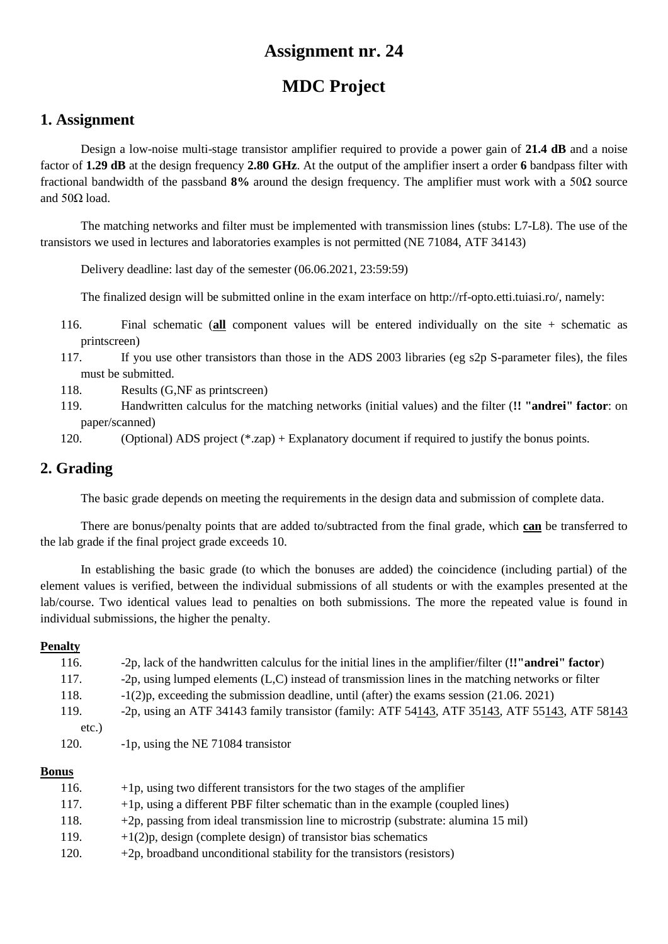# **MDC Project**

### **1. Assignment**

Design a low-noise multi-stage transistor amplifier required to provide a power gain of **21.4 dB** and a noise factor of **1.29 dB** at the design frequency **2.80 GHz**. At the output of the amplifier insert a order **6** bandpass filter with fractional bandwidth of the passband **8%** around the design frequency. The amplifier must work with a 50Ω source and  $50Ω$  load.

The matching networks and filter must be implemented with transmission lines (stubs: L7-L8). The use of the transistors we used in lectures and laboratories examples is not permitted (NE 71084, ATF 34143)

Delivery deadline: last day of the semester (06.06.2021, 23:59:59)

The finalized design will be submitted online in the exam interface on http://rf-opto.etti.tuiasi.ro/, namely:

- 116. Final schematic (**all** component values will be entered individually on the site + schematic as printscreen)
- 117. If you use other transistors than those in the ADS 2003 libraries (eg s2p S-parameter files), the files must be submitted.
- 118. Results (G,NF as printscreen)
- 119. Handwritten calculus for the matching networks (initial values) and the filter (**!! "andrei" factor**: on paper/scanned)

120. (Optional) ADS project (\*.zap) + Explanatory document if required to justify the bonus points.

## **2. Grading**

The basic grade depends on meeting the requirements in the design data and submission of complete data.

There are bonus/penalty points that are added to/subtracted from the final grade, which **can** be transferred to the lab grade if the final project grade exceeds 10.

In establishing the basic grade (to which the bonuses are added) the coincidence (including partial) of the element values is verified, between the individual submissions of all students or with the examples presented at the lab/course. Two identical values lead to penalties on both submissions. The more the repeated value is found in individual submissions, the higher the penalty.

#### **Penalty**

| 116.  | -2p, lack of the handwritten calculus for the initial lines in the amplifier/filter (!'"andrei" factor) |
|-------|---------------------------------------------------------------------------------------------------------|
| 117.  | -2p, using lumped elements $(L, C)$ instead of transmission lines in the matching networks or filter    |
| 118.  | $-1(2)p$ , exceeding the submission deadline, until (after) the exams session (21.06.2021)              |
| 119.  | -2p, using an ATF 34143 family transistor (family: ATF 54143, ATF 35143, ATF 55143, ATF 58143           |
| etc.) |                                                                                                         |
| 120.  | -1p, using the NE 71084 transistor                                                                      |
|       |                                                                                                         |

| 116. | $+1p$ , using two different transistors for the two stages of the amplifier         |
|------|-------------------------------------------------------------------------------------|
| 117. | $+1p$ , using a different PBF filter schematic than in the example (coupled lines)  |
| 118. | +2p, passing from ideal transmission line to microstrip (substrate: alumina 15 mil) |
| 119. | $+1(2)p$ , design (complete design) of transistor bias schematics                   |
| 120. | $+2p$ , broadband unconditional stability for the transistors (resistors)           |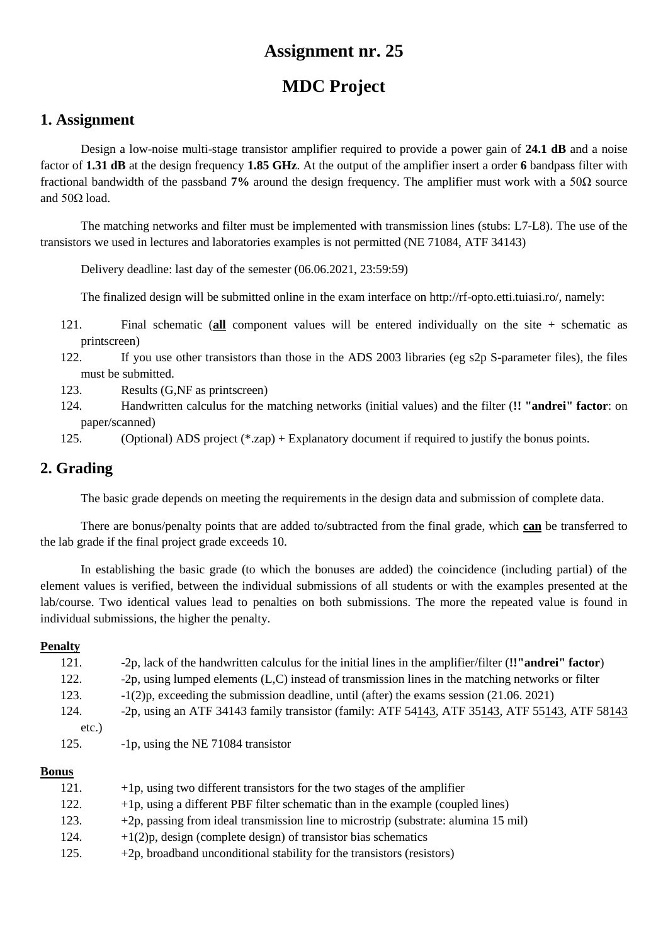# **MDC Project**

### **1. Assignment**

Design a low-noise multi-stage transistor amplifier required to provide a power gain of **24.1 dB** and a noise factor of **1.31 dB** at the design frequency **1.85 GHz**. At the output of the amplifier insert a order **6** bandpass filter with fractional bandwidth of the passband **7%** around the design frequency. The amplifier must work with a 50Ω source and  $50Ω$  load.

The matching networks and filter must be implemented with transmission lines (stubs: L7-L8). The use of the transistors we used in lectures and laboratories examples is not permitted (NE 71084, ATF 34143)

Delivery deadline: last day of the semester (06.06.2021, 23:59:59)

The finalized design will be submitted online in the exam interface on http://rf-opto.etti.tuiasi.ro/, namely:

- 121. Final schematic (**all** component values will be entered individually on the site + schematic as printscreen)
- 122. If you use other transistors than those in the ADS 2003 libraries (eg s2p S-parameter files), the files must be submitted.
- 123. Results (G,NF as printscreen)
- 124. Handwritten calculus for the matching networks (initial values) and the filter (**!! "andrei" factor**: on paper/scanned)
- 125. (Optional) ADS project (\*.zap) + Explanatory document if required to justify the bonus points.

## **2. Grading**

The basic grade depends on meeting the requirements in the design data and submission of complete data.

There are bonus/penalty points that are added to/subtracted from the final grade, which **can** be transferred to the lab grade if the final project grade exceeds 10.

In establishing the basic grade (to which the bonuses are added) the coincidence (including partial) of the element values is verified, between the individual submissions of all students or with the examples presented at the lab/course. Two identical values lead to penalties on both submissions. The more the repeated value is found in individual submissions, the higher the penalty.

#### **Penalty**

| 121.  | -2p, lack of the handwritten calculus for the initial lines in the amplifier/filter (!'"andrei" factor) |
|-------|---------------------------------------------------------------------------------------------------------|
| 122.  | -2p, using lumped elements (L,C) instead of transmission lines in the matching networks or filter       |
| 123.  | $-1(2)p$ , exceeding the submission deadline, until (after) the exams session (21.06.2021)              |
| 124.  | -2p, using an ATF 34143 family transistor (family: ATF 54143, ATF 35143, ATF 55143, ATF 58143           |
| etc.) |                                                                                                         |
| 125.  | -1p, using the NE 71084 transistor                                                                      |
|       |                                                                                                         |

| 121. | $+1p$ , using two different transistors for the two stages of the amplifier         |
|------|-------------------------------------------------------------------------------------|
| 122. | $+1p$ , using a different PBF filter schematic than in the example (coupled lines)  |
| 123. | +2p, passing from ideal transmission line to microstrip (substrate: alumina 15 mil) |
| 124. | $+1(2)p$ , design (complete design) of transistor bias schematics                   |
| 125. | $+2p$ , broadband unconditional stability for the transistors (resistors)           |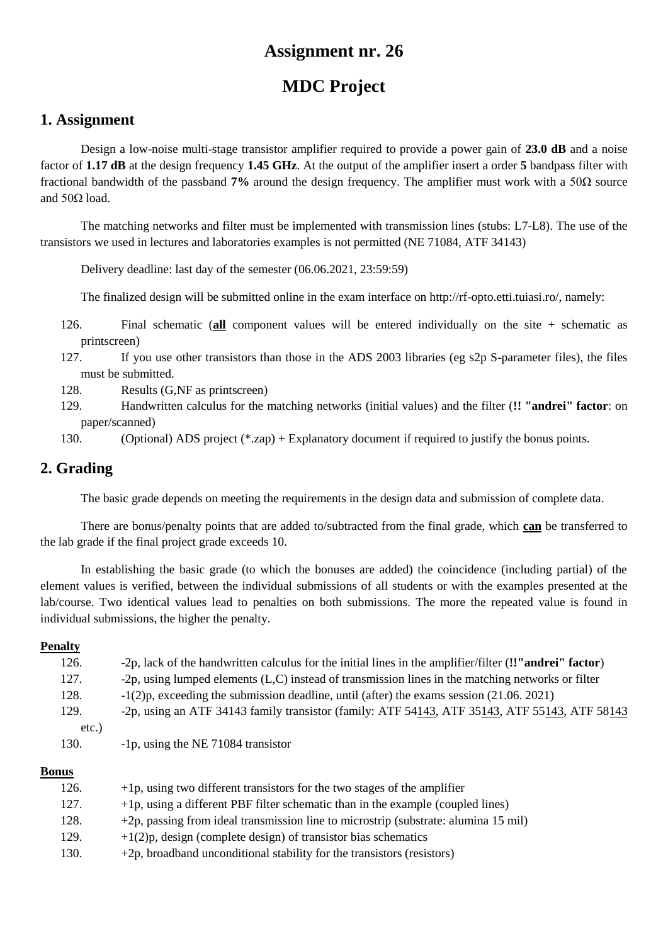# **MDC Project**

### **1. Assignment**

Design a low-noise multi-stage transistor amplifier required to provide a power gain of **23.0 dB** and a noise factor of **1.17 dB** at the design frequency **1.45 GHz**. At the output of the amplifier insert a order **5** bandpass filter with fractional bandwidth of the passband **7%** around the design frequency. The amplifier must work with a 50Ω source and  $50Ω$  load.

The matching networks and filter must be implemented with transmission lines (stubs: L7-L8). The use of the transistors we used in lectures and laboratories examples is not permitted (NE 71084, ATF 34143)

Delivery deadline: last day of the semester (06.06.2021, 23:59:59)

The finalized design will be submitted online in the exam interface on http://rf-opto.etti.tuiasi.ro/, namely:

- 126. Final schematic (**all** component values will be entered individually on the site + schematic as printscreen)
- 127. If you use other transistors than those in the ADS 2003 libraries (eg s2p S-parameter files), the files must be submitted.
- 128. Results (G,NF as printscreen)
- 129. Handwritten calculus for the matching networks (initial values) and the filter (**!! "andrei" factor**: on paper/scanned)
- 130. (Optional) ADS project (\*.zap) + Explanatory document if required to justify the bonus points.

## **2. Grading**

The basic grade depends on meeting the requirements in the design data and submission of complete data.

There are bonus/penalty points that are added to/subtracted from the final grade, which **can** be transferred to the lab grade if the final project grade exceeds 10.

In establishing the basic grade (to which the bonuses are added) the coincidence (including partial) of the element values is verified, between the individual submissions of all students or with the examples presented at the lab/course. Two identical values lead to penalties on both submissions. The more the repeated value is found in individual submissions, the higher the penalty.

#### **Penalty**

| 126.     | -2p, lack of the handwritten calculus for the initial lines in the amplifier/filter (!'"andrei" factor) |
|----------|---------------------------------------------------------------------------------------------------------|
| 127.     | -2p, using lumped elements $(L, C)$ instead of transmission lines in the matching networks or filter    |
| 128.     | $-1(2)p$ , exceeding the submission deadline, until (after) the exams session (21.06.2021)              |
| 129.     | -2p, using an ATF 34143 family transistor (family: ATF 54143, ATF 35143, ATF 55143, ATF 58143           |
| $etc.$ ) |                                                                                                         |
| 130.     | -1p, using the NE 71084 transistor                                                                      |
|          |                                                                                                         |

| 126. | $+1p$ , using two different transistors for the two stages of the amplifier         |
|------|-------------------------------------------------------------------------------------|
| 127. | $+1p$ , using a different PBF filter schematic than in the example (coupled lines)  |
| 128. | +2p, passing from ideal transmission line to microstrip (substrate: alumina 15 mil) |
| 129. | $+1(2)p$ , design (complete design) of transistor bias schematics                   |
| 130. | $+2p$ , broadband unconditional stability for the transistors (resistors)           |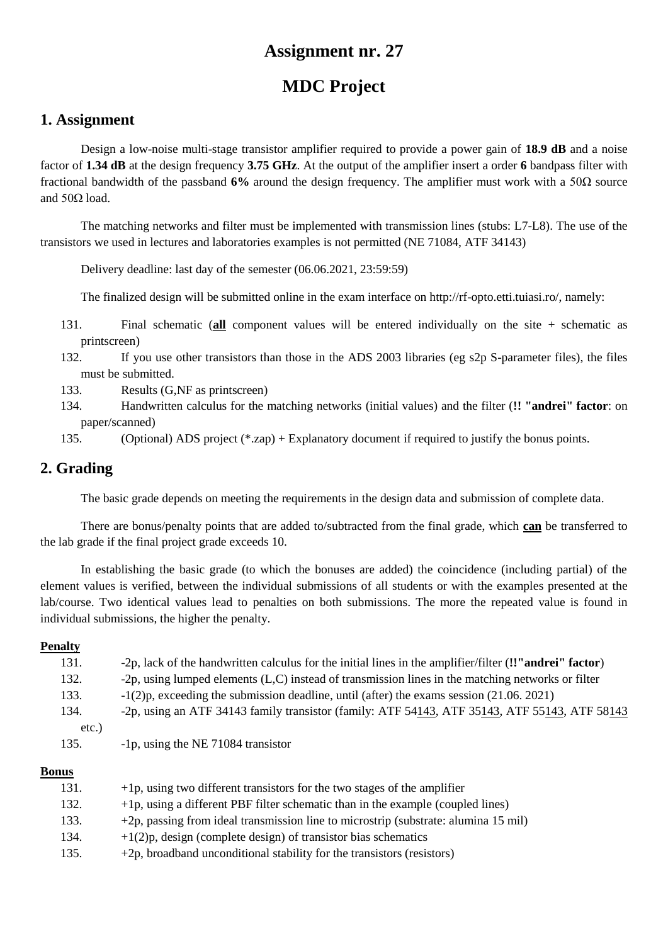# **MDC Project**

### **1. Assignment**

Design a low-noise multi-stage transistor amplifier required to provide a power gain of **18.9 dB** and a noise factor of **1.34 dB** at the design frequency **3.75 GHz**. At the output of the amplifier insert a order **6** bandpass filter with fractional bandwidth of the passband **6%** around the design frequency. The amplifier must work with a 50Ω source and  $50Ω$  load.

The matching networks and filter must be implemented with transmission lines (stubs: L7-L8). The use of the transistors we used in lectures and laboratories examples is not permitted (NE 71084, ATF 34143)

Delivery deadline: last day of the semester (06.06.2021, 23:59:59)

The finalized design will be submitted online in the exam interface on http://rf-opto.etti.tuiasi.ro/, namely:

- 131. Final schematic (**all** component values will be entered individually on the site + schematic as printscreen)
- 132. If you use other transistors than those in the ADS 2003 libraries (eg s2p S-parameter files), the files must be submitted.
- 133. Results (G,NF as printscreen)
- 134. Handwritten calculus for the matching networks (initial values) and the filter (**!! "andrei" factor**: on paper/scanned)
- 135. (Optional) ADS project (\*.zap) + Explanatory document if required to justify the bonus points.

## **2. Grading**

The basic grade depends on meeting the requirements in the design data and submission of complete data.

There are bonus/penalty points that are added to/subtracted from the final grade, which **can** be transferred to the lab grade if the final project grade exceeds 10.

In establishing the basic grade (to which the bonuses are added) the coincidence (including partial) of the element values is verified, between the individual submissions of all students or with the examples presented at the lab/course. Two identical values lead to penalties on both submissions. The more the repeated value is found in individual submissions, the higher the penalty.

#### **Penalty**

| 131.  | -2p, lack of the handwritten calculus for the initial lines in the amplifier/filter (!'"andrei" factor) |
|-------|---------------------------------------------------------------------------------------------------------|
| 132.  | -2p, using lumped elements $(L, C)$ instead of transmission lines in the matching networks or filter    |
| 133.  | $-1(2)p$ , exceeding the submission deadline, until (after) the exams session (21.06.2021)              |
| 134.  | -2p, using an ATF 34143 family transistor (family: ATF 54143, ATF 35143, ATF 55143, ATF 58143           |
| etc.) |                                                                                                         |
| 135.  | -1p, using the NE 71084 transistor                                                                      |
|       |                                                                                                         |

| 131. | $+1p$ , using two different transistors for the two stages of the amplifier         |
|------|-------------------------------------------------------------------------------------|
| 132. | $+1p$ , using a different PBF filter schematic than in the example (coupled lines)  |
| 133. | +2p, passing from ideal transmission line to microstrip (substrate: alumina 15 mil) |
| 134. | $+1(2)p$ , design (complete design) of transistor bias schematics                   |
| 135. | $+2p$ , broadband unconditional stability for the transistors (resistors)           |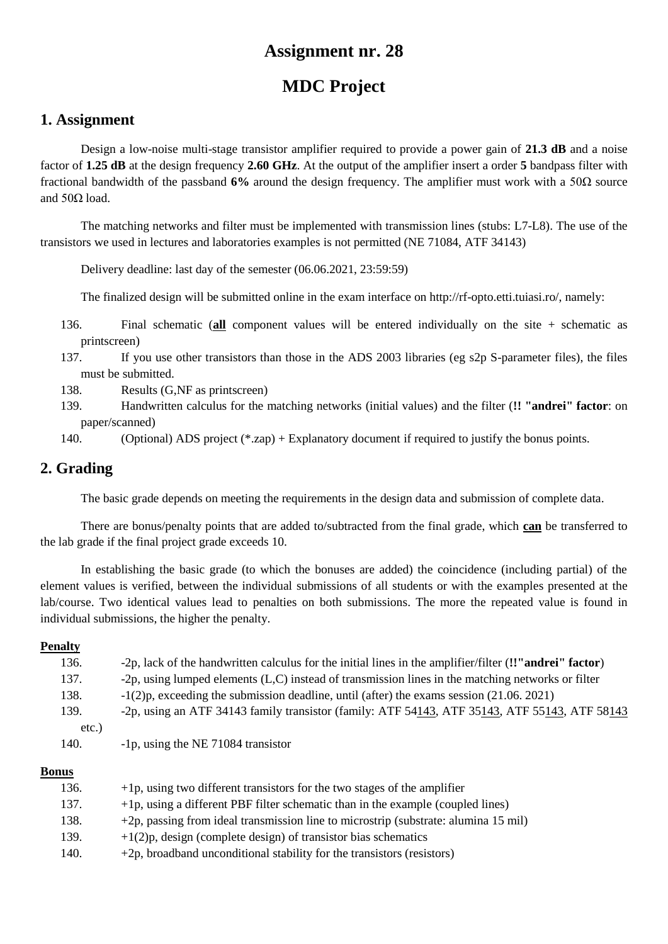# **MDC Project**

### **1. Assignment**

Design a low-noise multi-stage transistor amplifier required to provide a power gain of **21.3 dB** and a noise factor of **1.25 dB** at the design frequency **2.60 GHz**. At the output of the amplifier insert a order **5** bandpass filter with fractional bandwidth of the passband **6%** around the design frequency. The amplifier must work with a 50Ω source and  $50Ω$  load.

The matching networks and filter must be implemented with transmission lines (stubs: L7-L8). The use of the transistors we used in lectures and laboratories examples is not permitted (NE 71084, ATF 34143)

Delivery deadline: last day of the semester (06.06.2021, 23:59:59)

The finalized design will be submitted online in the exam interface on http://rf-opto.etti.tuiasi.ro/, namely:

- 136. Final schematic (**all** component values will be entered individually on the site + schematic as printscreen)
- 137. If you use other transistors than those in the ADS 2003 libraries (eg s2p S-parameter files), the files must be submitted.
- 138. Results (G,NF as printscreen)
- 139. Handwritten calculus for the matching networks (initial values) and the filter (**!! "andrei" factor**: on paper/scanned)
- 140. (Optional) ADS project (\*.zap) + Explanatory document if required to justify the bonus points.

## **2. Grading**

The basic grade depends on meeting the requirements in the design data and submission of complete data.

There are bonus/penalty points that are added to/subtracted from the final grade, which **can** be transferred to the lab grade if the final project grade exceeds 10.

In establishing the basic grade (to which the bonuses are added) the coincidence (including partial) of the element values is verified, between the individual submissions of all students or with the examples presented at the lab/course. Two identical values lead to penalties on both submissions. The more the repeated value is found in individual submissions, the higher the penalty.

#### **Penalty**

| 136.  | -2p, lack of the handwritten calculus for the initial lines in the amplifier/filter (!'"andrei" factor)  |
|-------|----------------------------------------------------------------------------------------------------------|
| 137.  | -2p, using lumped elements (L,C) instead of transmission lines in the matching networks or filter        |
| 138.  | $-1(2)p$ , exceeding the submission deadline, until (after) the exams session (21.06.2021)               |
| 139.  | -2p, using an ATF 34143 family transistor (family: ATF $54143$ , ATF $35143$ , ATF $55143$ , ATF $58143$ |
| etc.) |                                                                                                          |
| 140.  | -1p, using the NE 71084 transistor                                                                       |
|       |                                                                                                          |

| 136. | $+1p$ , using two different transistors for the two stages of the amplifier         |
|------|-------------------------------------------------------------------------------------|
| 137. | $+1p$ , using a different PBF filter schematic than in the example (coupled lines)  |
| 138. | +2p, passing from ideal transmission line to microstrip (substrate: alumina 15 mil) |
| 139. | $+1(2)p$ , design (complete design) of transistor bias schematics                   |
| 140. | $+2p$ , broadband unconditional stability for the transistors (resistors)           |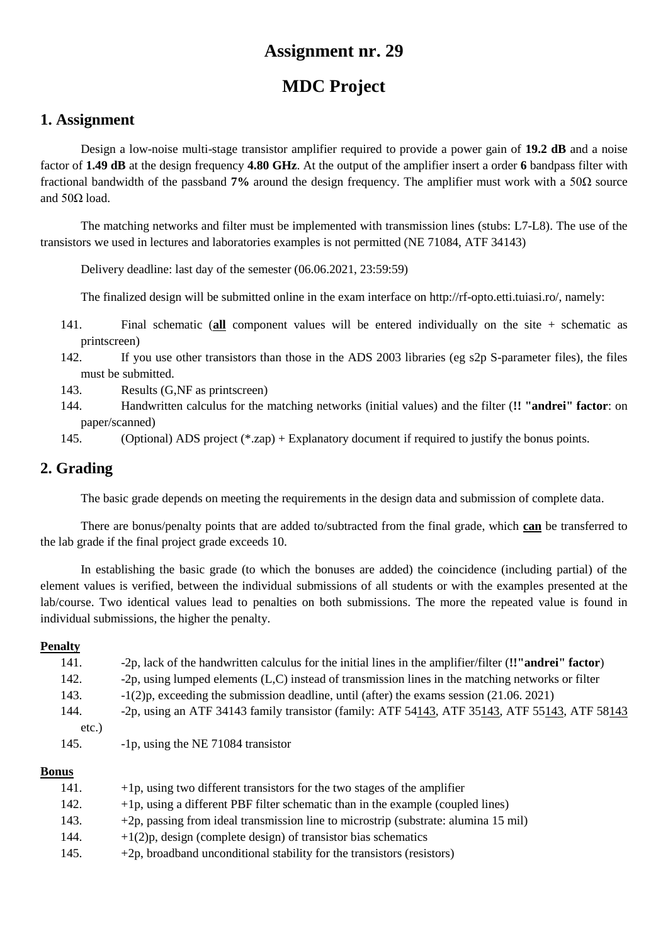# **MDC Project**

### **1. Assignment**

Design a low-noise multi-stage transistor amplifier required to provide a power gain of **19.2 dB** and a noise factor of **1.49 dB** at the design frequency **4.80 GHz**. At the output of the amplifier insert a order **6** bandpass filter with fractional bandwidth of the passband **7%** around the design frequency. The amplifier must work with a 50Ω source and  $50Ω$  load.

The matching networks and filter must be implemented with transmission lines (stubs: L7-L8). The use of the transistors we used in lectures and laboratories examples is not permitted (NE 71084, ATF 34143)

Delivery deadline: last day of the semester (06.06.2021, 23:59:59)

The finalized design will be submitted online in the exam interface on http://rf-opto.etti.tuiasi.ro/, namely:

- 141. Final schematic (**all** component values will be entered individually on the site + schematic as printscreen)
- 142. If you use other transistors than those in the ADS 2003 libraries (eg s2p S-parameter files), the files must be submitted.
- 143. Results (G,NF as printscreen)
- 144. Handwritten calculus for the matching networks (initial values) and the filter (**!! "andrei" factor**: on paper/scanned)
- 145. (Optional) ADS project (\*.zap) + Explanatory document if required to justify the bonus points.

## **2. Grading**

The basic grade depends on meeting the requirements in the design data and submission of complete data.

There are bonus/penalty points that are added to/subtracted from the final grade, which **can** be transferred to the lab grade if the final project grade exceeds 10.

In establishing the basic grade (to which the bonuses are added) the coincidence (including partial) of the element values is verified, between the individual submissions of all students or with the examples presented at the lab/course. Two identical values lead to penalties on both submissions. The more the repeated value is found in individual submissions, the higher the penalty.

#### **Penalty**

| 141.     | -2p, lack of the handwritten calculus for the initial lines in the amplifier/filter (!'"andrei" factor) |
|----------|---------------------------------------------------------------------------------------------------------|
| 142.     | -2p, using lumped elements $(L, C)$ instead of transmission lines in the matching networks or filter    |
| 143.     | $-1(2)p$ , exceeding the submission deadline, until (after) the exams session (21.06.2021)              |
| 144.     | -2p, using an ATF 34143 family transistor (family: ATF 54143, ATF 35143, ATF 55143, ATF 58143           |
| $etc.$ ) |                                                                                                         |
| 145.     | -1p, using the NE 71084 transistor                                                                      |
|          |                                                                                                         |

| 141. | $+1p$ , using two different transistors for the two stages of the amplifier         |
|------|-------------------------------------------------------------------------------------|
| 142. | $+1p$ , using a different PBF filter schematic than in the example (coupled lines)  |
| 143. | +2p, passing from ideal transmission line to microstrip (substrate: alumina 15 mil) |
| 144. | $+1(2)p$ , design (complete design) of transistor bias schematics                   |
| 145. | $+2p$ , broadband unconditional stability for the transistors (resistors)           |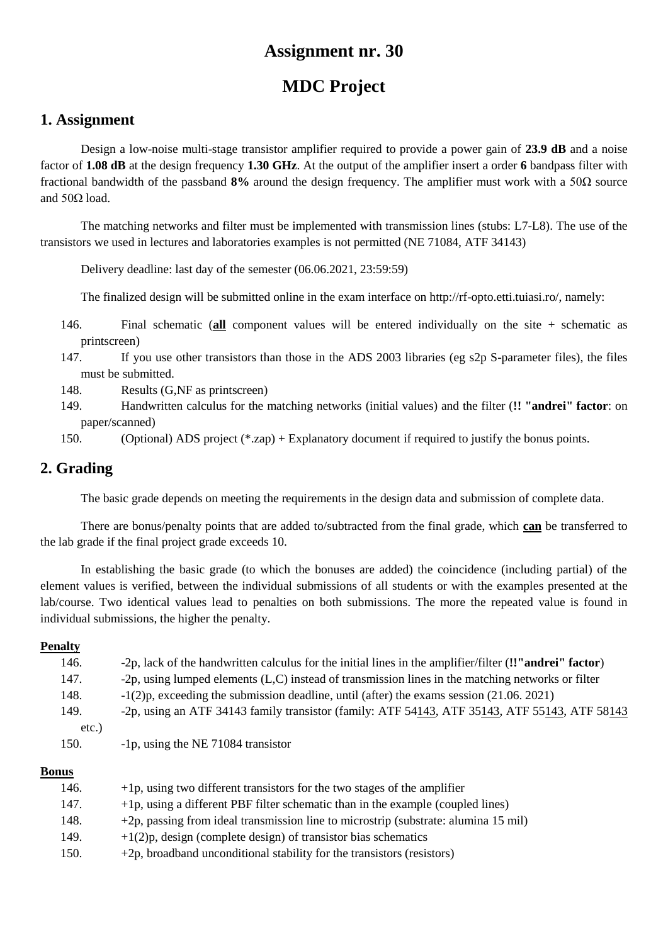# **MDC Project**

### **1. Assignment**

Design a low-noise multi-stage transistor amplifier required to provide a power gain of **23.9 dB** and a noise factor of **1.08 dB** at the design frequency **1.30 GHz**. At the output of the amplifier insert a order **6** bandpass filter with fractional bandwidth of the passband **8%** around the design frequency. The amplifier must work with a 50Ω source and  $50Ω$  load.

The matching networks and filter must be implemented with transmission lines (stubs: L7-L8). The use of the transistors we used in lectures and laboratories examples is not permitted (NE 71084, ATF 34143)

Delivery deadline: last day of the semester (06.06.2021, 23:59:59)

The finalized design will be submitted online in the exam interface on http://rf-opto.etti.tuiasi.ro/, namely:

- 146. Final schematic (**all** component values will be entered individually on the site + schematic as printscreen)
- 147. If you use other transistors than those in the ADS 2003 libraries (eg s2p S-parameter files), the files must be submitted.
- 148. Results (G,NF as printscreen)
- 149. Handwritten calculus for the matching networks (initial values) and the filter (**!! "andrei" factor**: on paper/scanned)
- 150. (Optional) ADS project (\*.zap) + Explanatory document if required to justify the bonus points.

## **2. Grading**

The basic grade depends on meeting the requirements in the design data and submission of complete data.

There are bonus/penalty points that are added to/subtracted from the final grade, which **can** be transferred to the lab grade if the final project grade exceeds 10.

In establishing the basic grade (to which the bonuses are added) the coincidence (including partial) of the element values is verified, between the individual submissions of all students or with the examples presented at the lab/course. Two identical values lead to penalties on both submissions. The more the repeated value is found in individual submissions, the higher the penalty.

#### **Penalty**

| 146.  | -2p, lack of the handwritten calculus for the initial lines in the amplifier/filter (!'"andrei" factor) |
|-------|---------------------------------------------------------------------------------------------------------|
| 147.  | -2p, using lumped elements (L,C) instead of transmission lines in the matching networks or filter       |
| 148.  | $-1(2)p$ , exceeding the submission deadline, until (after) the exams session (21.06.2021)              |
| 149.  | -2p, using an ATF 34143 family transistor (family: ATF 54143, ATF 35143, ATF 55143, ATF 58143           |
| etc.) |                                                                                                         |
| 150.  | -1p, using the NE 71084 transistor                                                                      |

| 146. | $+1p$ , using two different transistors for the two stages of the amplifier         |
|------|-------------------------------------------------------------------------------------|
| 147. | $+1p$ , using a different PBF filter schematic than in the example (coupled lines)  |
| 148. | +2p, passing from ideal transmission line to microstrip (substrate: alumina 15 mil) |
| 149. | $+1(2)p$ , design (complete design) of transistor bias schematics                   |
| 150. | $+2p$ , broadband unconditional stability for the transistors (resistors)           |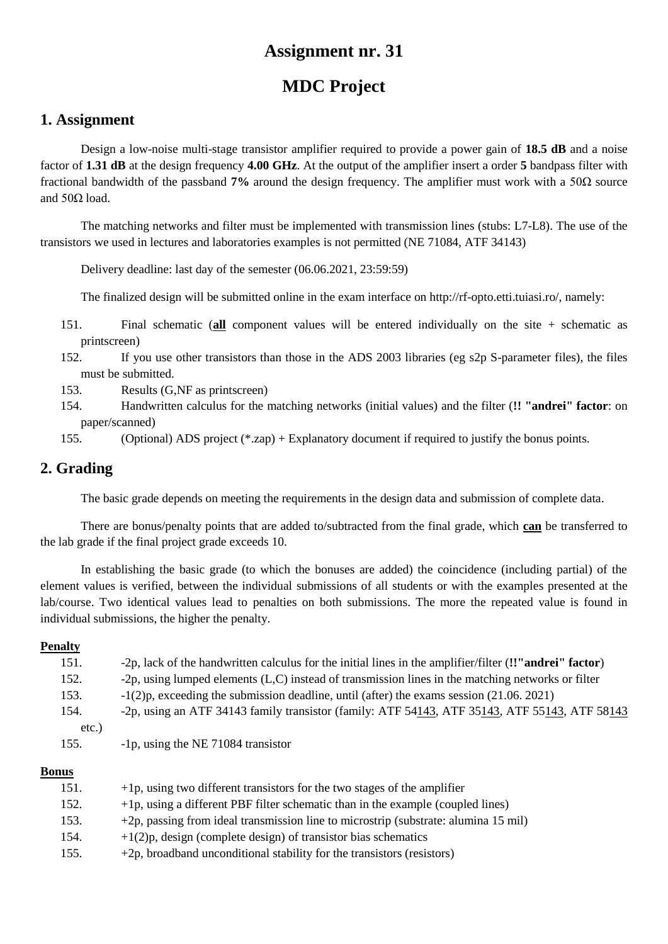# **MDC Project**

### **1. Assignment**

Design a low-noise multi-stage transistor amplifier required to provide a power gain of **18.5 dB** and a noise factor of **1.31 dB** at the design frequency **4.00 GHz**. At the output of the amplifier insert a order **5** bandpass filter with fractional bandwidth of the passband **7%** around the design frequency. The amplifier must work with a 50Ω source and  $50Ω$  load.

The matching networks and filter must be implemented with transmission lines (stubs: L7-L8). The use of the transistors we used in lectures and laboratories examples is not permitted (NE 71084, ATF 34143)

Delivery deadline: last day of the semester (06.06.2021, 23:59:59)

The finalized design will be submitted online in the exam interface on http://rf-opto.etti.tuiasi.ro/, namely:

- 151. Final schematic (**all** component values will be entered individually on the site + schematic as printscreen)
- 152. If you use other transistors than those in the ADS 2003 libraries (eg s2p S-parameter files), the files must be submitted.
- 153. Results (G,NF as printscreen)
- 154. Handwritten calculus for the matching networks (initial values) and the filter (**!! "andrei" factor**: on paper/scanned)
- 155. (Optional) ADS project (\*.zap) + Explanatory document if required to justify the bonus points.

## **2. Grading**

The basic grade depends on meeting the requirements in the design data and submission of complete data.

There are bonus/penalty points that are added to/subtracted from the final grade, which **can** be transferred to the lab grade if the final project grade exceeds 10.

In establishing the basic grade (to which the bonuses are added) the coincidence (including partial) of the element values is verified, between the individual submissions of all students or with the examples presented at the lab/course. Two identical values lead to penalties on both submissions. The more the repeated value is found in individual submissions, the higher the penalty.

#### **Penalty**

| 151.  | -2p, lack of the handwritten calculus for the initial lines in the amplifier/filter (!'"andrei" factor) |
|-------|---------------------------------------------------------------------------------------------------------|
| 152.  | -2p, using lumped elements $(L, C)$ instead of transmission lines in the matching networks or filter    |
| 153.  | $-1(2)p$ , exceeding the submission deadline, until (after) the exams session (21.06.2021)              |
| 154.  | -2p, using an ATF 34143 family transistor (family: ATF 54143, ATF 35143, ATF 55143, ATF 58143           |
| etc.) |                                                                                                         |
| 155.  | -1p, using the NE 71084 transistor                                                                      |
|       |                                                                                                         |

| 151. | $+1p$ , using two different transistors for the two stages of the amplifier         |
|------|-------------------------------------------------------------------------------------|
| 152. | $+1p$ , using a different PBF filter schematic than in the example (coupled lines)  |
| 153. | +2p, passing from ideal transmission line to microstrip (substrate: alumina 15 mil) |
| 154. | $+1(2)p$ , design (complete design) of transistor bias schematics                   |
| 155. | $+2p$ , broadband unconditional stability for the transistors (resistors)           |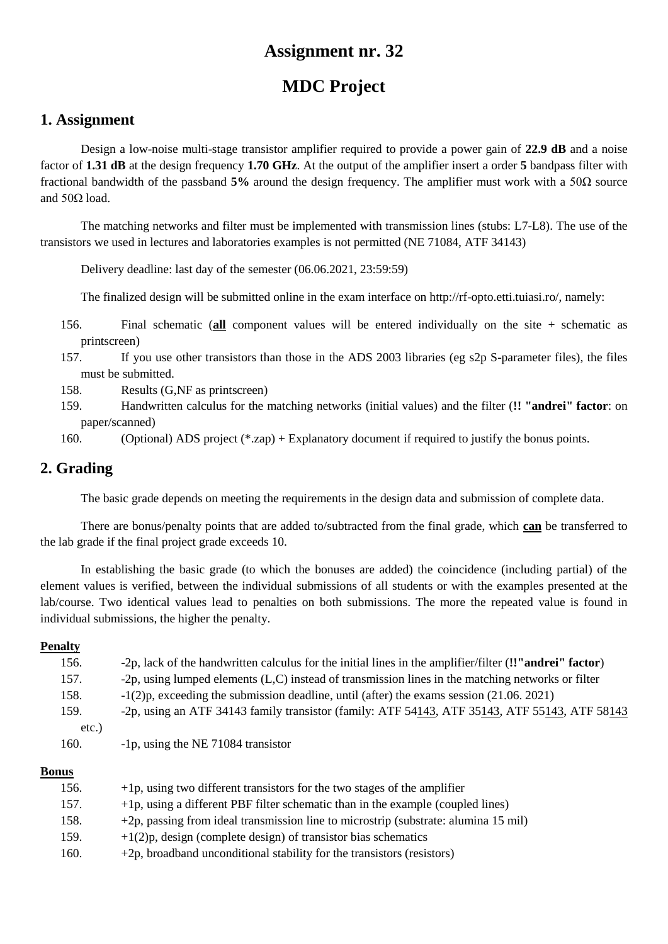# **MDC Project**

### **1. Assignment**

Design a low-noise multi-stage transistor amplifier required to provide a power gain of **22.9 dB** and a noise factor of **1.31 dB** at the design frequency **1.70 GHz**. At the output of the amplifier insert a order **5** bandpass filter with fractional bandwidth of the passband **5%** around the design frequency. The amplifier must work with a 50Ω source and  $50Ω$  load.

The matching networks and filter must be implemented with transmission lines (stubs: L7-L8). The use of the transistors we used in lectures and laboratories examples is not permitted (NE 71084, ATF 34143)

Delivery deadline: last day of the semester (06.06.2021, 23:59:59)

The finalized design will be submitted online in the exam interface on http://rf-opto.etti.tuiasi.ro/, namely:

- 156. Final schematic (**all** component values will be entered individually on the site + schematic as printscreen)
- 157. If you use other transistors than those in the ADS 2003 libraries (eg s2p S-parameter files), the files must be submitted.
- 158. Results (G,NF as printscreen)
- 159. Handwritten calculus for the matching networks (initial values) and the filter (**!! "andrei" factor**: on paper/scanned)

160. (Optional) ADS project (\*.zap) + Explanatory document if required to justify the bonus points.

## **2. Grading**

The basic grade depends on meeting the requirements in the design data and submission of complete data.

There are bonus/penalty points that are added to/subtracted from the final grade, which **can** be transferred to the lab grade if the final project grade exceeds 10.

In establishing the basic grade (to which the bonuses are added) the coincidence (including partial) of the element values is verified, between the individual submissions of all students or with the examples presented at the lab/course. Two identical values lead to penalties on both submissions. The more the repeated value is found in individual submissions, the higher the penalty.

#### **Penalty**

| 156.  | -2p, lack of the handwritten calculus for the initial lines in the amplifier/filter (!'"andrei" factor)  |
|-------|----------------------------------------------------------------------------------------------------------|
| 157.  | -2p, using lumped elements (L,C) instead of transmission lines in the matching networks or filter        |
| 158.  | $-1(2)p$ , exceeding the submission deadline, until (after) the exams session (21.06.2021)               |
| 159.  | -2p, using an ATF 34143 family transistor (family: ATF $54143$ , ATF $35143$ , ATF $55143$ , ATF $58143$ |
| etc.) |                                                                                                          |
| 160.  | -1p, using the NE 71084 transistor                                                                       |
|       |                                                                                                          |

| 156. | $+1p$ , using two different transistors for the two stages of the amplifier         |
|------|-------------------------------------------------------------------------------------|
| 157. | $+1p$ , using a different PBF filter schematic than in the example (coupled lines)  |
| 158. | +2p, passing from ideal transmission line to microstrip (substrate: alumina 15 mil) |
| 159. | $+1(2)p$ , design (complete design) of transistor bias schematics                   |
| 160. | $+2p$ , broadband unconditional stability for the transistors (resistors)           |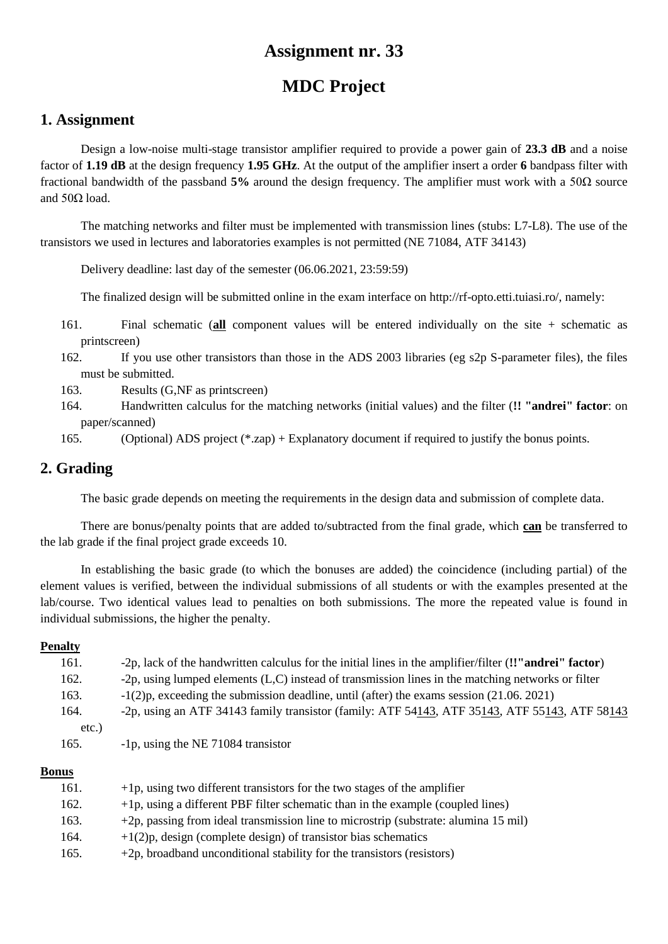# **MDC Project**

### **1. Assignment**

Design a low-noise multi-stage transistor amplifier required to provide a power gain of **23.3 dB** and a noise factor of **1.19 dB** at the design frequency **1.95 GHz**. At the output of the amplifier insert a order **6** bandpass filter with fractional bandwidth of the passband **5%** around the design frequency. The amplifier must work with a 50Ω source and  $50Ω$  load.

The matching networks and filter must be implemented with transmission lines (stubs: L7-L8). The use of the transistors we used in lectures and laboratories examples is not permitted (NE 71084, ATF 34143)

Delivery deadline: last day of the semester (06.06.2021, 23:59:59)

The finalized design will be submitted online in the exam interface on http://rf-opto.etti.tuiasi.ro/, namely:

- 161. Final schematic (**all** component values will be entered individually on the site + schematic as printscreen)
- 162. If you use other transistors than those in the ADS 2003 libraries (eg s2p S-parameter files), the files must be submitted.
- 163. Results (G,NF as printscreen)
- 164. Handwritten calculus for the matching networks (initial values) and the filter (**!! "andrei" factor**: on paper/scanned)

165. (Optional) ADS project (\*.zap) + Explanatory document if required to justify the bonus points.

## **2. Grading**

The basic grade depends on meeting the requirements in the design data and submission of complete data.

There are bonus/penalty points that are added to/subtracted from the final grade, which **can** be transferred to the lab grade if the final project grade exceeds 10.

In establishing the basic grade (to which the bonuses are added) the coincidence (including partial) of the element values is verified, between the individual submissions of all students or with the examples presented at the lab/course. Two identical values lead to penalties on both submissions. The more the repeated value is found in individual submissions, the higher the penalty.

#### **Penalty**

| 161.  | -2p, lack of the handwritten calculus for the initial lines in the amplifier/filter (!'"andrei" factor) |
|-------|---------------------------------------------------------------------------------------------------------|
| 162.  | -2p, using lumped elements $(L, C)$ instead of transmission lines in the matching networks or filter    |
| 163.  | $-1(2)p$ , exceeding the submission deadline, until (after) the exams session (21.06.2021)              |
| 164.  | -2p, using an ATF 34143 family transistor (family: ATF 54143, ATF 35143, ATF 55143, ATF 58143           |
| etc.) |                                                                                                         |
| 165.  | -1p, using the NE 71084 transistor                                                                      |
|       |                                                                                                         |

| 161. | $+1p$ , using two different transistors for the two stages of the amplifier         |
|------|-------------------------------------------------------------------------------------|
| 162. | $+1p$ , using a different PBF filter schematic than in the example (coupled lines)  |
| 163. | +2p, passing from ideal transmission line to microstrip (substrate: alumina 15 mil) |
| 164. | $+1(2)p$ , design (complete design) of transistor bias schematics                   |
| 165. | $+2p$ , broadband unconditional stability for the transistors (resistors)           |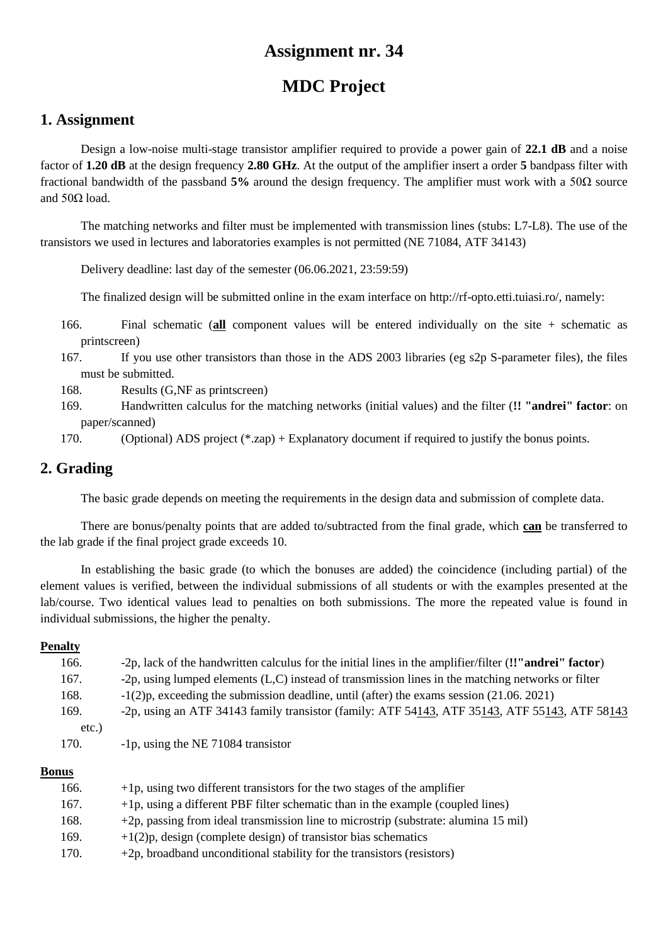# **MDC Project**

### **1. Assignment**

Design a low-noise multi-stage transistor amplifier required to provide a power gain of **22.1 dB** and a noise factor of **1.20 dB** at the design frequency **2.80 GHz**. At the output of the amplifier insert a order **5** bandpass filter with fractional bandwidth of the passband **5%** around the design frequency. The amplifier must work with a 50Ω source and  $50Ω$  load.

The matching networks and filter must be implemented with transmission lines (stubs: L7-L8). The use of the transistors we used in lectures and laboratories examples is not permitted (NE 71084, ATF 34143)

Delivery deadline: last day of the semester (06.06.2021, 23:59:59)

The finalized design will be submitted online in the exam interface on http://rf-opto.etti.tuiasi.ro/, namely:

- 166. Final schematic (**all** component values will be entered individually on the site + schematic as printscreen)
- 167. If you use other transistors than those in the ADS 2003 libraries (eg s2p S-parameter files), the files must be submitted.
- 168. Results (G,NF as printscreen)
- 169. Handwritten calculus for the matching networks (initial values) and the filter (**!! "andrei" factor**: on paper/scanned)

170. (Optional) ADS project (\*.zap) + Explanatory document if required to justify the bonus points.

## **2. Grading**

The basic grade depends on meeting the requirements in the design data and submission of complete data.

There are bonus/penalty points that are added to/subtracted from the final grade, which **can** be transferred to the lab grade if the final project grade exceeds 10.

In establishing the basic grade (to which the bonuses are added) the coincidence (including partial) of the element values is verified, between the individual submissions of all students or with the examples presented at the lab/course. Two identical values lead to penalties on both submissions. The more the repeated value is found in individual submissions, the higher the penalty.

#### **Penalty**

| 166.     | -2p, lack of the handwritten calculus for the initial lines in the amplifier/filter (!'"andrei" factor) |
|----------|---------------------------------------------------------------------------------------------------------|
| 167.     | -2p, using lumped elements (L,C) instead of transmission lines in the matching networks or filter       |
| 168.     | $-1(2)$ , exceeding the submission deadline, until (after) the exams session (21.06.2021)               |
| 169.     | -2p, using an ATF 34143 family transistor (family: ATF 54143, ATF 35143, ATF 55143, ATF 58143           |
| $etc.$ ) |                                                                                                         |
| 170.     | -1p, using the NE 71084 transistor                                                                      |

| 166. | $+1p$ , using two different transistors for the two stages of the amplifier         |
|------|-------------------------------------------------------------------------------------|
| 167. | $+1p$ , using a different PBF filter schematic than in the example (coupled lines)  |
| 168. | +2p, passing from ideal transmission line to microstrip (substrate: alumina 15 mil) |
| 169. | $+1(2)p$ , design (complete design) of transistor bias schematics                   |
| 170. | $+2p$ , broadband unconditional stability for the transistors (resistors)           |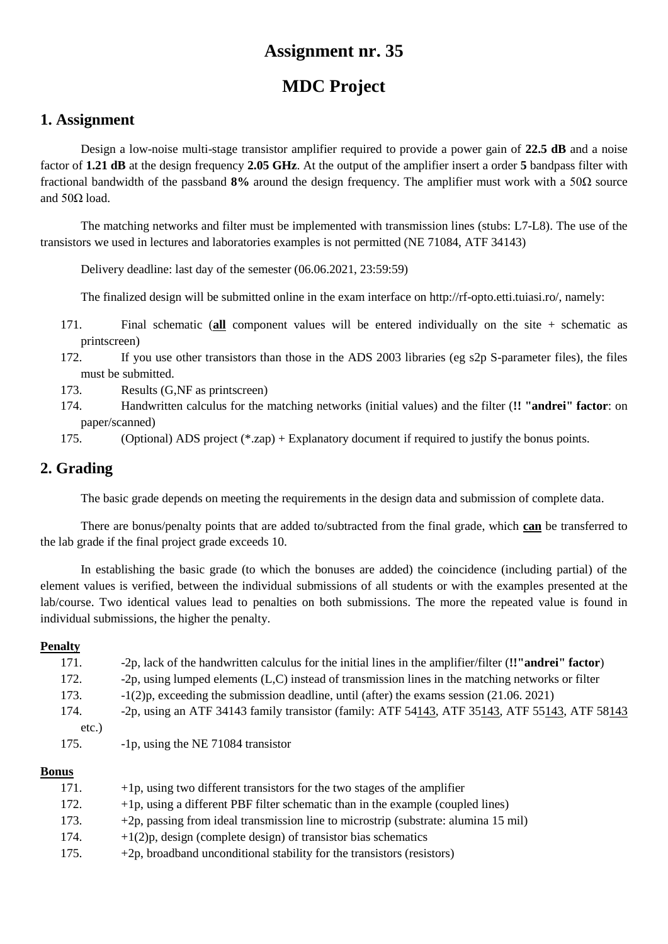# **MDC Project**

### **1. Assignment**

Design a low-noise multi-stage transistor amplifier required to provide a power gain of **22.5 dB** and a noise factor of **1.21 dB** at the design frequency **2.05 GHz**. At the output of the amplifier insert a order **5** bandpass filter with fractional bandwidth of the passband **8%** around the design frequency. The amplifier must work with a 50Ω source and  $50Ω$  load.

The matching networks and filter must be implemented with transmission lines (stubs: L7-L8). The use of the transistors we used in lectures and laboratories examples is not permitted (NE 71084, ATF 34143)

Delivery deadline: last day of the semester (06.06.2021, 23:59:59)

The finalized design will be submitted online in the exam interface on http://rf-opto.etti.tuiasi.ro/, namely:

- 171. Final schematic (**all** component values will be entered individually on the site + schematic as printscreen)
- 172. If you use other transistors than those in the ADS 2003 libraries (eg s2p S-parameter files), the files must be submitted.
- 173. Results (G,NF as printscreen)
- 174. Handwritten calculus for the matching networks (initial values) and the filter (**!! "andrei" factor**: on paper/scanned)
- 175. (Optional) ADS project (\*.zap) + Explanatory document if required to justify the bonus points.

## **2. Grading**

The basic grade depends on meeting the requirements in the design data and submission of complete data.

There are bonus/penalty points that are added to/subtracted from the final grade, which **can** be transferred to the lab grade if the final project grade exceeds 10.

In establishing the basic grade (to which the bonuses are added) the coincidence (including partial) of the element values is verified, between the individual submissions of all students or with the examples presented at the lab/course. Two identical values lead to penalties on both submissions. The more the repeated value is found in individual submissions, the higher the penalty.

#### **Penalty**

| 171. | -2p, lack of the handwritten calculus for the initial lines in the amplifier/filter (!'"andrei" factor)  |
|------|----------------------------------------------------------------------------------------------------------|
| 172. | -2p, using lumped elements $(L, C)$ instead of transmission lines in the matching networks or filter     |
| 173. | $-1(2)p$ , exceeding the submission deadline, until (after) the exams session (21.06.2021)               |
| 174. | -2p, using an ATF 34143 family transistor (family: ATF $54143$ , ATF $35143$ , ATF $55143$ , ATF $58143$ |
| etc. |                                                                                                          |
| 175. | -1p, using the NE 71084 transistor                                                                       |
|      |                                                                                                          |

| 171. | $+1p$ , using two different transistors for the two stages of the amplifier         |
|------|-------------------------------------------------------------------------------------|
| 172. | $+1p$ , using a different PBF filter schematic than in the example (coupled lines)  |
| 173. | +2p, passing from ideal transmission line to microstrip (substrate: alumina 15 mil) |
| 174. | $+1(2)p$ , design (complete design) of transistor bias schematics                   |
| 175. | $+2p$ , broadband unconditional stability for the transistors (resistors)           |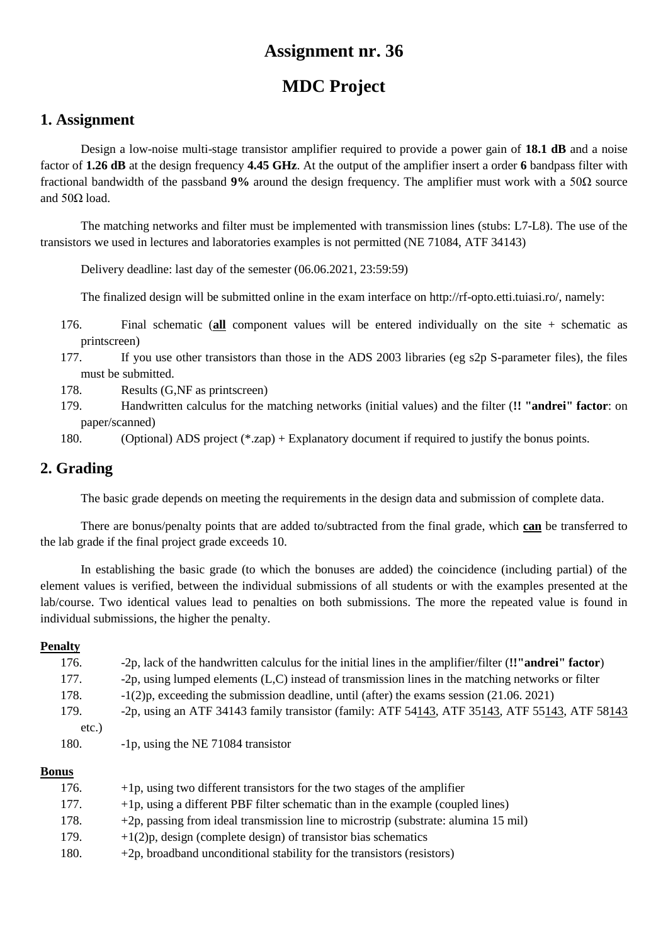# **MDC Project**

### **1. Assignment**

Design a low-noise multi-stage transistor amplifier required to provide a power gain of **18.1 dB** and a noise factor of **1.26 dB** at the design frequency **4.45 GHz**. At the output of the amplifier insert a order **6** bandpass filter with fractional bandwidth of the passband **9%** around the design frequency. The amplifier must work with a 50Ω source and  $50Ω$  load.

The matching networks and filter must be implemented with transmission lines (stubs: L7-L8). The use of the transistors we used in lectures and laboratories examples is not permitted (NE 71084, ATF 34143)

Delivery deadline: last day of the semester (06.06.2021, 23:59:59)

The finalized design will be submitted online in the exam interface on http://rf-opto.etti.tuiasi.ro/, namely:

- 176. Final schematic (**all** component values will be entered individually on the site + schematic as printscreen)
- 177. If you use other transistors than those in the ADS 2003 libraries (eg s2p S-parameter files), the files must be submitted.
- 178. Results (G,NF as printscreen)
- 179. Handwritten calculus for the matching networks (initial values) and the filter (**!! "andrei" factor**: on paper/scanned)

180. (Optional) ADS project (\*.zap) + Explanatory document if required to justify the bonus points.

## **2. Grading**

The basic grade depends on meeting the requirements in the design data and submission of complete data.

There are bonus/penalty points that are added to/subtracted from the final grade, which **can** be transferred to the lab grade if the final project grade exceeds 10.

In establishing the basic grade (to which the bonuses are added) the coincidence (including partial) of the element values is verified, between the individual submissions of all students or with the examples presented at the lab/course. Two identical values lead to penalties on both submissions. The more the repeated value is found in individual submissions, the higher the penalty.

#### **Penalty**

| 176.  | -2p, lack of the handwritten calculus for the initial lines in the amplifier/filter (!'"andrei" factor) |
|-------|---------------------------------------------------------------------------------------------------------|
| 177.  | -2p, using lumped elements (L,C) instead of transmission lines in the matching networks or filter       |
| 178.  | $-1(2)p$ , exceeding the submission deadline, until (after) the exams session (21.06.2021)              |
| 179.  | -2p, using an ATF 34143 family transistor (family: ATF 54143, ATF 35143, ATF 55143, ATF 58143           |
| etc.) |                                                                                                         |
| 180.  | -1p, using the NE 71084 transistor                                                                      |
|       |                                                                                                         |

| 176. | $+1p$ , using two different transistors for the two stages of the amplifier         |
|------|-------------------------------------------------------------------------------------|
| 177. | $+1p$ , using a different PBF filter schematic than in the example (coupled lines)  |
| 178. | +2p, passing from ideal transmission line to microstrip (substrate: alumina 15 mil) |
| 179. | $+1(2)p$ , design (complete design) of transistor bias schematics                   |
| 180. | $+2p$ , broadband unconditional stability for the transistors (resistors)           |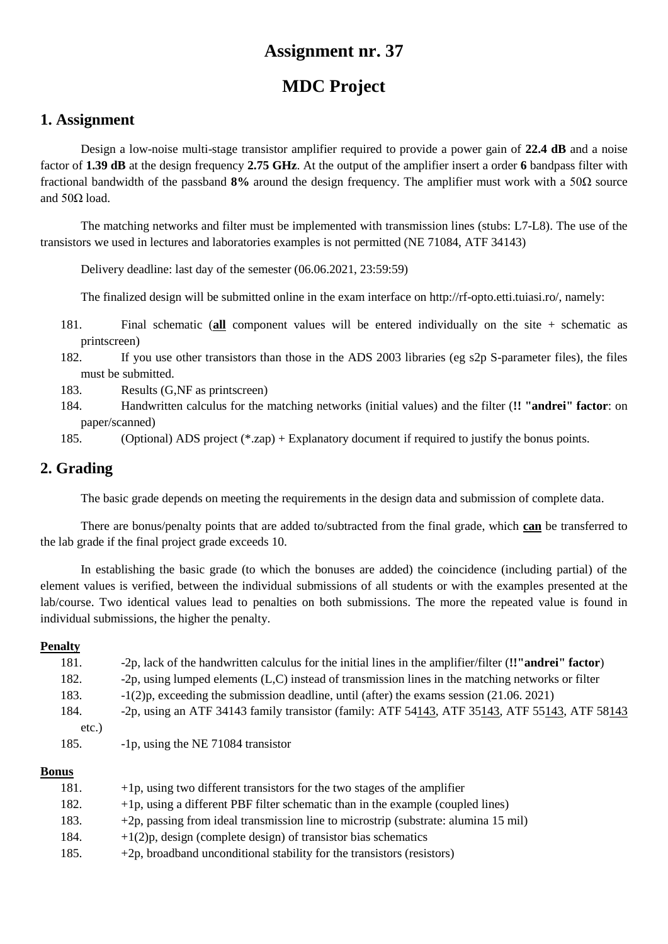# **MDC Project**

### **1. Assignment**

Design a low-noise multi-stage transistor amplifier required to provide a power gain of **22.4 dB** and a noise factor of **1.39 dB** at the design frequency **2.75 GHz**. At the output of the amplifier insert a order **6** bandpass filter with fractional bandwidth of the passband **8%** around the design frequency. The amplifier must work with a 50Ω source and  $50Ω$  load.

The matching networks and filter must be implemented with transmission lines (stubs: L7-L8). The use of the transistors we used in lectures and laboratories examples is not permitted (NE 71084, ATF 34143)

Delivery deadline: last day of the semester (06.06.2021, 23:59:59)

The finalized design will be submitted online in the exam interface on http://rf-opto.etti.tuiasi.ro/, namely:

- 181. Final schematic (**all** component values will be entered individually on the site + schematic as printscreen)
- 182. If you use other transistors than those in the ADS 2003 libraries (eg s2p S-parameter files), the files must be submitted.
- 183. Results (G,NF as printscreen)
- 184. Handwritten calculus for the matching networks (initial values) and the filter (**!! "andrei" factor**: on paper/scanned)

185. (Optional) ADS project (\*.zap) + Explanatory document if required to justify the bonus points.

## **2. Grading**

The basic grade depends on meeting the requirements in the design data and submission of complete data.

There are bonus/penalty points that are added to/subtracted from the final grade, which **can** be transferred to the lab grade if the final project grade exceeds 10.

In establishing the basic grade (to which the bonuses are added) the coincidence (including partial) of the element values is verified, between the individual submissions of all students or with the examples presented at the lab/course. Two identical values lead to penalties on both submissions. The more the repeated value is found in individual submissions, the higher the penalty.

#### **Penalty**

| 181.  | -2p, lack of the handwritten calculus for the initial lines in the amplifier/filter (!'"andrei" factor) |
|-------|---------------------------------------------------------------------------------------------------------|
| 182.  | -2p, using lumped elements $(L, C)$ instead of transmission lines in the matching networks or filter    |
| 183.  | $-1(2)$ , exceeding the submission deadline, until (after) the exams session (21.06.2021)               |
| 184.  | -2p, using an ATF 34143 family transistor (family: ATF 54143, ATF 35143, ATF 55143, ATF 58143           |
| etc.) |                                                                                                         |
| 185.  | -1p, using the NE 71084 transistor                                                                      |
|       |                                                                                                         |

| 181. | $+1p$ , using two different transistors for the two stages of the amplifier         |
|------|-------------------------------------------------------------------------------------|
| 182. | $+1p$ , using a different PBF filter schematic than in the example (coupled lines)  |
| 183. | +2p, passing from ideal transmission line to microstrip (substrate: alumina 15 mil) |
| 184. | $+1(2)p$ , design (complete design) of transistor bias schematics                   |
| 185. | $+2p$ , broadband unconditional stability for the transistors (resistors)           |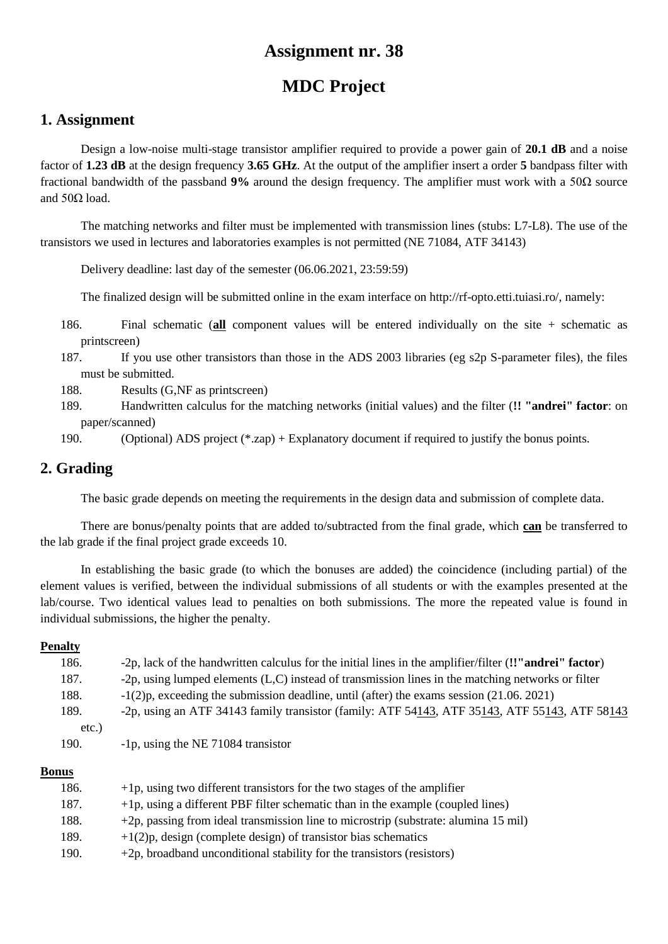# **MDC Project**

### **1. Assignment**

Design a low-noise multi-stage transistor amplifier required to provide a power gain of **20.1 dB** and a noise factor of **1.23 dB** at the design frequency **3.65 GHz**. At the output of the amplifier insert a order **5** bandpass filter with fractional bandwidth of the passband **9%** around the design frequency. The amplifier must work with a 50Ω source and  $50Ω$  load.

The matching networks and filter must be implemented with transmission lines (stubs: L7-L8). The use of the transistors we used in lectures and laboratories examples is not permitted (NE 71084, ATF 34143)

Delivery deadline: last day of the semester (06.06.2021, 23:59:59)

The finalized design will be submitted online in the exam interface on http://rf-opto.etti.tuiasi.ro/, namely:

- 186. Final schematic (**all** component values will be entered individually on the site + schematic as printscreen)
- 187. If you use other transistors than those in the ADS 2003 libraries (eg s2p S-parameter files), the files must be submitted.
- 188. Results (G,NF as printscreen)
- 189. Handwritten calculus for the matching networks (initial values) and the filter (**!! "andrei" factor**: on paper/scanned)
- 190. (Optional) ADS project (\*.zap) + Explanatory document if required to justify the bonus points.

## **2. Grading**

The basic grade depends on meeting the requirements in the design data and submission of complete data.

There are bonus/penalty points that are added to/subtracted from the final grade, which **can** be transferred to the lab grade if the final project grade exceeds 10.

In establishing the basic grade (to which the bonuses are added) the coincidence (including partial) of the element values is verified, between the individual submissions of all students or with the examples presented at the lab/course. Two identical values lead to penalties on both submissions. The more the repeated value is found in individual submissions, the higher the penalty.

#### **Penalty**

| 186.  | -2p, lack of the handwritten calculus for the initial lines in the amplifier/filter (!'"andrei" factor) |
|-------|---------------------------------------------------------------------------------------------------------|
| 187.  | -2p, using lumped elements (L,C) instead of transmission lines in the matching networks or filter       |
| 188.  | $-1(2)p$ , exceeding the submission deadline, until (after) the exams session (21.06.2021)              |
| 189.  | -2p, using an ATF 34143 family transistor (family: ATF 54143, ATF 35143, ATF 55143, ATF 58143           |
| etc.) |                                                                                                         |
| 190.  | -1p, using the NE 71084 transistor                                                                      |
|       |                                                                                                         |

| 186. | $+1p$ , using two different transistors for the two stages of the amplifier         |
|------|-------------------------------------------------------------------------------------|
| 187. | $+1p$ , using a different PBF filter schematic than in the example (coupled lines)  |
| 188. | +2p, passing from ideal transmission line to microstrip (substrate: alumina 15 mil) |
| 189. | $+1(2)p$ , design (complete design) of transistor bias schematics                   |
| 190. | $+2p$ , broadband unconditional stability for the transistors (resistors)           |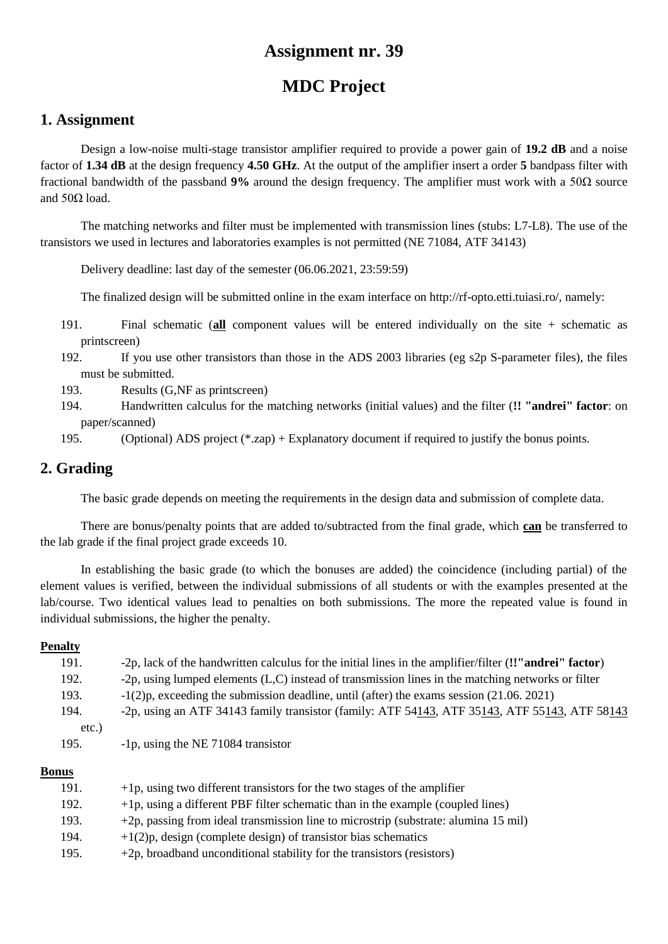# **MDC Project**

### **1. Assignment**

Design a low-noise multi-stage transistor amplifier required to provide a power gain of **19.2 dB** and a noise factor of **1.34 dB** at the design frequency **4.50 GHz**. At the output of the amplifier insert a order **5** bandpass filter with fractional bandwidth of the passband **9%** around the design frequency. The amplifier must work with a 50Ω source and  $50Ω$  load.

The matching networks and filter must be implemented with transmission lines (stubs: L7-L8). The use of the transistors we used in lectures and laboratories examples is not permitted (NE 71084, ATF 34143)

Delivery deadline: last day of the semester (06.06.2021, 23:59:59)

The finalized design will be submitted online in the exam interface on http://rf-opto.etti.tuiasi.ro/, namely:

- 191. Final schematic (**all** component values will be entered individually on the site + schematic as printscreen)
- 192. If you use other transistors than those in the ADS 2003 libraries (eg s2p S-parameter files), the files must be submitted.
- 193. Results (G,NF as printscreen)
- 194. Handwritten calculus for the matching networks (initial values) and the filter (**!! "andrei" factor**: on paper/scanned)
- 195. (Optional) ADS project (\*.zap) + Explanatory document if required to justify the bonus points.

## **2. Grading**

The basic grade depends on meeting the requirements in the design data and submission of complete data.

There are bonus/penalty points that are added to/subtracted from the final grade, which **can** be transferred to the lab grade if the final project grade exceeds 10.

In establishing the basic grade (to which the bonuses are added) the coincidence (including partial) of the element values is verified, between the individual submissions of all students or with the examples presented at the lab/course. Two identical values lead to penalties on both submissions. The more the repeated value is found in individual submissions, the higher the penalty.

#### **Penalty**

| 191.     | -2p, lack of the handwritten calculus for the initial lines in the amplifier/filter (!'"andrei" factor) |
|----------|---------------------------------------------------------------------------------------------------------|
| 192.     | -2p, using lumped elements $(L, C)$ instead of transmission lines in the matching networks or filter    |
| 193.     | $-1(2)$ , exceeding the submission deadline, until (after) the exams session (21.06.2021)               |
| 194.     | -2p, using an ATF 34143 family transistor (family: ATF 54143, ATF 35143, ATF 55143, ATF 58143           |
| $etc.$ ) |                                                                                                         |
| 195.     | -1p, using the NE 71084 transistor                                                                      |
|          |                                                                                                         |

| 191. | $+1p$ , using two different transistors for the two stages of the amplifier         |
|------|-------------------------------------------------------------------------------------|
| 192. | $+1p$ , using a different PBF filter schematic than in the example (coupled lines)  |
| 193. | +2p, passing from ideal transmission line to microstrip (substrate: alumina 15 mil) |
| 194. | $+1(2)p$ , design (complete design) of transistor bias schematics                   |
| 195. | $+2p$ , broadband unconditional stability for the transistors (resistors)           |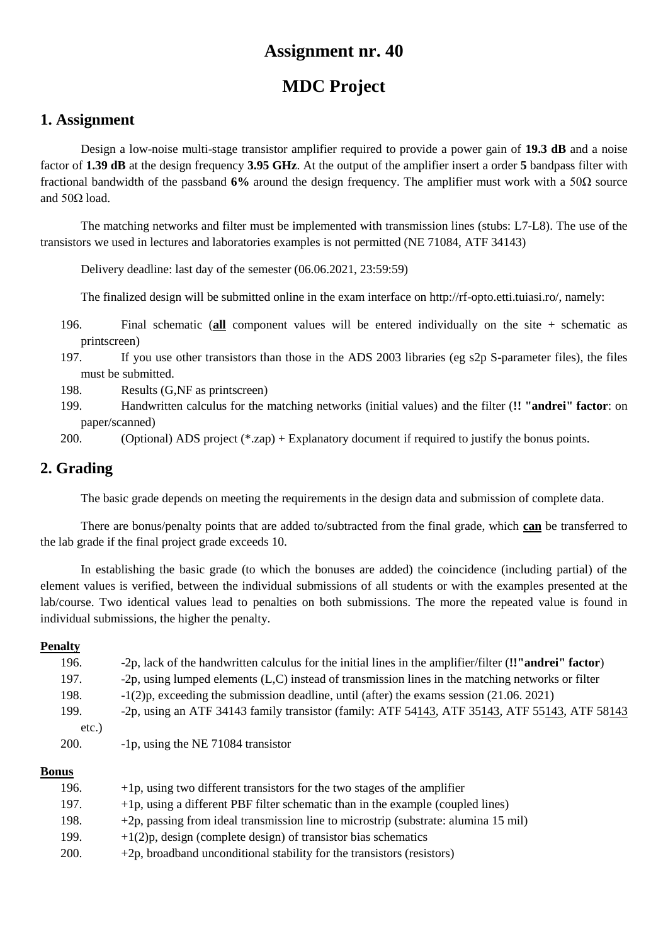# **MDC Project**

### **1. Assignment**

Design a low-noise multi-stage transistor amplifier required to provide a power gain of **19.3 dB** and a noise factor of **1.39 dB** at the design frequency **3.95 GHz**. At the output of the amplifier insert a order **5** bandpass filter with fractional bandwidth of the passband **6%** around the design frequency. The amplifier must work with a 50Ω source and  $50Ω$  load.

The matching networks and filter must be implemented with transmission lines (stubs: L7-L8). The use of the transistors we used in lectures and laboratories examples is not permitted (NE 71084, ATF 34143)

Delivery deadline: last day of the semester (06.06.2021, 23:59:59)

The finalized design will be submitted online in the exam interface on http://rf-opto.etti.tuiasi.ro/, namely:

- 196. Final schematic (**all** component values will be entered individually on the site + schematic as printscreen)
- 197. If you use other transistors than those in the ADS 2003 libraries (eg s2p S-parameter files), the files must be submitted.
- 198. Results (G,NF as printscreen)
- 199. Handwritten calculus for the matching networks (initial values) and the filter (**!! "andrei" factor**: on paper/scanned)

200. (Optional) ADS project (\*.zap) + Explanatory document if required to justify the bonus points.

## **2. Grading**

The basic grade depends on meeting the requirements in the design data and submission of complete data.

There are bonus/penalty points that are added to/subtracted from the final grade, which **can** be transferred to the lab grade if the final project grade exceeds 10.

In establishing the basic grade (to which the bonuses are added) the coincidence (including partial) of the element values is verified, between the individual submissions of all students or with the examples presented at the lab/course. Two identical values lead to penalties on both submissions. The more the repeated value is found in individual submissions, the higher the penalty.

#### **Penalty**

| 196.  | -2p, lack of the handwritten calculus for the initial lines in the amplifier/filter (!'"andrei" factor)  |
|-------|----------------------------------------------------------------------------------------------------------|
| 197.  | -2p, using lumped elements (L,C) instead of transmission lines in the matching networks or filter        |
| 198.  | $-1(2)p$ , exceeding the submission deadline, until (after) the exams session (21.06.2021)               |
| 199.  | -2p, using an ATF 34143 family transistor (family: ATF $54143$ , ATF $35143$ , ATF $55143$ , ATF $58143$ |
| etc.) |                                                                                                          |
| 200.  | -1p, using the NE 71084 transistor                                                                       |
|       |                                                                                                          |

| 196. | $+1p$ , using two different transistors for the two stages of the amplifier         |
|------|-------------------------------------------------------------------------------------|
| 197. | $+1p$ , using a different PBF filter schematic than in the example (coupled lines)  |
| 198. | +2p, passing from ideal transmission line to microstrip (substrate: alumina 15 mil) |
| 199. | $+1(2)p$ , design (complete design) of transistor bias schematics                   |
| 200. | $+2p$ , broadband unconditional stability for the transistors (resistors)           |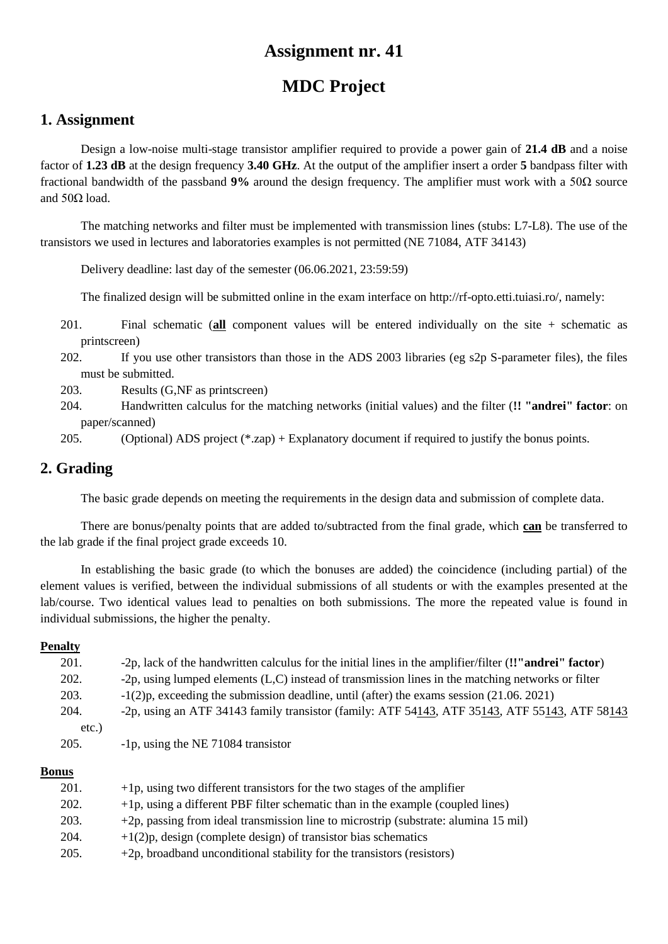# **MDC Project**

### **1. Assignment**

Design a low-noise multi-stage transistor amplifier required to provide a power gain of **21.4 dB** and a noise factor of **1.23 dB** at the design frequency **3.40 GHz**. At the output of the amplifier insert a order **5** bandpass filter with fractional bandwidth of the passband **9%** around the design frequency. The amplifier must work with a 50Ω source and  $50Ω$  load.

The matching networks and filter must be implemented with transmission lines (stubs: L7-L8). The use of the transistors we used in lectures and laboratories examples is not permitted (NE 71084, ATF 34143)

Delivery deadline: last day of the semester (06.06.2021, 23:59:59)

The finalized design will be submitted online in the exam interface on http://rf-opto.etti.tuiasi.ro/, namely:

- 201. Final schematic (**all** component values will be entered individually on the site + schematic as printscreen)
- 202. If you use other transistors than those in the ADS 2003 libraries (eg s2p S-parameter files), the files must be submitted.
- 203. Results (G,NF as printscreen)
- 204. Handwritten calculus for the matching networks (initial values) and the filter (**!! "andrei" factor**: on paper/scanned)

205. (Optional) ADS project (\*.zap) + Explanatory document if required to justify the bonus points.

## **2. Grading**

The basic grade depends on meeting the requirements in the design data and submission of complete data.

There are bonus/penalty points that are added to/subtracted from the final grade, which **can** be transferred to the lab grade if the final project grade exceeds 10.

In establishing the basic grade (to which the bonuses are added) the coincidence (including partial) of the element values is verified, between the individual submissions of all students or with the examples presented at the lab/course. Two identical values lead to penalties on both submissions. The more the repeated value is found in individual submissions, the higher the penalty.

#### **Penalty**

| 201. | -2p, lack of the handwritten calculus for the initial lines in the amplifier/filter (!'"andrei" factor)  |
|------|----------------------------------------------------------------------------------------------------------|
| 202. | -2p, using lumped elements $(L, C)$ instead of transmission lines in the matching networks or filter     |
| 203. | $-1(2)p$ , exceeding the submission deadline, until (after) the exams session (21.06.2021)               |
| 204. | -2p, using an ATF 34143 family transistor (family: ATF $54143$ , ATF $35143$ , ATF $55143$ , ATF $58143$ |
| etc. |                                                                                                          |
| 205. | -1p, using the NE 71084 transistor                                                                       |
|      |                                                                                                          |

| 201. | $+1p$ , using two different transistors for the two stages of the amplifier         |
|------|-------------------------------------------------------------------------------------|
| 202. | $+1p$ , using a different PBF filter schematic than in the example (coupled lines)  |
| 203. | +2p, passing from ideal transmission line to microstrip (substrate: alumina 15 mil) |
| 204. | $+1(2)p$ , design (complete design) of transistor bias schematics                   |
| 205. | $+2p$ , broadband unconditional stability for the transistors (resistors)           |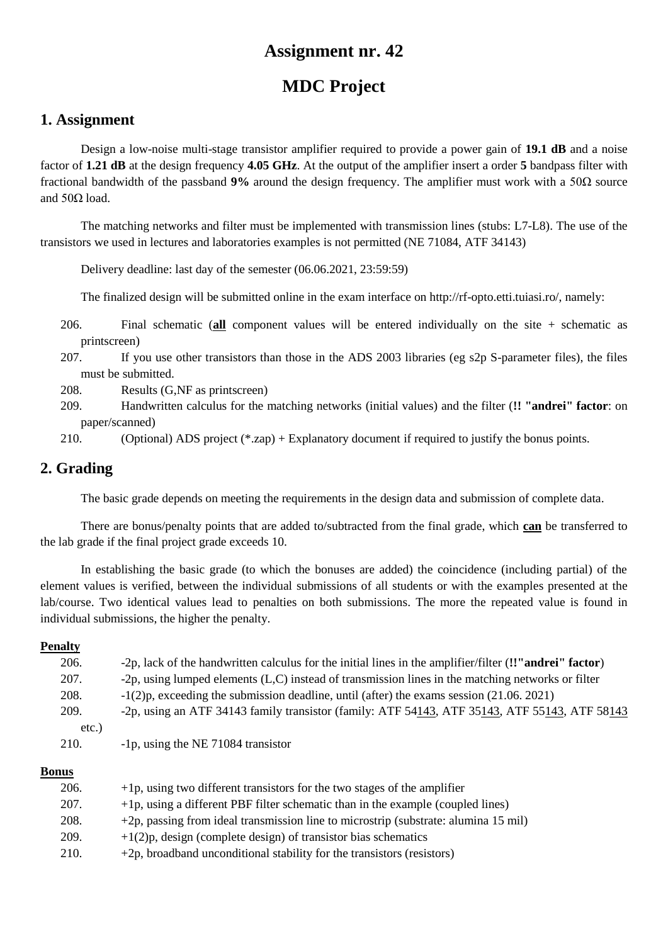# **MDC Project**

### **1. Assignment**

Design a low-noise multi-stage transistor amplifier required to provide a power gain of **19.1 dB** and a noise factor of **1.21 dB** at the design frequency **4.05 GHz**. At the output of the amplifier insert a order **5** bandpass filter with fractional bandwidth of the passband **9%** around the design frequency. The amplifier must work with a 50Ω source and  $50Ω$  load.

The matching networks and filter must be implemented with transmission lines (stubs: L7-L8). The use of the transistors we used in lectures and laboratories examples is not permitted (NE 71084, ATF 34143)

Delivery deadline: last day of the semester (06.06.2021, 23:59:59)

The finalized design will be submitted online in the exam interface on http://rf-opto.etti.tuiasi.ro/, namely:

- 206. Final schematic (**all** component values will be entered individually on the site + schematic as printscreen)
- 207. If you use other transistors than those in the ADS 2003 libraries (eg s2p S-parameter files), the files must be submitted.
- 208. Results (G,NF as printscreen)
- 209. Handwritten calculus for the matching networks (initial values) and the filter (**!! "andrei" factor**: on paper/scanned)
- 210. (Optional) ADS project (\*.zap) + Explanatory document if required to justify the bonus points.

## **2. Grading**

The basic grade depends on meeting the requirements in the design data and submission of complete data.

There are bonus/penalty points that are added to/subtracted from the final grade, which **can** be transferred to the lab grade if the final project grade exceeds 10.

In establishing the basic grade (to which the bonuses are added) the coincidence (including partial) of the element values is verified, between the individual submissions of all students or with the examples presented at the lab/course. Two identical values lead to penalties on both submissions. The more the repeated value is found in individual submissions, the higher the penalty.

#### **Penalty**

| 206.  | -2p, lack of the handwritten calculus for the initial lines in the amplifier/filter (!'"andrei" factor) |
|-------|---------------------------------------------------------------------------------------------------------|
| 207.  | -2p, using lumped elements (L,C) instead of transmission lines in the matching networks or filter       |
| 208.  | $-1(2)p$ , exceeding the submission deadline, until (after) the exams session (21.06.2021)              |
| 209.  | -2p, using an ATF 34143 family transistor (family: ATF 54143, ATF 35143, ATF 55143, ATF 58143           |
| etc.) |                                                                                                         |
| 210.  | -1p, using the NE 71084 transistor                                                                      |
|       |                                                                                                         |

| 206. | $+1p$ , using two different transistors for the two stages of the amplifier         |
|------|-------------------------------------------------------------------------------------|
| 207. | $+1p$ , using a different PBF filter schematic than in the example (coupled lines)  |
| 208. | +2p, passing from ideal transmission line to microstrip (substrate: alumina 15 mil) |
| 209. | $+1(2)p$ , design (complete design) of transistor bias schematics                   |
| 210. | $+2p$ , broadband unconditional stability for the transistors (resistors)           |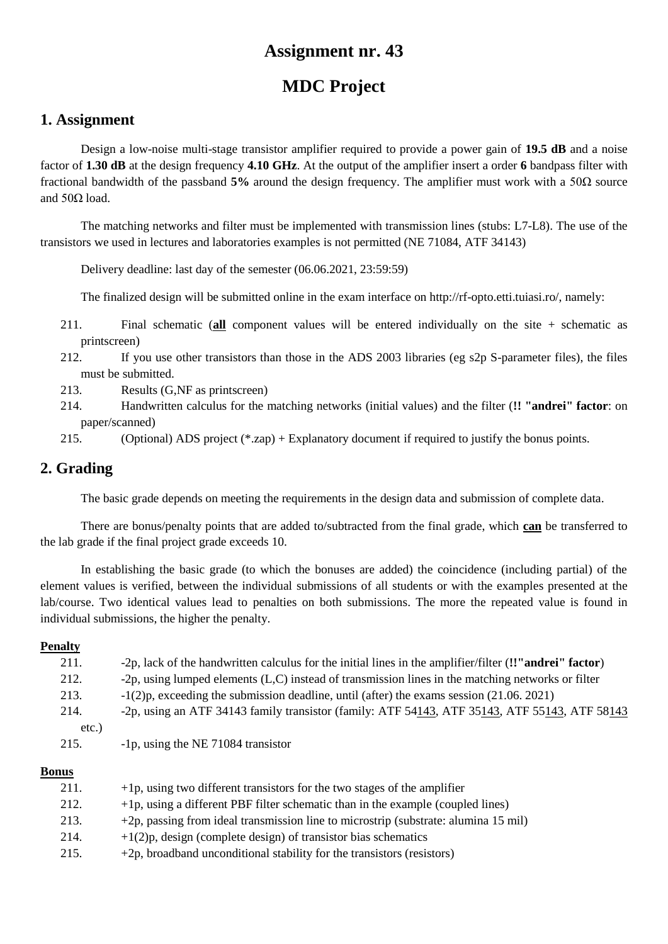# **MDC Project**

### **1. Assignment**

Design a low-noise multi-stage transistor amplifier required to provide a power gain of **19.5 dB** and a noise factor of **1.30 dB** at the design frequency **4.10 GHz**. At the output of the amplifier insert a order **6** bandpass filter with fractional bandwidth of the passband **5%** around the design frequency. The amplifier must work with a 50Ω source and  $50Ω$  load.

The matching networks and filter must be implemented with transmission lines (stubs: L7-L8). The use of the transistors we used in lectures and laboratories examples is not permitted (NE 71084, ATF 34143)

Delivery deadline: last day of the semester (06.06.2021, 23:59:59)

The finalized design will be submitted online in the exam interface on http://rf-opto.etti.tuiasi.ro/, namely:

- 211. Final schematic (**all** component values will be entered individually on the site + schematic as printscreen)
- 212. If you use other transistors than those in the ADS 2003 libraries (eg s2p S-parameter files), the files must be submitted.
- 213. Results (G,NF as printscreen)
- 214. Handwritten calculus for the matching networks (initial values) and the filter (**!! "andrei" factor**: on paper/scanned)
- 215. (Optional) ADS project (\*.zap) + Explanatory document if required to justify the bonus points.

## **2. Grading**

The basic grade depends on meeting the requirements in the design data and submission of complete data.

There are bonus/penalty points that are added to/subtracted from the final grade, which **can** be transferred to the lab grade if the final project grade exceeds 10.

In establishing the basic grade (to which the bonuses are added) the coincidence (including partial) of the element values is verified, between the individual submissions of all students or with the examples presented at the lab/course. Two identical values lead to penalties on both submissions. The more the repeated value is found in individual submissions, the higher the penalty.

#### **Penalty**

| 211. | -2p, lack of the handwritten calculus for the initial lines in the amplifier/filter (!'"andrei" factor)  |
|------|----------------------------------------------------------------------------------------------------------|
| 212. | -2p, using lumped elements (L,C) instead of transmission lines in the matching networks or filter        |
| 213. | $-1(2)p$ , exceeding the submission deadline, until (after) the exams session (21.06.2021)               |
| 214. | -2p, using an ATF 34143 family transistor (family: ATF $54143$ , ATF $35143$ , ATF $55143$ , ATF $58143$ |
| etc. |                                                                                                          |
| 215. | -1p, using the NE 71084 transistor                                                                       |
|      |                                                                                                          |

| 211. | $+1p$ , using two different transistors for the two stages of the amplifier         |
|------|-------------------------------------------------------------------------------------|
| 212. | $+1p$ , using a different PBF filter schematic than in the example (coupled lines)  |
| 213. | +2p, passing from ideal transmission line to microstrip (substrate: alumina 15 mil) |
| 214. | $+1(2)p$ , design (complete design) of transistor bias schematics                   |
| 215. | $+2p$ , broadband unconditional stability for the transistors (resistors)           |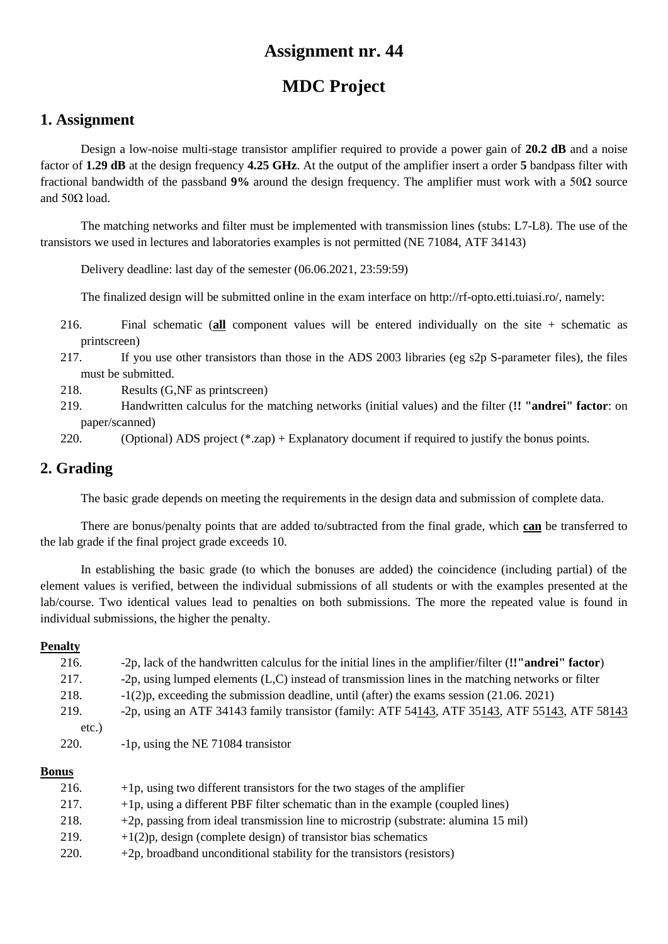# **MDC Project**

### **1. Assignment**

Design a low-noise multi-stage transistor amplifier required to provide a power gain of **20.2 dB** and a noise factor of **1.29 dB** at the design frequency **4.25 GHz**. At the output of the amplifier insert a order **5** bandpass filter with fractional bandwidth of the passband **9%** around the design frequency. The amplifier must work with a 50Ω source and  $50Ω$  load.

The matching networks and filter must be implemented with transmission lines (stubs: L7-L8). The use of the transistors we used in lectures and laboratories examples is not permitted (NE 71084, ATF 34143)

Delivery deadline: last day of the semester (06.06.2021, 23:59:59)

The finalized design will be submitted online in the exam interface on http://rf-opto.etti.tuiasi.ro/, namely:

- 216. Final schematic (**all** component values will be entered individually on the site + schematic as printscreen)
- 217. If you use other transistors than those in the ADS 2003 libraries (eg s2p S-parameter files), the files must be submitted.
- 218. Results (G,NF as printscreen)
- 219. Handwritten calculus for the matching networks (initial values) and the filter (**!! "andrei" factor**: on paper/scanned)

220. (Optional) ADS project (\*.zap) + Explanatory document if required to justify the bonus points.

## **2. Grading**

The basic grade depends on meeting the requirements in the design data and submission of complete data.

There are bonus/penalty points that are added to/subtracted from the final grade, which **can** be transferred to the lab grade if the final project grade exceeds 10.

In establishing the basic grade (to which the bonuses are added) the coincidence (including partial) of the element values is verified, between the individual submissions of all students or with the examples presented at the lab/course. Two identical values lead to penalties on both submissions. The more the repeated value is found in individual submissions, the higher the penalty.

#### **Penalty**

| 216.  | -2p, lack of the handwritten calculus for the initial lines in the amplifier/filter (!'"andrei" factor) |
|-------|---------------------------------------------------------------------------------------------------------|
| 217.  | -2p, using lumped elements (L,C) instead of transmission lines in the matching networks or filter       |
| 218.  | $-1(2)p$ , exceeding the submission deadline, until (after) the exams session (21.06.2021)              |
| 219.  | -2p, using an ATF 34143 family transistor (family: ATF 54143, ATF 35143, ATF 55143, ATF 58143           |
| etc.) |                                                                                                         |
| 220.  | -1p, using the NE 71084 transistor                                                                      |
|       |                                                                                                         |

| 216. | $+1p$ , using two different transistors for the two stages of the amplifier         |
|------|-------------------------------------------------------------------------------------|
| 217. | $+1p$ , using a different PBF filter schematic than in the example (coupled lines)  |
| 218. | +2p, passing from ideal transmission line to microstrip (substrate: alumina 15 mil) |
| 219. | $+1(2)p$ , design (complete design) of transistor bias schematics                   |
| 220. | $+2p$ , broadband unconditional stability for the transistors (resistors)           |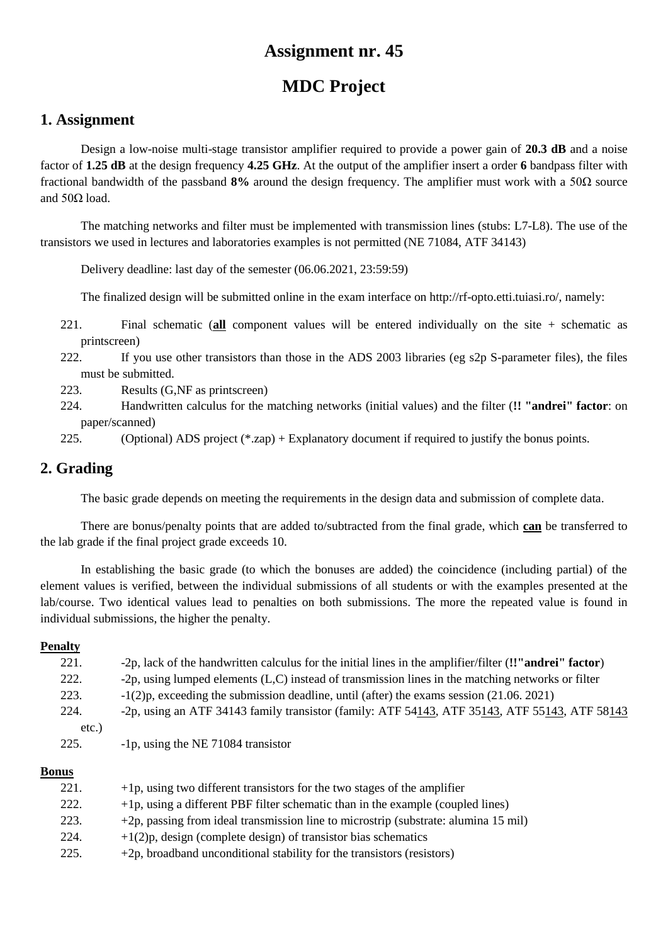# **MDC Project**

### **1. Assignment**

Design a low-noise multi-stage transistor amplifier required to provide a power gain of **20.3 dB** and a noise factor of **1.25 dB** at the design frequency **4.25 GHz**. At the output of the amplifier insert a order **6** bandpass filter with fractional bandwidth of the passband **8%** around the design frequency. The amplifier must work with a 50Ω source and  $50Ω$  load.

The matching networks and filter must be implemented with transmission lines (stubs: L7-L8). The use of the transistors we used in lectures and laboratories examples is not permitted (NE 71084, ATF 34143)

Delivery deadline: last day of the semester (06.06.2021, 23:59:59)

The finalized design will be submitted online in the exam interface on http://rf-opto.etti.tuiasi.ro/, namely:

- 221. Final schematic (**all** component values will be entered individually on the site + schematic as printscreen)
- 222. If you use other transistors than those in the ADS 2003 libraries (eg s2p S-parameter files), the files must be submitted.
- 223. Results (G,NF as printscreen)
- 224. Handwritten calculus for the matching networks (initial values) and the filter (**!! "andrei" factor**: on paper/scanned)
- 225. (Optional) ADS project (\*.zap) + Explanatory document if required to justify the bonus points.

## **2. Grading**

The basic grade depends on meeting the requirements in the design data and submission of complete data.

There are bonus/penalty points that are added to/subtracted from the final grade, which **can** be transferred to the lab grade if the final project grade exceeds 10.

In establishing the basic grade (to which the bonuses are added) the coincidence (including partial) of the element values is verified, between the individual submissions of all students or with the examples presented at the lab/course. Two identical values lead to penalties on both submissions. The more the repeated value is found in individual submissions, the higher the penalty.

#### **Penalty**

| 221.  | -2p, lack of the handwritten calculus for the initial lines in the amplifier/filter (!'"andrei" factor) |
|-------|---------------------------------------------------------------------------------------------------------|
| 222.  | -2p, using lumped elements (L,C) instead of transmission lines in the matching networks or filter       |
| 223.  | $-1(2)p$ , exceeding the submission deadline, until (after) the exams session (21.06.2021)              |
| 224.  | -2p, using an ATF 34143 family transistor (family: ATF 54143, ATF 35143, ATF 55143, ATF 58143           |
| etc.) |                                                                                                         |
| 225.  | -1p, using the NE 71084 transistor                                                                      |
|       |                                                                                                         |
| лппс  |                                                                                                         |

| 221. | $+1p$ , using two different transistors for the two stages of the amplifier         |
|------|-------------------------------------------------------------------------------------|
| 222. | $+1p$ , using a different PBF filter schematic than in the example (coupled lines)  |
| 223. | +2p, passing from ideal transmission line to microstrip (substrate: alumina 15 mil) |
| 224. | $+1(2)p$ , design (complete design) of transistor bias schematics                   |
| 225. | $+2p$ , broadband unconditional stability for the transistors (resistors)           |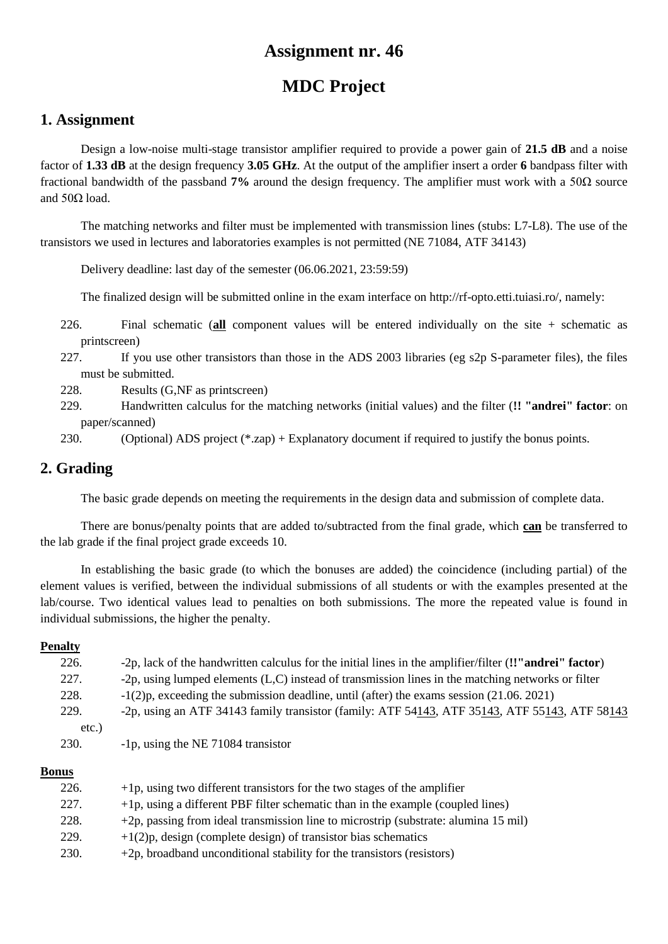# **MDC Project**

### **1. Assignment**

Design a low-noise multi-stage transistor amplifier required to provide a power gain of **21.5 dB** and a noise factor of **1.33 dB** at the design frequency **3.05 GHz**. At the output of the amplifier insert a order **6** bandpass filter with fractional bandwidth of the passband **7%** around the design frequency. The amplifier must work with a 50Ω source and  $50Ω$  load.

The matching networks and filter must be implemented with transmission lines (stubs: L7-L8). The use of the transistors we used in lectures and laboratories examples is not permitted (NE 71084, ATF 34143)

Delivery deadline: last day of the semester (06.06.2021, 23:59:59)

The finalized design will be submitted online in the exam interface on http://rf-opto.etti.tuiasi.ro/, namely:

- 226. Final schematic (**all** component values will be entered individually on the site + schematic as printscreen)
- 227. If you use other transistors than those in the ADS 2003 libraries (eg s2p S-parameter files), the files must be submitted.
- 228. Results (G,NF as printscreen)
- 229. Handwritten calculus for the matching networks (initial values) and the filter (**!! "andrei" factor**: on paper/scanned)

230. (Optional) ADS project (\*.zap) + Explanatory document if required to justify the bonus points.

## **2. Grading**

The basic grade depends on meeting the requirements in the design data and submission of complete data.

There are bonus/penalty points that are added to/subtracted from the final grade, which **can** be transferred to the lab grade if the final project grade exceeds 10.

In establishing the basic grade (to which the bonuses are added) the coincidence (including partial) of the element values is verified, between the individual submissions of all students or with the examples presented at the lab/course. Two identical values lead to penalties on both submissions. The more the repeated value is found in individual submissions, the higher the penalty.

#### **Penalty**

| 226.  | -2p, lack of the handwritten calculus for the initial lines in the amplifier/filter (!!"andrei" factor) |
|-------|---------------------------------------------------------------------------------------------------------|
| 227.  | -2p, using lumped elements (L,C) instead of transmission lines in the matching networks or filter       |
| 228.  | $-1(2)p$ , exceeding the submission deadline, until (after) the exams session (21.06.2021)              |
| 229.  | -2p, using an ATF 34143 family transistor (family: ATF 54143, ATF 35143, ATF 55143, ATF 58143           |
| etc.) |                                                                                                         |
| 230.  | -1p, using the NE 71084 transistor                                                                      |
|       |                                                                                                         |

| 226. | $+1p$ , using two different transistors for the two stages of the amplifier         |
|------|-------------------------------------------------------------------------------------|
| 227. | $+1p$ , using a different PBF filter schematic than in the example (coupled lines)  |
| 228. | +2p, passing from ideal transmission line to microstrip (substrate: alumina 15 mil) |
| 229. | $+1(2)p$ , design (complete design) of transistor bias schematics                   |
| 230. | $+2p$ , broadband unconditional stability for the transistors (resistors)           |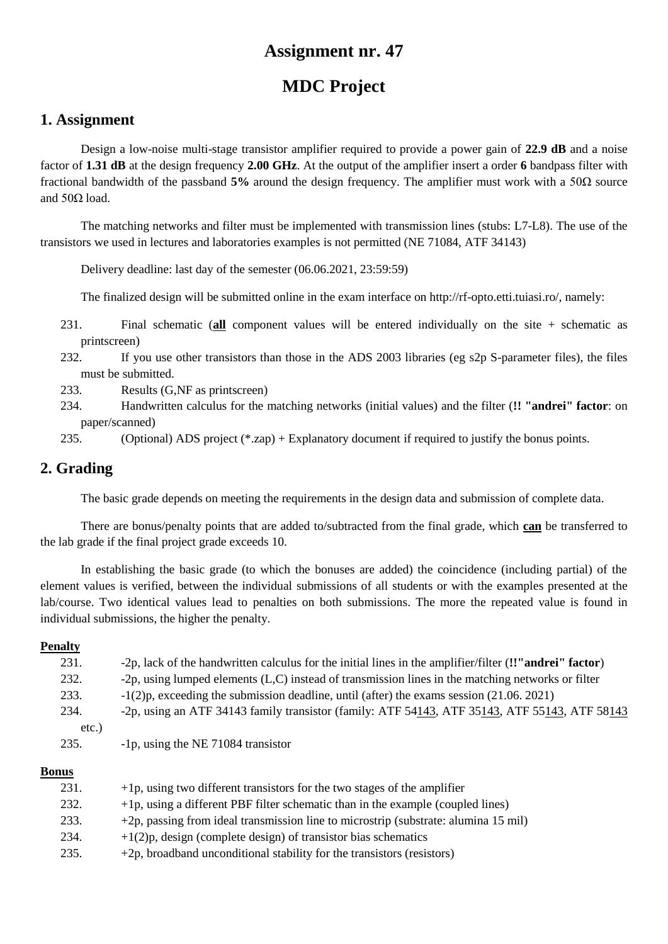# **MDC Project**

### **1. Assignment**

Design a low-noise multi-stage transistor amplifier required to provide a power gain of **22.9 dB** and a noise factor of **1.31 dB** at the design frequency **2.00 GHz**. At the output of the amplifier insert a order **6** bandpass filter with fractional bandwidth of the passband **5%** around the design frequency. The amplifier must work with a 50Ω source and  $50Ω$  load.

The matching networks and filter must be implemented with transmission lines (stubs: L7-L8). The use of the transistors we used in lectures and laboratories examples is not permitted (NE 71084, ATF 34143)

Delivery deadline: last day of the semester (06.06.2021, 23:59:59)

The finalized design will be submitted online in the exam interface on http://rf-opto.etti.tuiasi.ro/, namely:

- 231. Final schematic (**all** component values will be entered individually on the site + schematic as printscreen)
- 232. If you use other transistors than those in the ADS 2003 libraries (eg s2p S-parameter files), the files must be submitted.
- 233. Results (G,NF as printscreen)
- 234. Handwritten calculus for the matching networks (initial values) and the filter (**!! "andrei" factor**: on paper/scanned)

235. (Optional) ADS project (\*.zap) + Explanatory document if required to justify the bonus points.

## **2. Grading**

The basic grade depends on meeting the requirements in the design data and submission of complete data.

There are bonus/penalty points that are added to/subtracted from the final grade, which **can** be transferred to the lab grade if the final project grade exceeds 10.

In establishing the basic grade (to which the bonuses are added) the coincidence (including partial) of the element values is verified, between the individual submissions of all students or with the examples presented at the lab/course. Two identical values lead to penalties on both submissions. The more the repeated value is found in individual submissions, the higher the penalty.

#### **Penalty**

| 231.  | -2p, lack of the handwritten calculus for the initial lines in the amplifier/filter (!'"andrei" factor) |
|-------|---------------------------------------------------------------------------------------------------------|
| 232.  | -2p, using lumped elements (L,C) instead of transmission lines in the matching networks or filter       |
| 233.  | $-1(2)p$ , exceeding the submission deadline, until (after) the exams session (21.06.2021)              |
| 234.  | -2p, using an ATF 34143 family transistor (family: ATF 54143, ATF 35143, ATF 55143, ATF 58143           |
| etc.) |                                                                                                         |
| 235.  | -1p, using the NE 71084 transistor                                                                      |
|       |                                                                                                         |

| 231. | $+1p$ , using two different transistors for the two stages of the amplifier         |
|------|-------------------------------------------------------------------------------------|
| 232. | $+1p$ , using a different PBF filter schematic than in the example (coupled lines)  |
| 233. | +2p, passing from ideal transmission line to microstrip (substrate: alumina 15 mil) |
| 234. | $+1(2)p$ , design (complete design) of transistor bias schematics                   |
| 235. | $+2p$ , broadband unconditional stability for the transistors (resistors)           |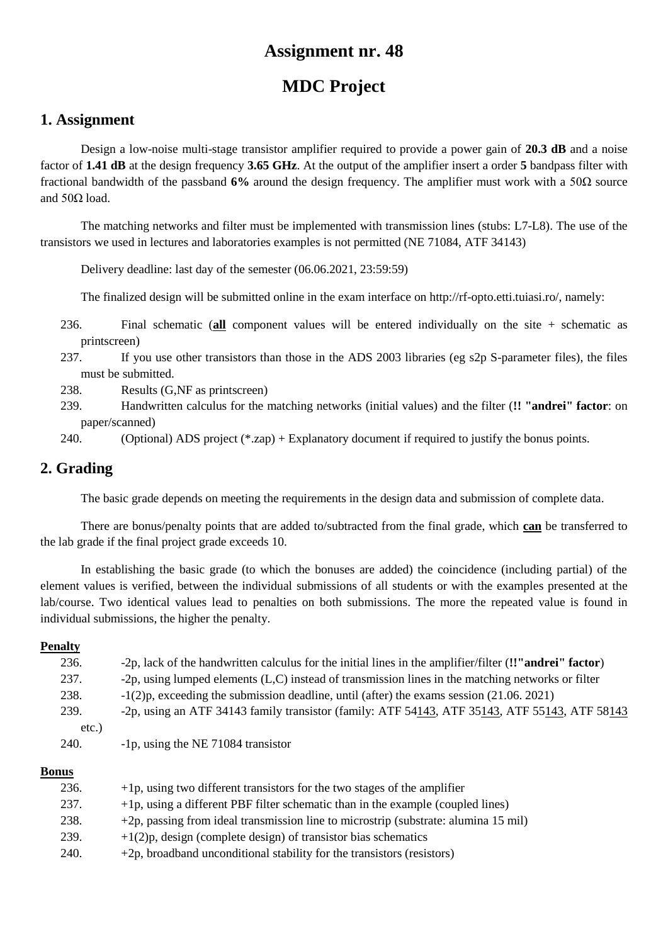# **MDC Project**

### **1. Assignment**

Design a low-noise multi-stage transistor amplifier required to provide a power gain of **20.3 dB** and a noise factor of **1.41 dB** at the design frequency **3.65 GHz**. At the output of the amplifier insert a order **5** bandpass filter with fractional bandwidth of the passband **6%** around the design frequency. The amplifier must work with a 50Ω source and  $50Ω$  load.

The matching networks and filter must be implemented with transmission lines (stubs: L7-L8). The use of the transistors we used in lectures and laboratories examples is not permitted (NE 71084, ATF 34143)

Delivery deadline: last day of the semester (06.06.2021, 23:59:59)

The finalized design will be submitted online in the exam interface on http://rf-opto.etti.tuiasi.ro/, namely:

- 236. Final schematic (**all** component values will be entered individually on the site + schematic as printscreen)
- 237. If you use other transistors than those in the ADS 2003 libraries (eg s2p S-parameter files), the files must be submitted.
- 238. Results (G,NF as printscreen)
- 239. Handwritten calculus for the matching networks (initial values) and the filter (**!! "andrei" factor**: on paper/scanned)

240. (Optional) ADS project (\*.zap) + Explanatory document if required to justify the bonus points.

## **2. Grading**

The basic grade depends on meeting the requirements in the design data and submission of complete data.

There are bonus/penalty points that are added to/subtracted from the final grade, which **can** be transferred to the lab grade if the final project grade exceeds 10.

In establishing the basic grade (to which the bonuses are added) the coincidence (including partial) of the element values is verified, between the individual submissions of all students or with the examples presented at the lab/course. Two identical values lead to penalties on both submissions. The more the repeated value is found in individual submissions, the higher the penalty.

#### **Penalty**

| 236.  | -2p, lack of the handwritten calculus for the initial lines in the amplifier/filter (!'"andrei" factor)  |
|-------|----------------------------------------------------------------------------------------------------------|
| 237.  | -2p, using lumped elements (L,C) instead of transmission lines in the matching networks or filter        |
| 238.  | $-1(2)p$ , exceeding the submission deadline, until (after) the exams session (21.06. 2021)              |
| 239.  | -2p, using an ATF 34143 family transistor (family: ATF $54143$ , ATF $35143$ , ATF $55143$ , ATF $58143$ |
| etc.) |                                                                                                          |
| 240.  | -1p, using the NE 71084 transistor                                                                       |
|       |                                                                                                          |

| 236. | $+1p$ , using two different transistors for the two stages of the amplifier         |
|------|-------------------------------------------------------------------------------------|
| 237. | $+1p$ , using a different PBF filter schematic than in the example (coupled lines)  |
| 238. | +2p, passing from ideal transmission line to microstrip (substrate: alumina 15 mil) |
| 239. | $+1(2)p$ , design (complete design) of transistor bias schematics                   |
| 240. | $+2p$ , broadband unconditional stability for the transistors (resistors)           |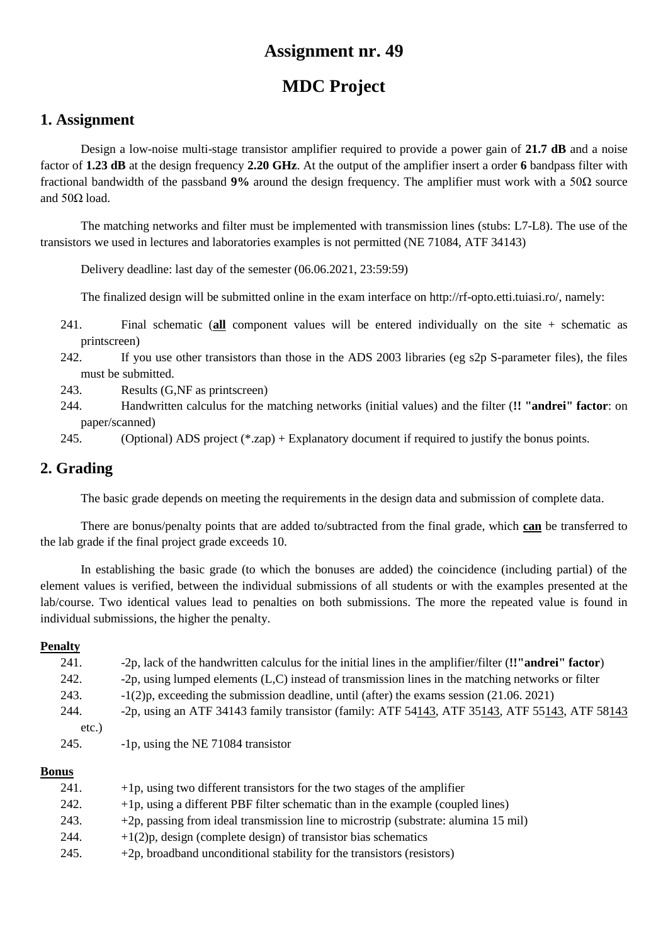# **MDC Project**

### **1. Assignment**

Design a low-noise multi-stage transistor amplifier required to provide a power gain of **21.7 dB** and a noise factor of **1.23 dB** at the design frequency **2.20 GHz**. At the output of the amplifier insert a order **6** bandpass filter with fractional bandwidth of the passband **9%** around the design frequency. The amplifier must work with a 50Ω source and  $50Ω$  load.

The matching networks and filter must be implemented with transmission lines (stubs: L7-L8). The use of the transistors we used in lectures and laboratories examples is not permitted (NE 71084, ATF 34143)

Delivery deadline: last day of the semester (06.06.2021, 23:59:59)

The finalized design will be submitted online in the exam interface on http://rf-opto.etti.tuiasi.ro/, namely:

- 241. Final schematic (**all** component values will be entered individually on the site + schematic as printscreen)
- 242. If you use other transistors than those in the ADS 2003 libraries (eg s2p S-parameter files), the files must be submitted.
- 243. Results (G,NF as printscreen)
- 244. Handwritten calculus for the matching networks (initial values) and the filter (**!! "andrei" factor**: on paper/scanned)
- 245. (Optional) ADS project (\*.zap) + Explanatory document if required to justify the bonus points.

## **2. Grading**

The basic grade depends on meeting the requirements in the design data and submission of complete data.

There are bonus/penalty points that are added to/subtracted from the final grade, which **can** be transferred to the lab grade if the final project grade exceeds 10.

In establishing the basic grade (to which the bonuses are added) the coincidence (including partial) of the element values is verified, between the individual submissions of all students or with the examples presented at the lab/course. Two identical values lead to penalties on both submissions. The more the repeated value is found in individual submissions, the higher the penalty.

#### **Penalty**

| 241. | -2p, lack of the handwritten calculus for the initial lines in the amplifier/filter (!'"andrei" factor) |
|------|---------------------------------------------------------------------------------------------------------|
| 242. | -2p, using lumped elements $(L, C)$ instead of transmission lines in the matching networks or filter    |
| 243. | $-1(2)p$ , exceeding the submission deadline, until (after) the exams session (21.06, 2021)             |
| 244. | -2p, using an ATF 34143 family transistor (family: ATF 54143, ATF 35143, ATF 55143, ATF 58143           |
| etc. |                                                                                                         |
| 245. | -1p, using the NE 71084 transistor                                                                      |
|      |                                                                                                         |

| 241. | $+1p$ , using two different transistors for the two stages of the amplifier         |
|------|-------------------------------------------------------------------------------------|
| 242. | $+1p$ , using a different PBF filter schematic than in the example (coupled lines)  |
| 243. | +2p, passing from ideal transmission line to microstrip (substrate: alumina 15 mil) |
| 244. | $+1(2)p$ , design (complete design) of transistor bias schematics                   |
| 245. | $+2p$ , broadband unconditional stability for the transistors (resistors)           |